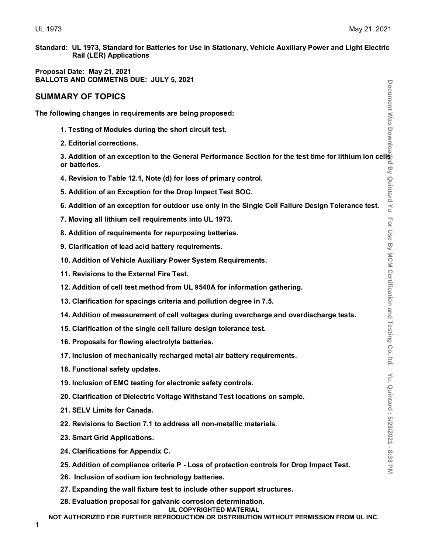**Standard: UL 1973, Standard for Batteries for Use in Stationary, Vehicle Auxiliary Power and Light Electric Rail (LER) Applications**

**Proposal Date: May 21, 2021 BALLOTS AND COMMETNS DUE: JULY 5, 2021**

# **SUMMARY OF TOPICS**

**The following changes in requirements are being proposed:**

- **1. Testing of Modules during the short circuit test.**
- **2. Editorial corrections.**

**3. Addition of an exception to the General Performance Section for the test time for lithium ion cells or batteries.**

- **4. Revision to Table 12.1, Note (d) for loss of primary control.**
- **5. Addition of an Exception for the Drop Impact Test SOC.**
- **6. Addition of an exception for outdoor use only in the Single Cell Failure Design Tolerance test.**
- **7. Moving all lithium cell requirements into UL 1973.**
- **8. Addition of requirements for repurposing batteries.**
- **9. Clarification of lead acid battery requirements.**
- **10. Addition of Vehicle Auxiliary Power System Requirements.**
- **11. Revisions to the External Fire Test.**
- **12. Addition of cell test method from UL 9540A for information gathering.**
- **13. Clarification for spacings criteria and pollution degree in 7.5.**
- **14. Addition of measurement of cell voltages during overcharge and overdischarge tests.**
- **15. Clarification of the single cell failure design tolerance test.**
- **16. Proposals for flowing electrolyte batteries.**
- **17. Inclusion of mechanically recharged metal air battery requirements.**
- **18. Functional safety updates.**
- **19. Inclusion of EMC testing for electronic safety controls.**
- **20. Clarification of Dielectric Voltage Withstand Test locations on sample.**
- **21. SELV Limits for Canada.**
- **22. Revisions to Section 7.1 to address all non-metallic materials.**
- **23. Smart Grid Applications.**
- **24. Clarifications for Appendix C.**
- **25. Addition of compliance criteria P - Loss of protection controls for Drop Impact Test.**
- **26. Inclusion of sodium ion technology batteries.**
- **27. Expanding the wall fixture test to include other support structures.**
- **28. Evaluation proposal for galvanic corrosion determination.**
	- **UL COPYRIGHTED MATERIAL**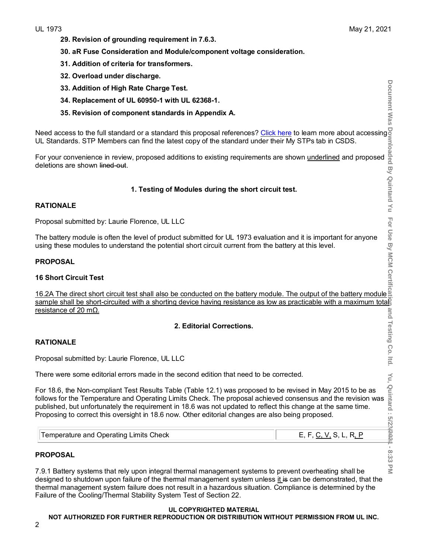- **29. Revision of grounding requirement in 7.6.3.**
- **30. aR Fuse Consideration and Module/component voltage consideration.**
- **31. Addition of criteria for transformers.**
- **32. Overload under discharge.**
- **33. Addition of High Rate Charge Test.**
- **34. Replacement of UL 60950-1 with UL 62368-1.**
- **35. Revision of component standards in Appendix A***.*

Need access to the full standard or a standard this proposal references? <u>Click here</u> to learn more about accessing UL Standards. STP Members can find the latest copy of the standard under their My STPs tab in CSDS.

For your convenience in review, proposed additions to existing requirements are shown <u>underlined</u> and proposed deletions are shown l<del>ined-out</del>.

#### **1. Testing of Modules during the short circuit test.**

#### **RATIONALE**

Proposal submitted by: Laurie Florence, UL LLC

The battery module is often the level of product submitted for UL 1973 evaluation and it is important for anyone using these modules to understand the potential short circuit current from the battery at this level.

#### **PROPOSAL**

#### **16 Short Circuit Test**

16.2A The direct short circuit test shall also be conducted on the battery module. The output of the battery module sample shall be short-circuited with a shorting device having resistance as low as practicable with a maximum totag resistance of 20 mΩ.

#### **2. Editorial Corrections.**

#### **RATIONALE**

Proposal submitted by: Laurie Florence, UL LLC

There were some editorial errors made in the second edition that need to be corrected.

For 18.6, the Non-compliant Test Results Table (Table 12.1) was proposed to be revised in May 2015 to be as follows for the Temperature and Operating Limits Check. The proposal achieved consensus and the revision was published, but unfortunately the requirement in 18.6 was not updated to reflect this change at the same time. Proposing to correct this oversight in 18.6 now. Other editorial changes are also being proposed.

#### **PROPOSAL**

7.9.1 Battery systems that rely upon integral thermal management systems to prevent overheating shall be designed to shutdown upon failure of the thermal management system unless it is can be demonstrated, that the thermal management system failure does not result in a hazardous situation. Compliance is determined by the Failure of the Cooling/Thermal Stability System Test of Section 22.

#### **UL COPYRIGHTED MATERIAL**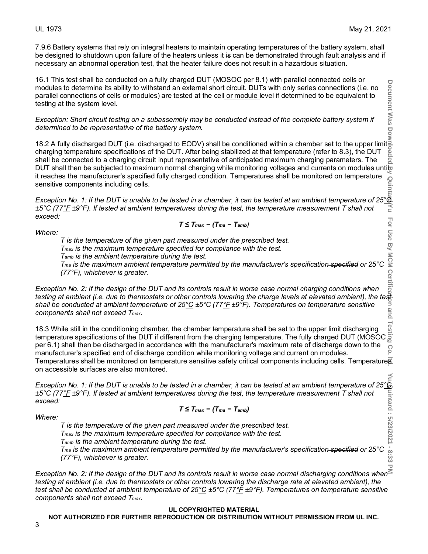7.9.6 Battery systems that rely on integral heaters to maintain operating temperatures of the battery system, shall be designed to shutdown upon failure of the heaters unless it is can be demonstrated through fault analysis and if necessary an abnormal operation test, that the heater failure does not result in a hazardous situation.

16.1 This test shall be conducted on a fully charged DUT (MOSOC per 8.1) with parallel connected cells or modules to determine its ability to withstand an external short circuit. DUTs with only series connections (i.e. no parallel connections of cells or modules) are tested at the cel<u>l or module l</u>evel if determined to be equivalent to testing at the system level.

*Exception: Short circuit testing on a subassembly may be conducted instead of the complete battery system if determined to be representative of the battery system.*

18.2 A fully discharged DUT (i.e. discharged to EODV) shall be conditioned within a chamber set to the upper limit charging temperature specifications of the DUT. After being stabilized at that temperature (refer to 8.3), the DUT shall be connected to a charging circuit input representative of anticipated maximum charging parameters. The DUT shall then be subjected to maximum normal charging while monitoring voltages and currents on modules untib it reaches the manufacturer's specified fully charged condition. Temperatures shall be monitored on temperature sensitive components including cells.

it reaches the manufacturer's specified fully charged condition. I emperatures shall be monitored on temperature<br>  $\frac{E}{E}$ <br>
Exception No. 1: If the DUT is unable to be tested in a chamber, it can be tested at an ambient *±5°C (77°F ±9°F). If tested at ambient temperatures during the test, the temperature measurement T shall not exceed:* For Use By MCM

$$
T \leq T_{max} - (T_{ma} - T_{amb})
$$

*Where:* 

*T is the temperature of the given part measured under the prescribed test. Tmax is the maximum temperature specified for compliance with the test.*

*Tamb is the ambient temperature during the test.*

*Tma is the maximum ambient temperature permitted by the manufacturer's specification specified or 25°C (77°F), whichever is greater.*

*Exception No. 2: If the design of the DUT and its controls result in worse case normal charging conditions when testing at ambient (i.e. due to thermostats or other controls lowering the charge levels at elevated ambient), the test shall be conducted at ambient temperature of 25°C ±5°C (77°F ±9°F). Temperatures on temperature sensitive components shall not exceed Tmax.*

**Document Was Downloaded By Quintard Yu For Use By MCM Certification and Testing Co. ltd. Yu, Quintard : 5/23/2021 - 8:33 PM** 18.3 While still in the conditioning chamber, the chamber temperature shall be set to the upper limit discharging  $\frac{1}{8}$ <br>temperature specifications of the DUT if different from the charging temperature. The fully charge 18.3 While still in the conditioning chamber, the chamber temperature shall be set to the upper limit discharging per 6.1) shall then be discharged in accordance with the manufacturer's maximum rate of discharge down to the င္ပ manufacturer's specified end of discharge condition while monitoring voltage and current on modules. Temperatures shall be monitored on temperature sensitive safety critical components including cells. Temperatures on accessible surfaces are also monitored.

*Exception No. 1: If the DUT is unable to be tested in a chamber, it can be tested at an ambient temperature of 25°C*<br>  $E^{\infty}C(77^{\circ}F \pm 9^{\circ}F)$ . If tested at ambient temperatures during the test, the temperature measur *±5°C (77°F ±9°F). If tested at ambient temperatures during the test, the temperature measurement T shall not exceed:*

$$
T \leq T_{max} - (T_{ma} - T_{amb})
$$

*Where:* 

*T is the temperature of the given part measured under the prescribed test. Tmax is the maximum temperature specified for compliance with the test.*

*Tamb is the ambient temperature during the test.*

*Tma is the maximum ambient temperature permitted by the manufacturer's specification specified or 25°C (77°F), whichever is greater.*

*Exception No. 2: If the design of the DUT and its controls result in worse case normal discharging conditions when testing at ambient (i.e. due to thermostats or other controls lowering the discharge rate at elevated ambient), the test shall be conducted at ambient temperature of 25°C ±5°C (77°F ±9°F). Temperatures on temperature sensitive components shall not exceed Tmax.*

#### **UL COPYRIGHTED MATERIAL**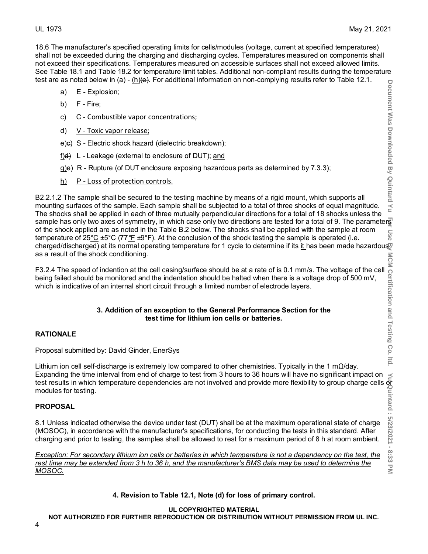18.6 The manufacturer's specified operating limits for cells/modules (voltage, current at specified temperatures) shall not be exceeded during the charging and discharging cycles. Temperatures measured on components shall not exceed their specifications. Temperatures measured on accessible surfaces shall not exceed allowed limits. See Table 18.1 and Table 18.2 for temperature limit tables. Additional non-compliant results during the temperature test are as noted below in (a) - (h) $\left(\theta\right)$ . For additional information on non-complying results refer to Table 12.1.

- a) E Explosion;
- b) F Fire;
- c) C Combustible vapor concentrations;
- d) V Toxic vapor release;
- e)c) S Electric shock hazard (dielectric breakdown);
- f)d) L Leakage (external to enclosure of DUT); and
- $g$ )e) R Rupture (of DUT enclosure exposing hazardous parts as determined by 7.3.3);
- $h$ ) P Loss of protection controls.

B2.2.1.2 The sample shall be secured to the testing machine by means of a rigid mount, which supports all mounting surfaces of the sample. Each sample shall be subjected to a total of three shocks of equal magnitude. The shocks shall be applied in each of three mutually perpendicular directions for a total of 18 shocks unless the sample has only two axes of symmetry, in which case only two directions are tested for a total of 9. The parameters of the shock applied are as noted in the Table B.2 below. The shocks shall be applied with the sample at room temperature of 25°C ±5°C (77*°*F ±9°F). At the conclusion of the shock testing the sample is operated (i.e. charged/discharged) at its normal operating temperature for 1 cycle to determine if its it has been made hazardous as a result of the shock conditioning.

F3.2.4 The speed of indention at the cell casing/surface should be at a rate of is 0.1 mm/s. The voltage of the cell  $\frac{5}{10}$ <br>being failed should be monitored and the indentation should be halted when there is a voltage being failed should be monitored and the indentation should be halted when there is a voltage drop of 500 mV, which is indicative of an internal short circuit through a limited number of electrode layers.

#### **3. Addition of an exception to the General Performance Section for the test time for lithium ion cells or batteries.**

#### **RATIONALE**

Proposal submitted by: David Ginder, EnerSys

Lithium ion cell self-discharge is extremely low compared to other chemistries. Typically in the 1 mΩ/day. Expanding the time interval from end of charge to test from 3 hours to 36 hours will have no significant impact on test results in which temperature dependencies are not involved and provide more flexibility to group charge cells or̃ modules for testing.

#### **PROPOSAL**

8.1 Unless indicated otherwise the device under test (DUT) shall be at the maximum operational state of charge (MOSOC), in accordance with the manufacturer's specifications, for conducting the tests in this standard. After charging and prior to testing, the samples shall be allowed to rest for a maximum period of 8 h at room ambient.

*Exception: For secondary lithium ion cells or batteries in which temperature is not a dependency on the test, the rest time may be extended from 3 h to 36 h, and the manufacturer's BMS data may be used to determine the MOSOC.*

**4. Revision to Table 12.1, Note (d) for loss of primary control.**

#### **UL COPYRIGHTED MATERIAL**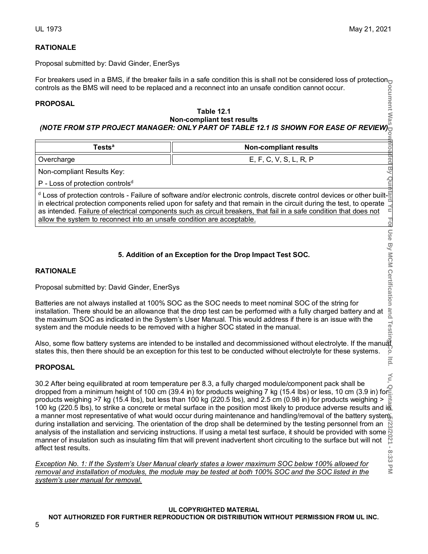**DID** dea

**By Qu** 

 $\overline{O}$ 

Use By MCM Certification and Testin

Itd.

نن<br>دن  $\leq$ 

# **RATIONALE**

Proposal submitted by: David Ginder, EnerSys

For breakers used in a BMS, if the breaker fails in a safe condition this is shall not be considered loss of protection<sub>t</sub> controls as the BMS will need to be replaced and a reconnect into an unsafe condition cannot occur.

#### **PROPOSAL**

# **Table 12.1 Non-compliant test results**

# *(NOTE FROM STP PROJECT MANAGER: ONLY PART OF TABLE 12.1 IS SHOWN FOR EASE OF REVIEW)*

| Гestsª     | <b>Non-compliant results</b> |
|------------|------------------------------|
| Overcharge | E, F, C, V, S, L, R, P       |

Non-compliant Results Key:

P - Loss of protection controls<sup>d</sup>

 $\frac{d}{dx}$  Loss of protection controls - Failure of software and/or electronic controls, discrete control devices or other builtin electrical protection components relied upon for safety and that remain in the circuit during the test, to operate  $\frac{6}{5}$  as intended. Failure of electrical components such as circuit breakers, that fail in a safe c as intended. Failure of electrical components such as circuit breakers, that fail in a safe condition that does not allow the system to reconnect into an unsafe condition are acceptable.

# **5. Addition of an Exception for the Drop Impact Test SOC.**

#### **RATIONALE**

Proposal submitted by: David Ginder, EnerSys

Batteries are not always installed at 100% SOC as the SOC needs to meet nominal SOC of the string for installation. There should be an allowance that the drop test can be performed with a fully charged battery and at the maximum SOC as indicated in the System's User Manual. This would address if there is an issue with the system and the module needs to be removed with a higher SOC stated in the manual.

Also, some flow battery systems are intended to be installed and decommissioned without electrolyte. If the manual states this, then there should be an exception for this test to be conducted without electrolyte for these systems. ŏ

#### **PROPOSAL**

**Document Was Downloaded By Quintard Yu For Use By MCM Certification and Testing Co. ltd. Yu, Quintard : 5/23/2021 - 8:33 PM**  $\leq$ 30.2 After being equilibrated at room temperature per 8.3, a fully charged module/component pack shall be dropped from a minimum height of 100 cm (39.4 in) for products weighing 7 kg (15.4 lbs) or less, 10 cm (3.9 in) for products weighing >7 kg (15.4 lbs), but less than 100 kg (220.5 lbs), and 2.5 cm (0.98 in) for products weighing > 100 kg (220.5 lbs), to strike a concrete or metal surface in the position most likely to produce adverse results and in a manner most representative of what would occur during maintenance and handling/removal of the battery system, during installation and servicing. The orientation of the drop shall be determined by the testing personnel from an  $\Xi$ analysis of the installation and servicing instructions. If using a metal test surface, it should be provided with some  $\frac{1}{2}$ manner of insulation such as insulating film that will prevent inadvertent short circuiting to the surface but will not affect test results.  $\infty$ 

*Exception No. 1: If the System's User Manual clearly states a lower maximum SOC below 100% allowed for removal and installation of modules, the module may be tested at both 100% SOC and the SOC listed in the system's user manual for removal.* 

# **UL COPYRIGHTED MATERIAL**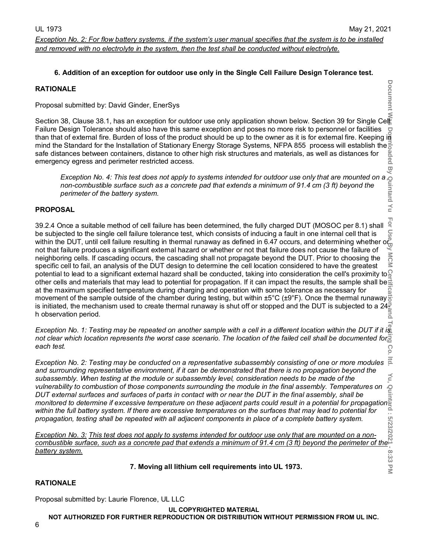#### **6. Addition of an exception for outdoor use only in the Single Cell Failure Design Tolerance test.**

#### **RATIONALE**

Proposal submitted by: David Ginder, EnerSys

Section 38, Clause 38.1, has an exception for outdoor use only application shown below. Section 39 for Single Ce Failure Design Tolerance should also have this same exception and poses no more risk to personnel or facilities  $\sum_{i=1}^{n}$ than that of external fire. Burden of loss of the product should be up to the owner as it is for external fire. Keeping in mind the Standard for the Installation of Stationary Energy Storage Systems, NFPA 855 process will establish the safe distances between containers, distance to other high risk structures and materials, as well as distances for emergency egress and perimeter restricted access. (g

*Exception No. 4: This test does not apply to systems intended for outdoor use only that are mounted on a non-combustible surface such as a concrete pad that extends a minimum of 91.4 cm (3 ft) beyond the perimeter of the battery system.*

#### **PROPOSAL**

**Document Was Downloaded By Quintard Yu For Use By MCM Certification and Testing Co. ltd. Yu, Quintard : 5/23/2021 - 8:33 PM** For 39.2.4 Once a suitable method of cell failure has been determined, the fully charged DUT (MOSOC per 8.1) shall S be subjected to the single cell failure tolerance test, which consists of inducing a fault in one internal cell that is within the DUT, until cell failure resulting in thermal runaway as defined in 6.47 occurs, and determining whether or  $\frac{10}{10}$ not that failure produces a significant external hazard or whether or not that failure does not cause the failure of MC neighboring cells. If cascading occurs, the cascading shall not propagate beyond the DUT. Prior to choosing the Ż specific cell to fail, an analysis of the DUT design to determine the cell location considered to have the greatest potential to lead to a significant external hazard shall be conducted, taking into consideration the cell's proximity to  $\Omega$ other cells and materials that may lead to potential for propagation. If it can impact the results, the sample shall be  $\pm$ at the maximum specified temperature during charging and operation with some tolerance as necessary for movement of the sample outside of the chamber during testing, but within ±5°C (±9°F). Once the thermal runaway' is initiated, the mechanism used to create thermal runaway is shut off or stopped and the DUT is subjected to a 24 $\frac{1}{6}$ h observation period.

*Exception No. 1: Testing may be repeated on another sample with a cell in a different location within the DUT if it is*  not clear which location represents the worst case scenario. The location of the failed cell shall be documented for<sup>5</sup> *each test.* Co

*Exception No. 2: Testing may be conducted on a representative subassembly consisting of one or more modules and surrounding representative environment, if it can be demonstrated that there is no propagation beyond the*  Υυ, *subassembly. When testing at the module or subassembly level, consideration needs to be made of the vulnerability to combustion of those components surrounding the module in the final assembly. Temperatures on DUT external surfaces and surfaces of parts in contact with or near the DUT in the final assembly, shall be monitored to determine if excessive temperature on these adjacent parts could result in a potential for propagation within the full battery system. If there are excessive temperatures on the surfaces that may lead to potential for propagation, testing shall be repeated with all adjacent components in place of a complete battery system.*

*Exception No. 3: This test does not apply to systems intended for outdoor use only that are mounted on a noncombustible surface, such as a concrete pad that extends a minimum of 91.4 cm (3 ft) beyond the perimeter of the battery system.*

#### **7. Moving all lithium cell requirements into UL 1973.**

# **RATIONALE**

Proposal submitted by: Laurie Florence, UL LLC

#### **UL COPYRIGHTED MATERIAL**

**NOT AUTHORIZED FOR FURTHER REPRODUCTION OR DISTRIBUTION WITHOUT PERMISSION FROM UL INC.**

**Document** 

 $\leq$ 

8:33  $\leq$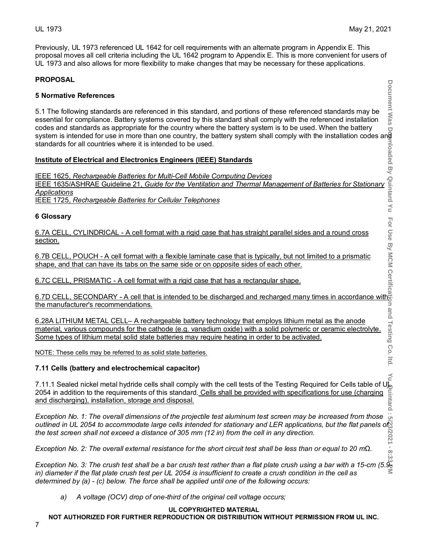$\frac{1}{2}$ 

Previously, UL 1973 referenced UL 1642 for cell requirements with an alternate program in Appendix E. This proposal moves all cell criteria including the UL 1642 program to Appendix E. This is more convenient for users of UL 1973 and also allows for more flexibility to make changes that may be necessary for these applications.

#### **PROPOSAL**

#### **5 Normative References**

Document Was 5.1 The following standards are referenced in this standard, and portions of these referenced standards may be essential for compliance. Battery systems covered by this standard shall comply with the referenced installation codes and standards as appropriate for the country where the battery system is to be used. When the battery system is intended for use in more than one country, the battery system shall comply with the installation codes and standards for all countries where it is intended to be used.

#### **Institute of Electrical and Electronics Engineers (IEEE) Standards**

IEEE 1625, *Rechargeable Batteries for Multi-Cell Mobile Computing Devices* IEEE 1635/ASHRAE Guideline 21, *Guide for the Ventilation and Thermal Management of Batteries for Stationary Applications*

IEEE 1725, *Rechargeable Batteries for Cellular Telephones*

#### **6 Glossary**

6.7A CELL, CYLINDRICAL - A cell format with a rigid case that has straight parallel sides and a round cross <u>section.</u>

6.7B CELL, POUCH - A cell format with a flexible laminate case that is typically, but not limited to a prismatic shape, and that can have its tabs on the same side or on opposite sides of each other.

6.7C CELL, PRISMATIC - A cell format with a rigid case that has a rectangular shape.

6.7D CELL, SECONDARY - A cell that is intended to be discharged and recharged many times in accordance with the manufacturer's recommendations.

6.28A LITHIUM METAL CELL– A rechargeable battery technology that employs lithium metal as the anode material, various compounds for the cathode (e.g. vanadium oxide) with a solid polymeric or ceramic electrolyte. Some types of lithium metal solid state batteries may require heating in order to be activated.

NOTE: These cells may be referred to as solid state batteries.

#### **7.11 Cells (battery and electrochemical capacitor)**

7.11.1 Sealed nickel metal hydride cells shall comply with the cell tests of the Testing Required for Cells table of ULL 2054 in addition to the requirements of this standard. Cells shall be provided with specifications f 2054 in addition to the requirements of this standard. Cells shall be provided with specifications for use (charging and discharging), installation, storage and disposal.

**Document Was Downloaded By Quintard Yu For Use By MCM Certification and Testing Co. ltd. Yu, Quintard : 5/23/2021 - 8:33 PM** *Exception No. 1: The overall dimensions of the projectile test aluminum test screen may be increased from those outlined in UL 2054 to accommodate large cells intended for stationary and LER applications, but the flat panels of the test screen shall not exceed a distance of 305 mm (12 in) from the cell in any direction.*

*Exception No. 2: The overall external resistance for the short circuit test shall be less than or equal to 20 mΩ.*

*Exception No. 3: The crush test shall be a bar crush test rather than a flat plate crush using a bar with a 15-cm (5.9 in) diameter if the flat plate crush test per UL 2054 is insufficient to create a crush condition in the cell as determined by (a) - (c) below. The force shall be applied until one of the following occurs:*

*a) A voltage (OCV) drop of one-third of the original cell voltage occurs;*

#### **UL COPYRIGHTED MATERIAL**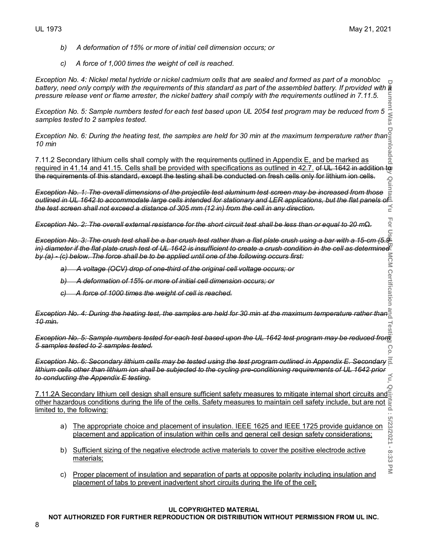**Hol**  $\subset$ 

5/23/2021 - 8:33

 $\overline{\leq}$ 

- *b) A deformation of 15% or more of initial cell dimension occurs; or*
- *c) A force of 1,000 times the weight of cell is reached.*

*Exception No. 4: Nickel metal hydride or nickel cadmium cells that are sealed and formed as part of a monobloc*  battery, need only comply with the requirements of this standard as part of the assembled battery. If provided with a *pressure release vent or flame arrester, the nickel battery shall comply with the requirements outlined in 7.11.5.* auur

*Exception No. 5: Sample numbers tested for each test based upon UL 2054 test program may be reduced from 5 samples tested to 2 samples tested.*

*Exception No. 6: During the heating test, the samples are held for 30 min at the maximum temperature rather than 10 min*

**Document Was Downloaded By Quintard Yu For Use By MCM Certification and Testing Co. ltd. Yu, Quintard : 5/23/2021 - 8:33 PM** 7.11.2 Secondary lithium cells shall comply with the requirements <u>outlined in Appendix E, and be marked as</u> required in 41.14 and 41.15. Cells shall be provided with specifications as outlined in 42.7. of UL 1642 in addition to the requirements of this standard, except the testing shall be conducted on fresh cells only for lithium ion cells.

*Exception No. 1: The overall dimensions of the projectile test aluminum test screen may be increased from those outlined in UL 1642 to accommodate large cells intended for stationary and LER applications, but the flat panels of the test screen shall not exceed a distance of 305 mm (12 in) from the cell in any direction.*

*Exception No. 2: The overall external resistance for the short circuit test shall be less than or equal to 20 mΩ.*

*Exception No. 3: The crush test shall be a bar crush test rather than a flat plate crush using a bar with a 15-cm (5.9 in) diameter if the flat plate crush test of UL 1642 is insufficient to create a crush condition in the cell as determined by (a) - (c) below. The force shall be to be applied until one of the following occurs first:*<br>
a) *by (a) - (c) below. The force shall be to be applied until one of the following occurs first:*

*a) A voltage (OCV) drop of one-third of the original cell voltage occurs; or*

*b) A deformation of 15% or more of initial cell dimension occurs; or*

*c) A force of 1000 times the weight of cell is reached.*

*Exception No. 4: During the heating test, the samples are held for 30 min at the maximum temperature rather than 10 min.* Test

**Exception No. 5: Sample numbers tested for each test based upon the UL 1642 test program may be reduced from** *5 samples tested to 2 samples tested.* ဂ္ဂ

*Exception No. 6: Secondary lithium cells may be tested using the test program outlined in Appendix E. Secondary lithium cells other than lithium ion shall be subjected to the cycling pre-conditioning requirements of UL 1642 prior to conducting the Appendix E testing.*

 $\overline{Q}$ 7.11.2A Secondary lithium cell design shall ensure sufficient safety measures to mitigate internal short circuits and other hazardous conditions during the life of the cells. Safety measures to maintain cell safety include, but are not at limited to the following: limited to, the following:

- a) The appropriate choice and placement of insulation. IEEE 1625 and IEEE 1725 provide guidance on placement and application of insulation within cells and general cell design safety considerations;
- b) Sufficient sizing of the negative electrode active materials to cover the positive electrode active materials;
- c) Proper placement of insulation and separation of parts at opposite polarity including insulation and placement of tabs to prevent inadvertent short circuits during the life of the cell;

#### **UL COPYRIGHTED MATERIAL**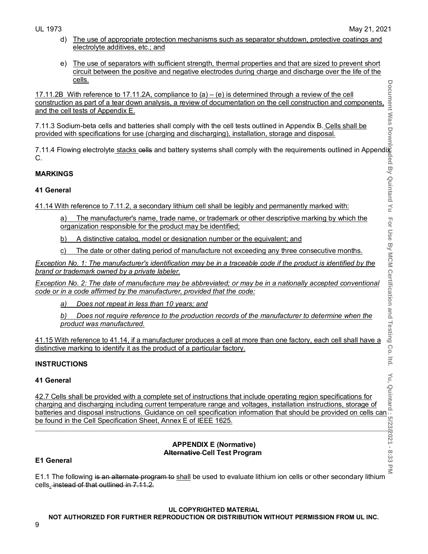- d) The use of appropriate protection mechanisms such as separator shutdown, protective coatings and electrolyte additives, etc.; and
- e) The use of separators with sufficient strength, thermal properties and that are sized to prevent short circuit between the positive and negative electrodes during charge and discharge over the life of the <u>cells.</u>

17.11.2B With reference to 17.11.2A, compliance to (a) – (e) is determined through a review of the cell construction as part of a tear down analysis, a review of documentation on the cell construction and components, and the cell tests of Appendix E.

7.11.3 Sodium-beta cells and batteries shall comply with the cell tests outlined in Appendix B. <u>Cells shall be</u> provided with specifications for use (charging and discharging), installation, storage and disposal.

7.11.4 Flowing electrolyte <u>stacks cell</u>s and battery systems shall comply with the requirements outlined in Appendi<u>k</u> C.

# **MARKINGS**

# **41 General**

41.14 With reference to 7.11.2, a secondary lithium cell shall be legibly and permanently marked with:

- a) The manufacturer's name, trade name, or trademark or other descriptive marking by which the organization responsible for the product may be identified;
- b) A distinctive catalog, model or designation number or the equivalent; and
- c) The date or other dating period of manufacture not exceeding any three consecutive months.

*Exception No. 1: The manufacturer's identification may be in a traceable code if the product is identified by the brand or trademark owned by a private labeler.*

*Exception No. 2: The date of manufacture may be abbreviated; or may be in a nationally accepted conventional code or in a code affirmed by the manufacturer, provided that the code:*

*a) Does not repeat in less than 10 years; and*

*b) Does not require reference to the production records of the manufacturer to determine when the product was manufactured.*

41.15 With reference to 41.14, if a manufacturer produces a cell at more than one factory, each cell shall have a distinctive marking to identify it as the product of a particular factory.

# **INSTRUCTIONS**

# **41 General**

42.7 Cells shall be provided with a complete set of instructions that include operating region specifications for charging and discharging including current temperature range and voltages, installation instructions, storage of 41 General<br>
42.7 Cells shall be provided with a complete set of instructions that include operating region specifications for<br>
charging and discharging including current temperature range and voltages, installation instru be found in the Cell Specification Sheet, Annex E of IEEE 1625.

#### **APPENDIX E (Normative) Alternative Cell Test Program**

# **E1 General**

E1.1 The following is an alternate program to shall be used to evaluate lithium ion cells or other secondary lithium cells. instead of that outlined in 7.11.2.

# **UL COPYRIGHTED MATERIAL**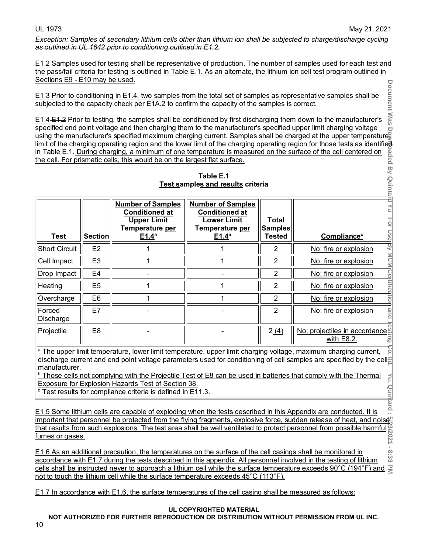*Exception: Samples of secondary lithium cells other than lithium ion shall be subjected to charge/discharge cycling as outlined in [UL 1642](javascript:void(0)) prior to conditioning outlined in E1.2.* 

E1.2 Samples used for testing shall be representative of production. The number of samples used for each test and the pass/fail criteria for testing is outlined in Table E.1. As an alternate, the lithium ion cell test program outlined in Sections E9 - E10 may be used. **Document** 

|                                                                                                                                                                                                                                                                                                                                                                                                                                                                                                                                                                                                                                                                                                                                                                                                                                        |                |                                                                                                                 |                                                                                                                 |                                                 | E1.3 Prior to conditioning in E1.4, two samples from the total set of samples as representative samples shall be |
|----------------------------------------------------------------------------------------------------------------------------------------------------------------------------------------------------------------------------------------------------------------------------------------------------------------------------------------------------------------------------------------------------------------------------------------------------------------------------------------------------------------------------------------------------------------------------------------------------------------------------------------------------------------------------------------------------------------------------------------------------------------------------------------------------------------------------------------|----------------|-----------------------------------------------------------------------------------------------------------------|-----------------------------------------------------------------------------------------------------------------|-------------------------------------------------|------------------------------------------------------------------------------------------------------------------|
|                                                                                                                                                                                                                                                                                                                                                                                                                                                                                                                                                                                                                                                                                                                                                                                                                                        |                | subjected to the capacity check per E1A.2 to confirm the capacity of the samples is correct.                    |                                                                                                                 |                                                 |                                                                                                                  |
| Document Was<br>E1.4 E1.2 Prior to testing, the samples shall be conditioned by first discharging them down to the manufacturer's<br>specified end point voltage and then charging them to the manufacturer's specified upper limit charging voltage<br>specified end point voltage and then charging them to the manufacturer's specified upper limit charging voltage<br>using the manufacturer's specified maximum charging current. Samples shall be charged at the upper temperatur<br>limit of the charging operating region and the lower limit of the charging operating region for those tests as identified<br>in Table E.1. During charging, a minimum of one temperature is measured on the surface of the cell centered on<br>aded By Quinta<br>the cell. For prismatic cells, this would be on the largest flat surface. |                |                                                                                                                 |                                                                                                                 |                                                 |                                                                                                                  |
|                                                                                                                                                                                                                                                                                                                                                                                                                                                                                                                                                                                                                                                                                                                                                                                                                                        |                |                                                                                                                 | Table E.1<br>Test samples and results criteria                                                                  |                                                 |                                                                                                                  |
|                                                                                                                                                                                                                                                                                                                                                                                                                                                                                                                                                                                                                                                                                                                                                                                                                                        |                |                                                                                                                 |                                                                                                                 |                                                 |                                                                                                                  |
| <b>Test</b>                                                                                                                                                                                                                                                                                                                                                                                                                                                                                                                                                                                                                                                                                                                                                                                                                            | <b>Section</b> | <b>Number of Samples</b><br><b>Conditioned at</b><br><b>Upper Limit</b><br>Temperature per<br>E1.4 <sup>a</sup> | <b>Number of Samples</b><br><b>Conditioned at</b><br><b>Lower Limit</b><br>Temperature per<br>E1.4 <sup>a</sup> | <b>Total</b><br><b>Samples</b><br><b>Tested</b> | <b>Compliance</b> <sup>c</sup>                                                                                   |
| <b>Short Circuit</b>                                                                                                                                                                                                                                                                                                                                                                                                                                                                                                                                                                                                                                                                                                                                                                                                                   | E <sub>2</sub> | 1                                                                                                               | 1                                                                                                               | 2                                               | No: fire or explosion                                                                                            |
| Cell Impact                                                                                                                                                                                                                                                                                                                                                                                                                                                                                                                                                                                                                                                                                                                                                                                                                            | E <sub>3</sub> | 1                                                                                                               | 1                                                                                                               | $\overline{2}$                                  | No: fire or explosion                                                                                            |
| Drop Impact                                                                                                                                                                                                                                                                                                                                                                                                                                                                                                                                                                                                                                                                                                                                                                                                                            | E <sub>4</sub> |                                                                                                                 |                                                                                                                 | $\overline{2}$                                  | No: fire or explosion                                                                                            |
| Heating                                                                                                                                                                                                                                                                                                                                                                                                                                                                                                                                                                                                                                                                                                                                                                                                                                | E <sub>5</sub> | 1                                                                                                               | 1                                                                                                               | $\overline{2}$                                  | No: fire or explosion                                                                                            |
| Overcharge                                                                                                                                                                                                                                                                                                                                                                                                                                                                                                                                                                                                                                                                                                                                                                                                                             | E <sub>6</sub> | 1                                                                                                               | 1                                                                                                               | $\overline{2}$                                  | No: fire or explosion                                                                                            |
| Forced<br>Discharge                                                                                                                                                                                                                                                                                                                                                                                                                                                                                                                                                                                                                                                                                                                                                                                                                    | E7             |                                                                                                                 |                                                                                                                 | $\overline{2}$                                  | No: fire or explosion                                                                                            |
| Projectile                                                                                                                                                                                                                                                                                                                                                                                                                                                                                                                                                                                                                                                                                                                                                                                                                             | E <sub>8</sub> |                                                                                                                 |                                                                                                                 | 2(4)                                            | No: projectiles in accordance!<br>with E8.2.                                                                     |
| <sup>a</sup> The upper limit temperature, lower limit temperature, upper limit charging voltage, maximum charging current,<br>discharge current and end point voltage parameters used for conditioning of cell samples are specified by the cell#<br>manufacturer.<br>Those cells not complying with the Projectile Test of E8 can be used in batteries that comply with the Thermal<br>Exposure for Explosion Hazards Test of Section 38.<br><sup>c</sup> Test results for compliance criteria is defined in E11.3.                                                                                                                                                                                                                                                                                                                   |                |                                                                                                                 |                                                                                                                 |                                                 |                                                                                                                  |
| <b>Viard</b><br>E1.5 Some lithium cells are capable of exploding when the tests described in this Appendix are conducted. It is                                                                                                                                                                                                                                                                                                                                                                                                                                                                                                                                                                                                                                                                                                        |                |                                                                                                                 |                                                                                                                 |                                                 |                                                                                                                  |
| important that personnel be protected from the flying fragments, explosive force, sudden release of heat, and noises                                                                                                                                                                                                                                                                                                                                                                                                                                                                                                                                                                                                                                                                                                                   |                |                                                                                                                 |                                                                                                                 |                                                 |                                                                                                                  |
| that results from such explosions. The test area shall be well ventilated to protect personnel from possible harmful $\frac{100}{100}$<br>fumes or gases.                                                                                                                                                                                                                                                                                                                                                                                                                                                                                                                                                                                                                                                                              |                |                                                                                                                 |                                                                                                                 |                                                 |                                                                                                                  |
| E1.6 As an additional precaution, the temperatures on the surface of the cell casings shall be monitored in<br>8:33<br>accordance with E1.7 during the tests described in this appendix. All personnel involved in the testing of lithium<br>$\leq$<br>cells shall be instructed never to approach a lithium cell while the surface temperature exceeds 90°C (194°F) and                                                                                                                                                                                                                                                                                                                                                                                                                                                               |                |                                                                                                                 |                                                                                                                 |                                                 |                                                                                                                  |

E1.6 As an additional precaution, the temperatures on the surface of the cell casings shall be monitored in  $\infty$ نخ<br>دی accordance with E1.7 during the tests described in this appendix. All personnel involved in the testing of lithium cells shall be instructed never to approach a lithium cell while the surface temperature exceeds 90°C (194°F) and  $\Xi$ not to touch the lithium cell while the surface temperature exceeds 45°C (113°F).

E1.7 In accordance with E1.6, the surface temperatures of the cell casing shall be measured as follows:

#### **UL COPYRIGHTED MATERIAL**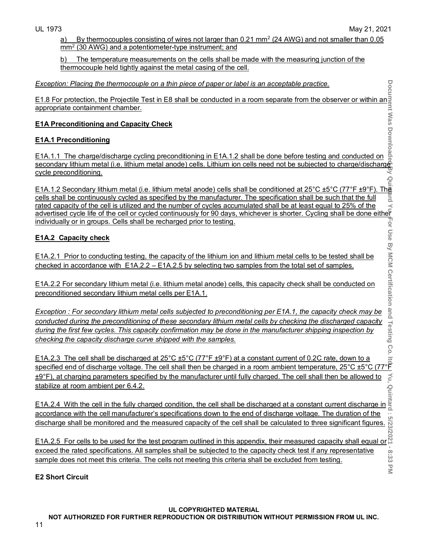Quint

20

 $8:33$  $\overline{\leq}$ 

a) By thermocouples consisting of wires not larger than 0.21 mm<sup>2</sup> (24 AWG) and not smaller than 0.05 mm2 (30 AWG) and a potentiometer-type instrument; and

b) The temperature measurements on the cells shall be made with the measuring junction of the thermocouple held tightly against the metal casing of the cell.

#### *Exception: Placing the thermocouple on a thin piece of paper or label is an acceptable practice.*

<u>E1.8 For protection, the Projectile Test in E8 shall be conducted in a room separate from the observer or within an $\,$ </u> appropriate containment chamber.

#### **E1A Preconditioning and Capacity Check**

# **E1A.1 Preconditioning**

E1A.1.1 The charge/discharge cycling preconditioning in E1A.1.2 shall be done before testing and conducted on secondary lithium metal (i.e. lithium metal anode) cells. Lithium ion cells need not be subjected to charge/discharge cycle preconditioning. Qui

**Document Was Downloaded By Quintard Yu For Use By MCM Certification and Testing Co. ltd. Yu, Quintard : 5/23/2021 - 8:33 PM** <u>E1A.1.2 Secondary lithium metal (i.e. lithium metal anode) cells shall be conditioned at 25°C ±5°C (77°F ±9°F). The</u> cells shall be continuously cycled as specified by the manufacturer. The specification shall be such that the full rated capacity of the cell is utilized and the number of cycles accumulated shall be at least equal to 25% of the advertised cycle life of the cell or cycled continuously for 90 days, whichever is shorter. Cycling shall be done either individually or in groups. Cells shall be recharged prior to testing.

# **E1A.2 Capacity check**

E1A.2.1 Prior to conducting testing, the capacity of the lithium ion and lithium metal cells to be tested shall be checked in accordance with E1A.2.2 – E1A.2.5 by selecting two samples from the total set of samples.

E1A.2.2 For secondary lithium metal (i.e. lithium metal anode) cells, this capacity check shall be conducted on preconditioned secondary lithium metal cells per E1A.1.

*Exception : For secondary lithium metal cells subjected to preconditioning per E1A.1, the capacity check may be conducted during the preconditioning of these secondary lithium metal cells by checking the discharged capacity during the first few cycles. This capacity confirmation may be done in the manufacturer shipping inspection by checking the capacity discharge curve shipped with the samples.*

<u>E1A.2.3 The cell shall be discharged at 25°C ±5°C (77°F ±9°F) at a constant current of 0.2C rate, down to a</u> <u>E1A.2.3 The cell shall be discharged at 25°C ±5°C (77°F ±9°F) at a constant current of 0.2C rate, down to a specified end of discharge voltage. The cell shall then be charged in a room ambient temperature, 25°C ±5°C (77°</u>  $±9°$ F), at charging parameters specified by the manufacturer until fully charged. The cell shall then be allowed to stabilize at room ambient per 6.4.2.

E1A.2.4 With the cell in the fully charged condition, the cell shall be discharged at a constant current discharge in  $\frac{3}{2}$ accordance with the cell manufacturer's specifications down to the end of discharge voltage. The duration of the  $|: 5/23$ discharge shall be monitored and the measured capacity of the cell shall be calculated to three significant figures.

E1A.2.5 For cells to be used for the test program outlined in this appendix, their measured capacity shall equal or  $\frac{8}{3}$ exceed the rated specifications. All samples shall be subjected to the capacity check test if any representative sample does not meet this criteria. The cells not meeting this criteria shall be excluded from testing.

# **E2 Short Circuit**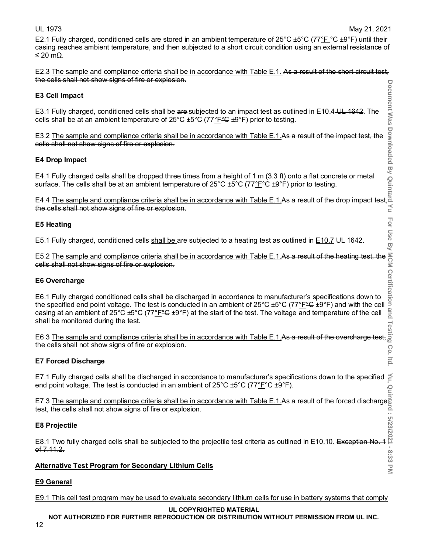For Use By

 $\overline{a}$ 

 $\leq$ 

E2.1 Fully charged, conditioned cells are stored in an ambient temperature of  $25^{\circ}$ C  $\pm 5^{\circ}$ C (77°F $\degree$ C  $\pm 9^{\circ}$ F) until their casing reaches ambient temperature, and then subjected to a short circuit condition using an external resistance of ≤ 20 mΩ.

E2.3 The sample and compliance criteria shall be in accordance with Table E.1. As a result of the short circuit test, the cells shall not show signs of fire or explosion. Document Was

#### **E3 Cell Impact**

E3.1 Fully charged, conditioned cells shall be are subjected to an impact test as outlined in E10.4 UL 1642. The cells shall be at an ambient temperature of  $25^{\circ}$ C  $\pm 5^{\circ}$ C (77 $\degree$ F $\cong$   $\pm 9^{\circ}$ F) prior to testing.

E3.2 The sample and compliance criteria shall be in accordance with Table E.1.As a result of the impact test, the cells shall not show signs of fire or explosion. E4.1 The sample and compliance criteria shall be in accordance with Table E.1.As a result of the impact test, the sells shall not show signs of fire or explosion.<br>
E4 Drop Impact<br>
E4.1 Fully charged cells shall be dropped

#### **E4 Drop Impact**

E4.1 Fully charged cells shall be dropped three times from a height of 1 m  $(3.3 \text{ ft})$  onto a flat concrete or metal surface. The cells shall be at an ambient temperature of  $25^{\circ}$ C  $\pm 5^{\circ}$ C (77°F $\degree$ C  $\pm 9^{\circ}$ F) prior to testing.

the cells shall not show signs of fire or explosion.

#### **E5 Heating**

E5.1 Fully charged, conditioned cells shall be are subjected to a heating test as outlined in E10.7 UL 1642.

E5.2 The sample and compliance criteria shall be in accordance with Table E.1.As a result of the heating test, the  $\frac{1}{2}$ <br>cells shall not show signs of fire or explosion.<br>E6 Overcharge<br>E6.1 Fully charged conditioned ce cells shall not show signs of fire or explosion.

#### **E6 Overcharge**

E6.1 Fully charged conditioned cells shall be discharged in accordance to manufacturer's specifications down to the specified end point voltage. The test is conducted in an ambient of 25°C ±5°C (77<u>°F</u>°C ±9°F) and with the cell  $\frac{3}{5}$  casing at an ambient of 25°C ±5°C (77<u>°F</u>°C ±9°F) at the start of the test. The voltage and tem casing at an ambient of 25°C  $\pm$ 5°C (77°FºC  $\pm$ 9°F) at the start of the test. The voltage and temperature of the cell shall be monitored during the test.

shall be monitored during the test.<br>E6.3 <u>The sample and compliance criteria shall be in accordance with Table E.1.</u>As a result of the overcharge test, a<br>the collisation is the washing of fire as evaluation. the cells shall not show signs of fire or explosion. ွ

#### **E7 Forced Discharge**

**Document Was Downloaded By Quintard Yu For Use By MCM Certification and Testing Co. ltd. Yu, Quintard : 5/23/2021 - 8:33 PM** E7.1 Fully charged cells shall be discharged in accordance to manufacturer's specifications down to the specified  $\leq$ end point voltage. The test is conducted in an ambient of 25°C ±5°C (77<u>°F</u>°C ±9°F).

E7.3 <u>The sample and compliance criteria shall be in accordance with Table E.1.</u>As a result of the forced discharge<mark>i</mark> test, the cells shall not show signs of fire or explosion.

#### **E8 Projectile**

E8.1 Two fully charged cells shall be subjected to the projectile test criteria as outlined in <u>E10.10.</u> Exception No. 1 of 7.11.2.  $\infty$ ن<br>دی

# **Alternative Test Program for Secondary Lithium Cells**

# **E9 General**

E9.1 This cell test program may be used to evaluate secondary lithium cells for use in battery systems that comply

#### **UL COPYRIGHTED MATERIAL**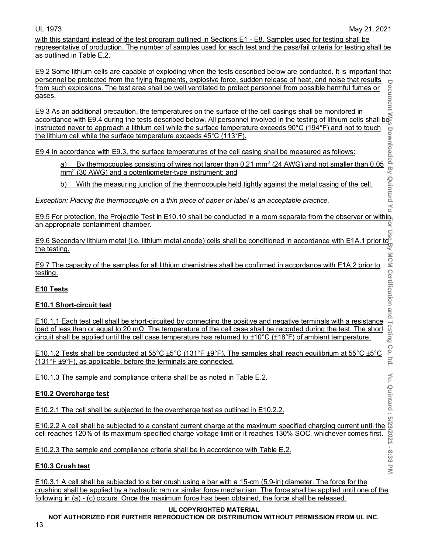Co.  $\frac{1}{2}$ 

 $\leq$ 

with this standard instead of the test program outlined in Sections E1 - E8. Samples used for testing shall be representative of production. The number of samples used for each test and the pass/fail criteria for testing shall be as outlined in Table E.2.

E9.2 Some lithium cells are capable of exploding when the tests described below are conducted. It is important that personnel be protected from the flying fragments, explosive force, sudden release of heat, and noise that results **Document** from such explosions. The test area shall be well ventilated to protect personnel from possible harmful fumes or gases.

**Document Was Downloaded By Quintard Yu For Use By MCM Certification and Testing Co. ltd. Yu, Quintard : 5/23/2021 - 8:33 PM** E9.3 As an additional precaution, the temperatures on the surface of the cell casings shall be monitored in accordance with E9.4 during the tests described below. All personnel involved in the testing of lithium cells shall be instructed never to approach a lithium cell while the surface temperature exceeds 90°C (194°F) and not to touch the lithium cell while the surface temperature exceeds 45°C (113°F).

E9.4 In accordance with E9.3, the surface temperatures of the cell casing shall be measured as follows:

a) By thermocouples consisting of wires not larger than 0.21 mm<sup>2</sup> (24 AWG) and not smaller than 0.05 mm2 (30 AWG) and a potentiometer-type instrument; and

b) With the measuring junction of the thermocouple held tightly against the metal casing of the cell.

*Exception: Placing the thermocouple on a thin piece of paper or label is an acceptable practice.* 

E9.5 For protection, the Projectile Test in E10.10 shall be conducted in a room separate from the observer or within 윽 an appropriate containment chamber.

E9.6 Secondary lithium metal (i.e. lithium metal anode) cells shall be conditioned in accordance with E1A.1 prior to the testing.

E9.7 The capacity of the samples for all lithium chemistries shall be confirmed in accordance with E1A.2 prior to <u>testing.</u>

# **E10 Tests**

#### **E10.1 Short-circuit test**

E10.1.1 Each test cell shall be short-circuited by connecting the positive and negative terminals with a resistance load of less than or equal to 20 mΩ. The temperature of the cell case shall be recorded during the test. The short circuit shall be applied until the cell case temperature has returned to ±10°C (±18°F) of ambient temperature.

E10.1.2 Tests shall be conducted at 55°C ±5°C (131°F ±9°F). The samples shall reach equilibrium at 55°C ±5°C (131°F ±9°F), as applicable, before the terminals are connected.

E10.1.3 The sample and compliance criteria shall be as noted in Table E.2.

#### **E10.2 Overcharge test**

E10.2.1 The cell shall be subjected to the overcharge test as outlined in E10.2.2.

E10.2.2 A cell shall be subjected to a constant current charge at the maximum specified charging current until the cell reaches 120% of its maximum specified charge voltage limit or it reaches 130% SOC, whichever comes first.

E10.2.3 The sample and compliance criteria shall be in accordance with Table E.2.

# **E10.3 Crush test**

E10.3.1 A cell shall be subjected to a bar crush using a bar with a 15-cm (5.9-in) diameter. The force for the crushing shall be applied by a hydraulic ram or similar force mechanism. The force shall be applied until one of the following in (a) - (c) occurs. Once the maximum force has been obtained, the force shall be released.

#### **UL COPYRIGHTED MATERIAL**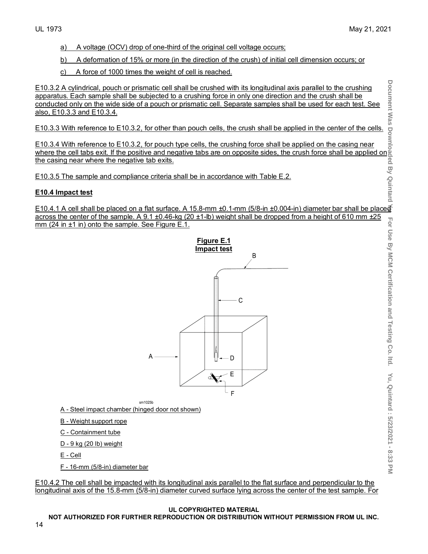- a) A voltage (OCV) drop of one-third of the original cell voltage occurs;
- b) A deformation of 15% or more (in the direction of the crush) of initial cell dimension occurs; or
- c) A force of 1000 times the weight of cell is reached.

E10.3.2 A cylindrical, pouch or prismatic cell shall be crushed with its longitudinal axis parallel to the crushing apparatus. Each sample shall be subjected to a crushing force in only one direction and the crush shall be conducted only on the wide side of a pouch or prismatic cell. Separate samples shall be used for each test. See also, E10.3.3 and E10.3.4.

E10.3.3 With reference to E10.3.2, for other than pouch cells, the crush shall be applied in the center of the cells.

E10.3.4 With reference to E10.3.2, for pouch type cells, the crushing force shall be applied on the casing near <u>where the cell tabs exit. If the positive and negative tabs are on opposite sides, the crush force shall be applied on $\scriptstyle\parallel$ </u> the casing near where the negative tab exits.

E10.3.5 The sample and compliance criteria shall be in accordance with Table E.2.

#### **E10.4 Impact test**

E10.4.1 A cell shall be placed on a flat surface. A 15.8-mm ±0.1-mm (5/8-in ±0.004-in) diameter bar shall be placed across the center of the sample. A 9.1  $\pm$ 0.46-kg (20 $\pm$ 1-lb) weight shall be dropped from a height of 610 mm  $\pm$ 25 mm (24 in ±1 in) onto the sample. See Figure E.1.



 $sm1025<sub>b</sub>$ 

A - Steel impact chamber (hinged door not shown)

B - Weight support rope

C - Containment tube

D - 9 kg (20 lb) weight

E - Cell

F - 16-mm (5/8-in) diameter bar

E10.4.2 The cell shall be impacted with its longitudinal axis parallel to the flat surface and perpendicular to the longitudinal axis of the 15.8-mm (5/8-in) diameter curved surface lying across the center of the test sample. For

#### **UL COPYRIGHTED MATERIAL**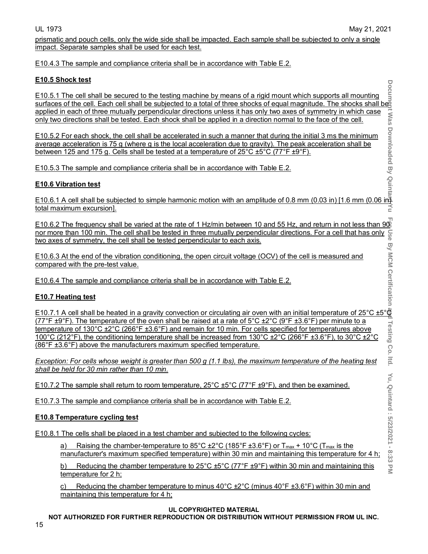prismatic and pouch cells, only the wide side shall be impacted. Each sample shall be subjected to only a single impact. Separate samples shall be used for each test.

E10.4.3 The sample and compliance criteria shall be in accordance with Table E.2.

# **E10.5 Shock test**

E10.5.1 The cell shall be secured to the testing machine by means of a rigid mount which supports all mounting surfaces of the cell. Each cell shall be subjected to a total of three shocks of equal magnitude. The shocks shall be applied in each of three mutually perpendicular directions unless it has only two axes of symmetry in which case only two directions shall be tested. Each shock shall be applied in a direction normal to the face of the cell.

E10.5.2 For each shock, the cell shall be accelerated in such a manner that during the initial 3 ms the minimum average acceleration is 75 g (where g is the local acceleration due to gravity). The peak acceleration shall be <u>between 125 and 175 g. Cells shall be tested at a temperature of 25°C ±5°C (77°F ±9°F).</u>

E10.5.3 The sample and compliance criteria shall be in accordance with Table E.2.

# **E10.6 Vibration test**

E10.6.1 A cell shall be subjected to simple harmonic motion with an amplitude of 0.8 mm (0.03 in) [1.6 mm (0.06 in) <u>total maximum excursion].</u>

E10.6.2 The frequency shall be varied at the rate of 1 Hz/min between 10 and 55 Hz, and return in not less than 90<br>nor more than 100 min. The cell shall be tested in three mutually perpendicular directions. For a cell tha nor more than 100 min. The cell shall be tested in three mutually perpendicular directions. For a cell that has only two axes of symmetry, the cell shall be tested perpendicular to each axis.

E10.6.3 At the end of the vibration conditioning, the open circuit voltage (OCV) of the cell is measured and compared with the pre-test value.

E10.6.4 The sample and compliance criteria shall be in accordance with Table E.2.

# **E10.7 Heating test**

E10.7.1 A cell shall be heated in a gravity convection or circulating air oven with an initial temperature of 25°C ±5°<sup>e</sup> (77°F  $\pm$ 9°F). The temperature of the oven shall be raised at a rate of 5°C  $\pm$ 2°C (9°F  $\pm$ 3.6°F) per minute to a temperature of 130°C ±2°C (266°F ±3.6°F) and remain for 10 min. For cells specified for temperatures above 100°C (212°F), the conditioning temperature shall be increased from 130°C ±2°C (266°F ±3.6°F), to 30°C ±2°C (86°F ±3.6°F) above the manufacturers maximum specified temperature.

*Exception: For cells whose weight is greater than 500 g (1.1 lbs), the maximum temperature of the heating test shall be held for 30 min rather than 10 min.* 

E10.7.2 The sample shall return to room temperature, 25°C ±5°C (77°F ±9°F), and then be examined.

E10.7.3 The sample and compliance criteria shall be in accordance with Table E.2.

# **E10.8 Temperature cycling test**

E10.8.1 The cells shall be placed in a test chamber and subjected to the following cycles:

a) Raising the chamber-temperature to  $85^{\circ}$ C  $\pm 2^{\circ}$ C (185°F  $\pm 3.6^{\circ}$ F) or T<sub>max</sub> + 10°C (T<sub>max</sub> is the manufacturer's maximum specified temperature) within 30 min and maintaining this temperature for 4 h;

b) Reducing the chamber temperature to 25°C  $\pm$ 5°C (77°F  $\pm$ 9°F) within 30 min and maintaining this temperature for 2 h;

c) Reducing the chamber temperature to minus  $40^{\circ}$ C  $\pm$ 2 $^{\circ}$ C (minus  $40^{\circ}$ F  $\pm$ 3.6 $^{\circ}$ F) within 30 min and maintaining this temperature for 4 h;

#### **UL COPYRIGHTED MATERIAL**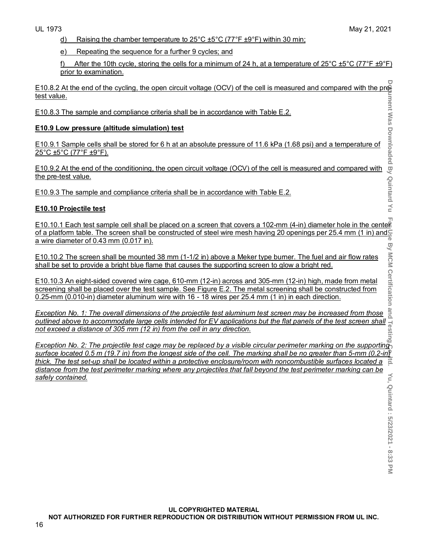d) Raising the chamber temperature to  $25^{\circ}$ C  $\pm 5^{\circ}$ C (77<sup>°</sup>F  $\pm 9^{\circ}$ F) within 30 min;

e) Repeating the sequence for a further 9 cycles; and

f) After the 10th cycle, storing the cells for a minimum of 24 h, at a temperature of  $25^{\circ}$ C  $\pm 5^{\circ}$ C (77°F  $\pm 9^{\circ}$ F) prior to examination.

E10.8.2 At the end of the cycling, the open circuit voltage (OCV) of the cell is measured and compared with the pre-<br>test value.<br>
E10.8.3 The sample and compliance criteria shall be in accordance with Table E.2.<br>
E10.9.1 test value.

E10.8.3 The sample and compliance criteria shall be in accordance with Table E.2.

#### **E10.9 Low pressure (altitude simulation) test**

E10.9.1 Sample cells shall be stored for 6 h at an absolute pressure of 11.6 kPa (1.68 psi) and a temperature of 25°C ±5°C (77°F ±9°F).

E10.9.2 At the end of the conditioning, the open circuit voltage (OCV) of the cell is measured and compared with the pre-test value.

E10.9.3 The sample and compliance criteria shall be in accordance with Table E.2.

#### **E10.10 Projectile test**

 $E$ 10.10.1 Each test sample cell shall be placed on a screen that covers a 102-mm (4-in) diameter hole in the center of a platform table. The screen shall be constructed of steel wire mesh having 20 openings per 25.4 mm (1 in) and  $\frac{6}{9}$ a wire diameter of 0.43 mm (0.017 in).

E10.10.2 The screen shall be mounted 38 mm (1-1/2 in) above a Meker type burner. The fuel and air flow rates shall be set to provide a bright blue flame that causes the supporting screen to glow a bright red.

E10.10.3 An eight-sided covered wire cage, 610-mm (12-in) across and 305-mm (12-in) high, made from metal screening shall be placed over the test sample. See Figure E.2. The metal screening shall be constructed from 0.25-mm (0.010-in) diameter aluminum wire with 16 - 18 wires per 25.4 mm (1 in) in each direction.

*Exception No. 1: The overall dimensions of the projectile test aluminum test screen may be increased from those outlined above to accommodate large cells intended for EV applications but the flat panels of the test screen shall* $\frac{1}{2}$ **<br>
<b>E10.10.3** An eight-sided covered wire cage, 610-mm (12-in) across and 305-mm (12-in) high, *not exceed a distance of 305 mm (12 in) from the cell in any direction.*

*Exception No. 2: The projectile test cage may be replaced by a visible circular perimeter marking on the supporting surface located 0.5 m (19.7 in) from the longest side of the cell. The marking shall be no greater than 5-mm (0.2-in) thick. The test set-up shall be located within a protective enclosure/room with noncombustible surfaces located a distance from the test perimeter marking where any projectiles that fall beyond the test perimeter marking can be safely contained.*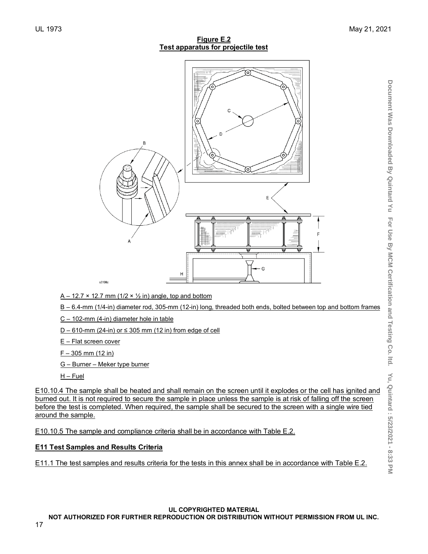#### **Figure E.2 Test apparatus for projectile test**



 $A - 12.7 \times 12.7$  mm (1/2  $\times$  1/2 in) angle, top and bottom

B – 6.4-mm (1/4-in) diameter rod, 305-mm (12-in) long, threaded both ends, bolted between top and bottom frames

- C 102-mm (4-in) diameter hole in table
- D 610-mm (24-in) or  $\leq$  305 mm (12 in) from edge of cell

E – Flat screen cover

 $F - 305$  mm (12 in)

G – Burner – Meker type burner

H – Fuel

E10.10.4 The sample shall be heated and shall remain on the screen until it explodes or the cell has ignited and burned out. It is not required to secure the sample in place unless the sample is at risk of falling off the screen before the test is completed. When required, the sample shall be secured to the screen with a single wire tied around the sample.

E10.10.5 The sample and compliance criteria shall be in accordance with Table E.2.

#### **E11 Test Samples and Results Criteria**

E11.1 The test samples and results criteria for the tests in this annex shall be in accordance with Table E.2.

#### **UL COPYRIGHTED MATERIAL**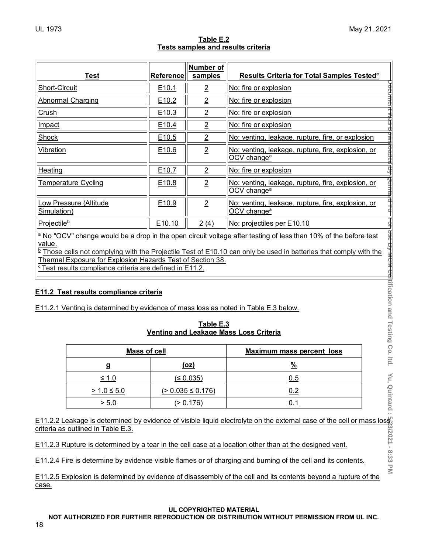| Table E.2 |                                    |  |  |  |
|-----------|------------------------------------|--|--|--|
|           | Tests samples and results criteria |  |  |  |
|           |                                    |  |  |  |

| <b>Test</b>                                                                                                                                                                                                                                                                                                                         | <b>Reference</b>  | <b>Number of</b><br>samples | Results Criteria for Total Samples Tested <sup>c</sup>                        |  |
|-------------------------------------------------------------------------------------------------------------------------------------------------------------------------------------------------------------------------------------------------------------------------------------------------------------------------------------|-------------------|-----------------------------|-------------------------------------------------------------------------------|--|
| Short-Circuit                                                                                                                                                                                                                                                                                                                       | E10.1             | $\overline{2}$              | No: fire or explosion                                                         |  |
| <b>Abnormal Charging</b>                                                                                                                                                                                                                                                                                                            | E <sub>10.2</sub> | $\overline{2}$              | No: fire or explosion                                                         |  |
| Crush                                                                                                                                                                                                                                                                                                                               | E10.3             | $\overline{2}$              | No: fire or explosion                                                         |  |
| Impact                                                                                                                                                                                                                                                                                                                              | E <sub>10.4</sub> | $\overline{2}$              | No: fire or explosion                                                         |  |
| Shock                                                                                                                                                                                                                                                                                                                               | E10.5             | $\overline{2}$              | No: venting, leakage, rupture, fire, or explosion                             |  |
| <b>Vibration</b>                                                                                                                                                                                                                                                                                                                    | E10.6             | $\overline{2}$              | No: venting, leakage, rupture, fire, explosion, or<br>OCV change <sup>a</sup> |  |
| Heating                                                                                                                                                                                                                                                                                                                             | E10.7             | $\overline{2}$              | No: fire or explosion                                                         |  |
| <u>Temperature Cycling</u>                                                                                                                                                                                                                                                                                                          | E10.8             | $\overline{2}$              | No: venting, leakage, rupture, fire, explosion, or<br>OCV change <sup>a</sup> |  |
| Low Pressure (Altitude<br>Simulation)                                                                                                                                                                                                                                                                                               | E10.9             | $\overline{2}$              | No: venting, leakage, rupture, fire, explosion, or<br>OCV change <sup>a</sup> |  |
| Projectileb                                                                                                                                                                                                                                                                                                                         | E10.10            | 2(4)                        | No: projectiles per E10.10                                                    |  |
| $\frac{a}{c}$ No "OCV" change would be a drop in the open circuit voltage after testing of less than 10% of the before test<br>value.<br><sup>b</sup> Those cells not complying with the Projectile Test of E10.10 can only be used in batteries that comply with the<br>Thermal Exposure for Explosion Hazards Test of Section 38. |                   |                             |                                                                               |  |

<u><sup>c</sup> Test results compliance criteria are defined in E11.2.</u>

# **E11.2 Test results compliance criteria**

E11.2.1 Venting is determined by evidence of mass loss as noted in Table E.3 below.

**Table E.3 Venting and Leakage Mass Loss Criteria**

| Mass of cell    |                   | <b>Maximum mass percent loss</b> |
|-----------------|-------------------|----------------------------------|
| g               | <u>(oz)</u>       | $\frac{0}{6}$                    |
| <u>≤ 1.0</u>    | (≤ 0.035)         | <u>0.5</u>                       |
| $> 1.0 \le 5.0$ | (≥ 0.035 ≤ 0.176) | 0.2                              |
| > 5.0           | 0.176             |                                  |

E11.2.2 Leakage is determined by evidence of visible liquid electrolyte on the external case of the cell or mass loss criteria as outlined in Table E.3.

E11.2.3 Rupture is determined by a tear in the cell case at a location other than at the designed vent.

E11.2.4 Fire is determine by evidence visible flames or of charging and burning of the cell and its contents.

E11.2.5 Explosion is determined by evidence of disassembly of the cell and its contents beyond a rupture of the case.

#### **UL COPYRIGHTED MATERIAL**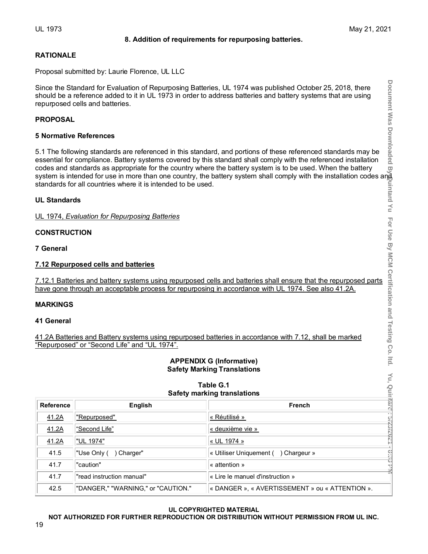#### **8. Addition of requirements for repurposing batteries.**

# UL 1973 May 21, 2021

# **RATIONALE**

Proposal submitted by: Laurie Florence, UL LLC

Since the Standard for Evaluation of Repurposing Batteries, UL 1974 was published October 25, 2018, there should be a reference added to it in UL 1973 in order to address batteries and battery systems that are using repurposed cells and batteries.

#### **PROPOSAL**

#### **5 Normative References**

5.1 The following standards are referenced in this standard, and portions of these referenced standards may be essential for compliance. Battery systems covered by this standard shall comply with the referenced installation codes and standards as appropriate for the country where the battery system is to be used. When the battery system is intended for use in more than one country, the battery system shall comply with the installation codes ang standards for all countries where it is intended to be used.

# **UL Standards**

UL 1974, *Evaluation for Repurposing Batteries*

#### **CONSTRUCTION**

**7 General** 

#### **7.12 Repurposed cells and batteries**

7.12.1 Batteries and battery systems using repurposed cells and batteries shall ensure that the repurposed parts have gone through an acceptable process for repurposing in accordance with UL 1974. See also 41.2A.

#### **MARKINGS**

#### **41 General**

41.2A Batteries and Battery systems using repurposed batteries in accordance with 7.12, shall be marked "Repurposed" or "Second Life" and "UL 1974".

#### **APPENDIX G (Informative) Safety Marking Translations**

**Table G.1**

| <b>Safety marking translations</b> |                                    |                                                 |  |  |
|------------------------------------|------------------------------------|-------------------------------------------------|--|--|
| <b>Reference</b>                   | English                            | <b>French</b>                                   |  |  |
| 41.2A                              | "Repurposed"                       | ٠.<br>« Réutilisé »                             |  |  |
| 41.2A                              | "Second Life"                      | « deuxième vie »                                |  |  |
| 41.2A                              | "UL 1974"                          | « UL 1974 »                                     |  |  |
| 41.5                               | "Use Only (<br>Charger"            | « Utiliser Uniquement () Chargeur »             |  |  |
| 41.7                               | "caution"                          | « attention »                                   |  |  |
| 41.7                               | "read instruction manual"          | « Lire le manuel d'instruction »                |  |  |
| 42.5                               | "DANGER," "WARNING," or "CAUTION." | « DANGER », « AVERTISSEMENT » ou « ATTENTION ». |  |  |

# **UL COPYRIGHTED MATERIAL**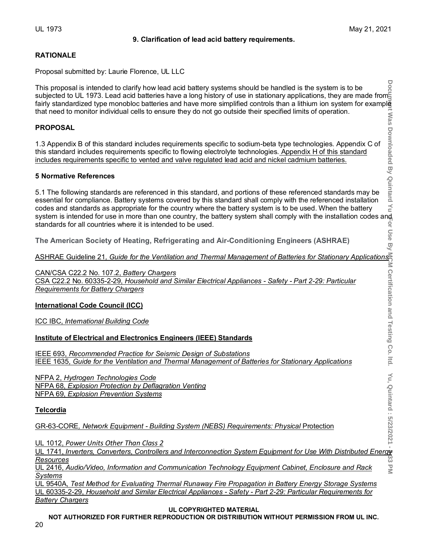#### **9. Clarification of lead acid battery requirements.**

 $=$  ltd.

#### **RATIONALE**

Proposal submitted by: Laurie Florence, UL LLC

**Document Was Downloaded By Quintard Yu For Use By MCM Certification and Testing Co. ltd. Yu, Quintard : 5/23/2021 - 8:33 PM** This proposal is intended to clarify how lead acid battery systems should be handled is the system is to be subjected to UL 1973. Lead acid batteries have a long history of use in stationary applications, they are made from∃ fairly standardized type monobloc batteries and have more simplified controls than a lithium ion system for example that need to monitor individual cells to ensure they do not go outside their specified limits of operation. **Mas** 

#### **PROPOSAL**

1.3 Appendix B of this standard includes requirements specific to sodium-beta type technologies. Appendix C of this standard includes requirements specific to flowing electrolyte technologies. Appendix H of this standard includes requirements specific to vented and valve regulated lead acid and nickel cadmium batteries.

#### **5 Normative References**

**Downloaded By Quintard** 5.1 The following standards are referenced in this standard, and portions of these referenced standards may be essential for compliance. Battery systems covered by this standard shall comply with the referenced installation  $\leq$ codes and standards as appropriate for the country where the battery system is to be used. When the battery system is intended for use in more than one country, the battery system shall comply with the installation codes and<br>standards for all countries where it is intended to be used. standards for all countries where it is intended to be used. Use By

**The American Society of Heating, Refrigerating and Air-Conditioning Engineers (ASHRAE)**

ASHRAE Guideline 21*, Guide for the Ventilation and Thermal Management of Batteries for Stationary Applications*

CAN/CSA C22.2 No. 107.2, *Battery Chargers* CSA C22.2 No. 60335-2-29, *Household and Similar Electrical Appliances - Safety - Part 2-29: Particular Requirements for Battery Chargers*

#### **International Code Council (ICC)**

ICC IBC, *International Building Code* 

#### **Institute of Electrical and Electronics Engineers (IEEE) Standards**

IEEE 693, *Recommended Practice for Seismic Design of Substations* IEEE 1635*, Guide for the Ventilation and Thermal Management of Batteries for Stationary Applications*

NFPA 2, *Hydrogen Technologies Code* NFPA 68, *Explosion Protection by Deflagration Venting* NFPA 69, *Explosion Prevention Systems*

# **Telcordia**

GR-63-CORE*, Network Equipment - Building System (NEBS) Requirements: Physical* Protection

UL 1012, *Power Units Other Than Class 2*

UL 1741, *Inverters, Converters, Controllers and Interconnection System Equipment for Use With Distributed Energy Resources*  $\leq$ 

UL 2416, *Audio/Video, Information and Communication Technology Equipment Cabinet, Enclosure and Rack Systems*

UL 9540A, *Test Method for Evaluating Thermal Runaway Fire Propagation in Battery Energy Storage Systems* UL 60335-2-29, *Household and Similar Electrical Appliances - Safety - Part 2-29: Particular Requirements for Battery Chargers*

#### **UL COPYRIGHTED MATERIAL**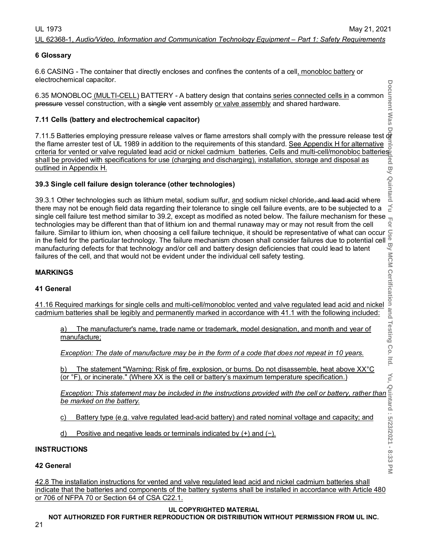#### UL 62368-1, *Audio/Video, Information and Communication Technology Equipment – Part 1: Safety Requirements*

#### **6 Glossary**

6.6 CASING - The container that directly encloses and confines the contents of a cell, monobloc battery or electrochemical capacitor.

6.35 MONOBLOC (MULTI-CELL) BATTERY - A battery design that contains series connected cells in a common pressure vessel construction, with a single vent assembly or valve assembly and shared hardware.

#### **7.11 Cells (battery and electrochemical capacitor)**

ت<br>7.11.5 Batteries employing pressure release valves or flame arrestors shall comply with the pressure release test o the flame arrester test of UL 1989 in addition to the requirements of this standard. <u>See Appendix H for alternative</u> criteria for vented or valve regulated lead acid or nickel cadmium batteries. Cells and multi-cell/monobloc batteries shall be provided with specifications for use (charging and discharging), installation, storage and disposal as outlined in Appendix H.

#### **39.3 Single cell failure design tolerance (other technologies)**

39.3.1 Other technologies such as lithium metal, sodium sulfur, <u>and</u> sodium nickel chloride<del>, and lead acid</del> where there may not be enough field data regarding their tolerance to single cell failure events, are to be subjected to a single cell failure test method similar to 39.2, except as modified as noted below. The failure mechanism for these technologies may be different than that of lithium ion and thermal runaway may or may not result from the cell failure. Similar to lithium ion, when choosing a cell failure technique, it should be representative of what can occur in the field for the particular technology. The failure mechanism chosen shall consider failures due to potential cell manufacturing defects for that technology and/or cell and battery design deficiencies that could lead to latent failures of the cell, and that would not be evident under the individual cell safety testing. manufacturing defects for that technology and/or cell and battery design deficiencies that could lead to latent<br>
failures of the cell, and that would not be evident under the individual cell safety testing.<br>
ARRINGS<br>
41 Ge

#### **MARKINGS**

#### **41 General**

cadmium batteries shall be legibly and permanently marked in accordance with 41.1 with the following included:

a) The manufacturer's name, trade name or trademark, model designation, and month and year of manufacture;

*Exception: The date of manufacture may be in the form of a code that does not repeat in 10 years.*

b) The statement "Warning: Risk of fire, explosion, or burns. Do not disassemble, heat above XX°C (or °F), or incinerate." (Where XX is the cell or battery's maximum temperature specification.)

*Exception: This statement wanting. Kisk of life, explosion, or buths. Do not disassemble, heat above XX L*<br>
(or °F), or incinerate." (Where XX is the cell or battery's maximum temperature specification.)<br>
<u>Exception: This</u> *be marked on the battery.*

- c) Battery type (e.g. valve regulated lead-acid battery) and rated nominal voltage and capacity; and
- d) Positive and negative leads or terminals indicated by (+) and (−).

#### **INSTRUCTIONS**

#### **42 General**

21

42.8 The installation instructions for vented and valve regulated lead acid and nickel cadmium batteries shall indicate that the batteries and components of the battery systems shall be installed in accordance with Article 480 or 706 of NFPA 70 or Section 64 of CSA C22.1.

#### **UL COPYRIGHTED MATERIAL**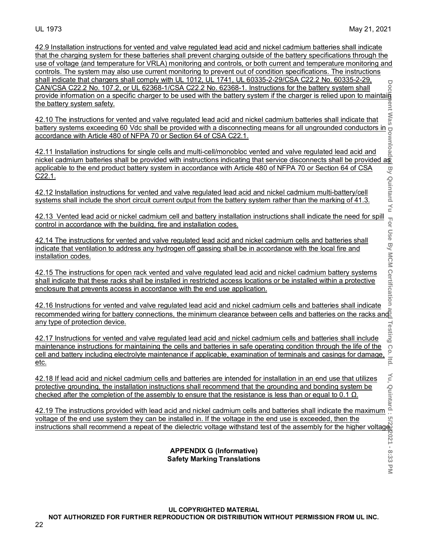42.9 Installation instructions for vented and valve regulated lead acid and nickel cadmium batteries shall indicate that the charging system for these batteries shall prevent charging outside of the battery specifications through the use of voltage (and temperature for VRLA) monitoring and controls, or both current and temperature monitoring and controls. The system may also use current monitoring to prevent out of condition specifications. The instructions shall indicate that chargers shall comply with UL 1012, UL 1741, UL 60335-2-29/CSA C22.2 No. 60335-2-29, CAN/CSA C22.2 No. 107.2, or UL 62368-1/CSA C22.2 No. 62368-1. Instructions for the battery system shall provide information on a specific charger to be used with the battery system if the charger is relied upon to maintain<br>the battery system safety. the battery system safety.

42.10 The instructions for vented and valve regulated lead acid and nickel cadmium batteries shall indicate that battery systems exceeding 60 Vdc shall be provided with a disconnecting means for all ungrounded conductors in accordance with Article 480 of NFPA 70 or Section 64 of CSA C22.1.

42.11 Installation instructions for single cells and multi-cell/monobloc vented and valve regulated lead acid and nickel cadmium batteries shall be provided with instructions indicating that service disconnects shall be provided as applicable to the end product battery system in accordance with Article 480 of NFPA 70 or Section 64 of CSA C22.1.

42.12 Installation instructions for vented and valve regulated lead acid and nickel cadmium multi-battery/cell systems shall include the short circuit current output from the battery system rather than the marking of 41.3.

42.13 Vented lead acid or nickel cadmium cell and battery installation instructions shall indicate the need for spill control in accordance with the building, fire and installation codes.

42.14 The instructions for vented and valve regulated lead acid and nickel cadmium cells and batteries shall indicate that ventilation to address any hydrogen off gassing shall be in accordance with the local fire and installation codes.

42.15 The instructions for open rack vented and valve regulated lead acid and nickel cadmium battery systems shall indicate that these racks shall be installed in restricted access locations or be installed within a protective enclosure that prevents access in accordance with the end use application.

42.16 Instructions for vented and valve regulated lead acid and nickel cadmium cells and batteries shall indicate recommended wiring for battery connections, the minimum clearance between cells and batteries on the racks and any type of protection device.

42.17 Instructions for vented and valve regulated lead acid and nickel cadmium cells and batteries shall include maintenance instructions for maintaining the cells and batteries in safe operating condition through the life of the any type of protection device.<br>42.17 Instructions for vented and valve regulated lead acid and nickel cadmium cells and batteries shall include<br>7 maintenance instructions for maintaining the cells and batteries in safe ope etc.

42.18 If lead acid and nickel cadmium cells and batteries are intended for installation in an end use that utilizes protective grounding, the installation instructions shall recommend that the grounding and bonding system be  $c$ hecked after the completion of the assembly to ensure that the resistance is less than or equal to 0.1  $\Omega$ .

42.19 The instructions provided with lead acid and nickel cadmium cells and batteries shall indicate the maximum voltage of the end use system they can be installed in. If the voltage in the end use is exceeded, then the instructions shall recommend a repeat of the dielectric voltage withstand test of the assembly for the higher voltage.

#### **APPENDIX G (Informative) Safety Marking Translations**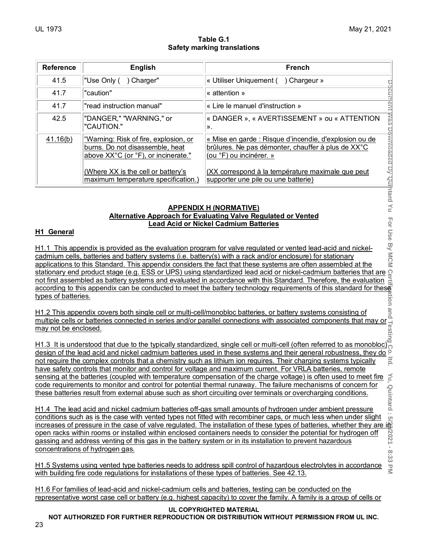#### **Table G.1 Safety marking translations**

| Reference                                                                                                                                                                                                                                                                                                                                                                                                                                                                                                                                                                                                                                                                                                                                                 | <b>English</b>                                                                                                                                                                                                                                 | <b>French</b>                                                                                                                                                                     |  |  |  |  |
|-----------------------------------------------------------------------------------------------------------------------------------------------------------------------------------------------------------------------------------------------------------------------------------------------------------------------------------------------------------------------------------------------------------------------------------------------------------------------------------------------------------------------------------------------------------------------------------------------------------------------------------------------------------------------------------------------------------------------------------------------------------|------------------------------------------------------------------------------------------------------------------------------------------------------------------------------------------------------------------------------------------------|-----------------------------------------------------------------------------------------------------------------------------------------------------------------------------------|--|--|--|--|
| 41.5                                                                                                                                                                                                                                                                                                                                                                                                                                                                                                                                                                                                                                                                                                                                                      | "Use Only (<br>) Charger"                                                                                                                                                                                                                      | « Utiliser Uniquement (<br>) Chargeur »                                                                                                                                           |  |  |  |  |
| 41.7                                                                                                                                                                                                                                                                                                                                                                                                                                                                                                                                                                                                                                                                                                                                                      | "caution"                                                                                                                                                                                                                                      | « attention »                                                                                                                                                                     |  |  |  |  |
| 41.7                                                                                                                                                                                                                                                                                                                                                                                                                                                                                                                                                                                                                                                                                                                                                      | "read instruction manual"                                                                                                                                                                                                                      | « Lire le manuel d'instruction »                                                                                                                                                  |  |  |  |  |
| 42.5                                                                                                                                                                                                                                                                                                                                                                                                                                                                                                                                                                                                                                                                                                                                                      | "DANGER," "WARNING," or<br>"CAUTION."                                                                                                                                                                                                          | « DANGER », « AVERTISSEMENT » ou « ATTENTION<br>».                                                                                                                                |  |  |  |  |
| 41.16(b)                                                                                                                                                                                                                                                                                                                                                                                                                                                                                                                                                                                                                                                                                                                                                  | "Warning: Risk of fire, explosion, or<br>burns. Do not disassemble, heat<br>above XX°C (or °F), or incinerate."                                                                                                                                | Document was Downloaded By Quintard Yu<br>« Mise en garde : Risque d'incendie, d'explosion ou de<br>brûlures. Ne pas démonter, chauffer à plus de XX°C<br>(ou °F) ou incinérer. » |  |  |  |  |
|                                                                                                                                                                                                                                                                                                                                                                                                                                                                                                                                                                                                                                                                                                                                                           | (Where XX is the cell or battery's<br>maximum temperature specification.)                                                                                                                                                                      | (XX correspond à la température maximale que peut<br>supporter une pile ou une batterie)                                                                                          |  |  |  |  |
|                                                                                                                                                                                                                                                                                                                                                                                                                                                                                                                                                                                                                                                                                                                                                           | <b>APPENDIX H (NORMATIVE)</b><br><b>Alternative Approach for Evaluating Valve Regulated or Vented</b><br><b>Lead Acid or Nickel Cadmium Batteries</b>                                                                                          |                                                                                                                                                                                   |  |  |  |  |
| H1 General                                                                                                                                                                                                                                                                                                                                                                                                                                                                                                                                                                                                                                                                                                                                                |                                                                                                                                                                                                                                                |                                                                                                                                                                                   |  |  |  |  |
| For Use By MCM<br>H1.1 This appendix is provided as the evaluation program for valve regulated or vented lead-acid and nickel-<br>cadmium cells, batteries and battery systems (i.e. battery(s) with a rack and/or enclosure) for stationary<br>applications to this Standard. This appendix considers the fact that these systems are often assembled at the<br>င္ပ<br>stationary end product stage (e.g. ESS or UPS) using standardized lead acid or nickel-cadmium batteries that are<br>not first assembled as battery systems and evaluated in accordance with this Standard. Therefore, the evaluation<br>according to this appendix can be conducted to meet the battery technology requirements of this standard for these<br>types of batteries. |                                                                                                                                                                                                                                                |                                                                                                                                                                                   |  |  |  |  |
| lion<br>H1.2 This appendix covers both single cell or multi-cell/monobloc batteries, or battery systems consisting of<br>multiple cells or batteries connected in series and/or parallel connections with associated components that may                                                                                                                                                                                                                                                                                                                                                                                                                                                                                                                  |                                                                                                                                                                                                                                                |                                                                                                                                                                                   |  |  |  |  |
| design of the lead acid and nickel cadmium batteries used in these systems and their general robustness, they do 9<br>not require the complex controls that a chemistry such as lithium ion requires. Their charging systems typically<br>$\vec{a}$<br>have safety controls that monitor and control for voltage and maximum current. For VRLA batteries, remote                                                                                                                                                                                                                                                                                                                                                                                          |                                                                                                                                                                                                                                                |                                                                                                                                                                                   |  |  |  |  |
| Χu,<br>sensing at the batteries (coupled with temperature compensation of the charge voltage) is often used to meet fire<br>code requirements to monitor and control for potential thermal runaway. The failure mechanisms of concern for                                                                                                                                                                                                                                                                                                                                                                                                                                                                                                                 |                                                                                                                                                                                                                                                |                                                                                                                                                                                   |  |  |  |  |
| Quintard:<br>these batteries result from external abuse such as short circuiting over terminals or overcharging conditions.                                                                                                                                                                                                                                                                                                                                                                                                                                                                                                                                                                                                                               |                                                                                                                                                                                                                                                |                                                                                                                                                                                   |  |  |  |  |
| H1.4 The lead acid and nickel cadmium batteries off-gas small amounts of hydrogen under ambient pressure<br>conditions such as is the case with vented types not fitted with recombiner caps, or much less when under slight<br><u>ମ</u><br>increases of pressure in the case of valve regulated. The installation of these types of batteries, whether they are interesting open racks within rooms or installed within enclosed containers needs to consider the potenti<br>concentrations of hydrogen gas.                                                                                                                                                                                                                                             |                                                                                                                                                                                                                                                |                                                                                                                                                                                   |  |  |  |  |
|                                                                                                                                                                                                                                                                                                                                                                                                                                                                                                                                                                                                                                                                                                                                                           | 8:33<br>H1.5 Systems using vented type batteries needs to address spill control of hazardous electrolytes in accordance<br>$\overline{U}$<br>ź<br>with building fire code requistions for installations of those types of batteries. See 42,43 |                                                                                                                                                                                   |  |  |  |  |

#### **APPENDIX H (NORMATIVE) Alternative Approach for Evaluating Valve Regulated or Vented Lead Acid or Nickel Cadmium Batteries**

#### **H1 General**

H1.5 Systems using vented type batteries needs to address spill control of hazardous electrolytes in accordance with building fire code regulations for installations of these types of batteries. See 42.13.

H1.6 For families of lead-acid and nickel-cadmium cells and batteries, testing can be conducted on the representative worst case cell or battery (e.g. highest capacity) to cover the family. A family is a group of cells or

#### **UL COPYRIGHTED MATERIAL**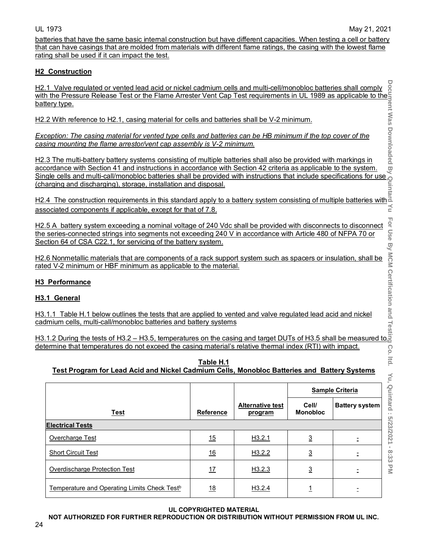For Use

 $=$  ltd.

Yu, Quintard : 5/23/2021 - 8:33 PM

batteries that have the same basic internal construction but have different capacities. When testing a cell or battery that can have casings that are molded from materials with different flame ratings, the casing with the lowest flame rating shall be used if it can impact the test.

# **H2 Construction**

**Document Was Downloaded By Quintard Yu For Use By MCM Certification and Testing Co. ltd. Yu, Quintard : 5/23/2021 - 8:33 PM** H2.1 Valve regulated or vented lead acid or nickel cadmium cells and multi-cell/monobloc batteries shall comply with the Pressure Release Test or the Flame Arrester Vent Cap Test requirements in UL 1989 as applicable to the battery type.

H2.2 With reference to H2.1, casing material for cells and batteries shall be V-2 minimum.

*Exception: The casing material for vented type cells and batteries can be HB minimum if the top cover of the casing mounting the flame arrestor/vent cap assembly is V-2 minimum.*

H2.3 The multi-battery battery systems consisting of multiple batteries shall also be provided with markings in accordance with Section 41 and instructions in accordance with Section 42 criteria as applicable to the system. Single cells and multi-call/monobloc batteries shall be provided with instructions that include specifications for use (charging and discharging), storage, installation and disposal.

<u>H2.4 The construction requirements in this standard apply to a battery system consisting of multiple batteries with</u> associated components if applicable, except for that of 7.8.

H2.5 A battery system exceeding a nominal voltage of 240 Vdc shall be provided with disconnects to disconnect the series-connected strings into segments not exceeding 240 V in accordance with Article 480 of NFPA 70 or Section 64 of CSA C22.1, for servicing of the battery system.

H2.6 Nonmetallic materials that are components of a rack support system such as spacers or insulation, shall be rated V-2 minimum or HBF minimum as applicable to the material.

# **H3 Performance**

# **H3.1 General**

H3.1.1 Table H.1 below outlines the tests that are applied to vented and valve regulated lead acid and nickel cadmium cells, multi-call/monobloc batteries and battery systems

H3.1.2 During the tests of H3.2 – H3.5, temperatures on the casing and target DUTs of H3.5 shall be measured to <u>determine that temperatures do not exceed the casing material's relative thermal index (RTI) with impact.</u> Co.

| Table H.1                                                                                   |  |
|---------------------------------------------------------------------------------------------|--|
| Test Program for Lead Acid and Nickel Cadmium Cells, Monobloc Batteries and Battery Systems |  |

|                                                          |                  |                                    |                          | <b>Sample Criteria</b> |
|----------------------------------------------------------|------------------|------------------------------------|--------------------------|------------------------|
| Test                                                     | <b>Reference</b> | <b>Alternative test</b><br>program | Cell/<br><b>Monobloc</b> | <b>Battery system</b>  |
| <b>Electrical Tests</b>                                  |                  |                                    |                          |                        |
| Overcharge Test                                          | 15               | H3.2.1                             | $\overline{3}$           |                        |
| <b>Short Circuit Test</b>                                | 16               | H3.2.2                             | $\overline{3}$           |                        |
| Overdischarge Protection Test                            | 17               | H3.2.3                             | <u>3</u>                 |                        |
| Temperature and Operating Limits Check Test <sup>b</sup> | 18               | H <sub>3.2.4</sub>                 |                          |                        |

# **UL COPYRIGHTED MATERIAL**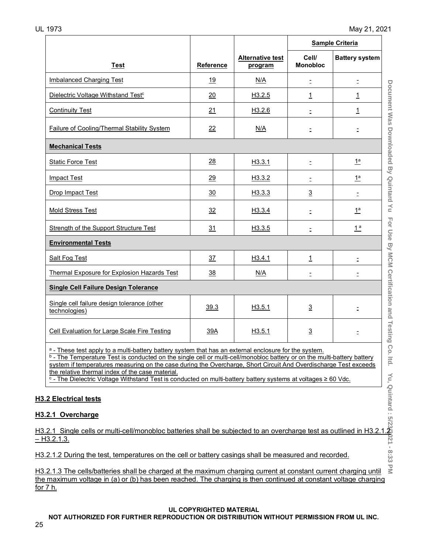|                                                                                                                                                                                                                                                                                                                                                                                                                                                                                                                                                                    |                  |                                    |                          | <b>Sample Criteria</b> |
|--------------------------------------------------------------------------------------------------------------------------------------------------------------------------------------------------------------------------------------------------------------------------------------------------------------------------------------------------------------------------------------------------------------------------------------------------------------------------------------------------------------------------------------------------------------------|------------------|------------------------------------|--------------------------|------------------------|
| <b>Test</b>                                                                                                                                                                                                                                                                                                                                                                                                                                                                                                                                                        | <b>Reference</b> | <b>Alternative test</b><br>program | Cell/<br><b>Monobloc</b> | <b>Battery system</b>  |
| Imbalanced Charging Test                                                                                                                                                                                                                                                                                                                                                                                                                                                                                                                                           | 19               | N/A                                | $\equiv$                 | Ξ                      |
| Dielectric Voltage Withstand Test <sup>c</sup>                                                                                                                                                                                                                                                                                                                                                                                                                                                                                                                     | 20               | H3.2.5                             | $\mathbf{1}$             | $\overline{1}$         |
| <b>Continuity Test</b>                                                                                                                                                                                                                                                                                                                                                                                                                                                                                                                                             | 21               | H3.2.6                             | $\overline{\phantom{a}}$ | <u> 1</u>              |
| Failure of Cooling/Thermal Stability System                                                                                                                                                                                                                                                                                                                                                                                                                                                                                                                        | 22               | N/A                                | Ξ                        | Ξ                      |
| <b>Mechanical Tests</b>                                                                                                                                                                                                                                                                                                                                                                                                                                                                                                                                            |                  |                                    |                          |                        |
| <b>Static Force Test</b>                                                                                                                                                                                                                                                                                                                                                                                                                                                                                                                                           | 28               | H3.3.1                             | Ξ                        | $1^a$                  |
| <b>Impact Test</b>                                                                                                                                                                                                                                                                                                                                                                                                                                                                                                                                                 | 29               | H3.3.2                             | Ξ                        | 1 <sup>a</sup>         |
| Drop Impact Test                                                                                                                                                                                                                                                                                                                                                                                                                                                                                                                                                   | 30               | H3.3.3                             | $\overline{3}$           |                        |
| Mold Stress Test                                                                                                                                                                                                                                                                                                                                                                                                                                                                                                                                                   | 32               | H <sub>3</sub> .3.4                | Ξ                        | 1 <sup>a</sup>         |
| Strength of the Support Structure Test                                                                                                                                                                                                                                                                                                                                                                                                                                                                                                                             | 31               | H3.3.5                             | Ξ                        | 1 <sup>a</sup>         |
| <b>Environmental Tests</b>                                                                                                                                                                                                                                                                                                                                                                                                                                                                                                                                         |                  |                                    |                          |                        |
| <b>Salt Fog Test</b>                                                                                                                                                                                                                                                                                                                                                                                                                                                                                                                                               | 37               | H3.4.1                             | $\overline{1}$           | Ξ                      |
| Thermal Exposure for Explosion Hazards Test                                                                                                                                                                                                                                                                                                                                                                                                                                                                                                                        | 38               | N/A                                | $\equiv$                 | Ξ                      |
| <b>Single Cell Failure Design Tolerance</b>                                                                                                                                                                                                                                                                                                                                                                                                                                                                                                                        |                  |                                    |                          |                        |
| Single cell failure design tolerance (other<br>technologies)                                                                                                                                                                                                                                                                                                                                                                                                                                                                                                       | 39.3             | H3.5.1                             | $\overline{3}$           | $\equiv$               |
| Cell Evaluation for Large Scale Fire Testing                                                                                                                                                                                                                                                                                                                                                                                                                                                                                                                       | 39A              | H3.5.1                             | $\overline{3}$           | Ξ                      |
| Testing<br>Co.<br>$a$ - These test apply to a multi-battery battery system that has an external enclosure for the system.<br>$b$ - The Temperature Test is conducted on the single cell or multi-cell/monobloc battery or on the multi-battery battery<br>ltd.<br>system if temperatures measuring on the case during the Overcharge, Short Circuit And Overdischarge Test exceeds<br>the relative thermal index of the case material.<br>$\circ$ - The Dielectric Voltage Withstand Test is conducted on multi-battery battery systems at voltages $\geq 60$ Vdc. |                  |                                    |                          |                        |
| .2 Electrical tests                                                                                                                                                                                                                                                                                                                                                                                                                                                                                                                                                |                  |                                    |                          |                        |
| .2.1 Overcharge                                                                                                                                                                                                                                                                                                                                                                                                                                                                                                                                                    |                  |                                    |                          |                        |
| .2.1 Single cells or multi-cell/monobloc batteries shall be subjected to an overcharge test as outlined in H3.2<br>13.2.1.3.                                                                                                                                                                                                                                                                                                                                                                                                                                       |                  |                                    |                          |                        |
| .2.1.2 During the test, temperatures on the cell or battery casings shall be measured and recorded.                                                                                                                                                                                                                                                                                                                                                                                                                                                                |                  |                                    |                          |                        |
| 2.1.3 The cells/batteries shall be charged at the maximum charging current at constant current charging until                                                                                                                                                                                                                                                                                                                                                                                                                                                      |                  |                                    |                          |                        |

# **H3.2 Electrical tests**

# **H3.2.1 Overcharge**

 $\leq$ H3.2.1.3 The cells/batteries shall be charged at the maximum charging current at constant current charging until the maximum voltage in (a) or (b) has been reached. The charging is then continued at constant voltage charging for 7 h.

#### **UL COPYRIGHTED MATERIAL**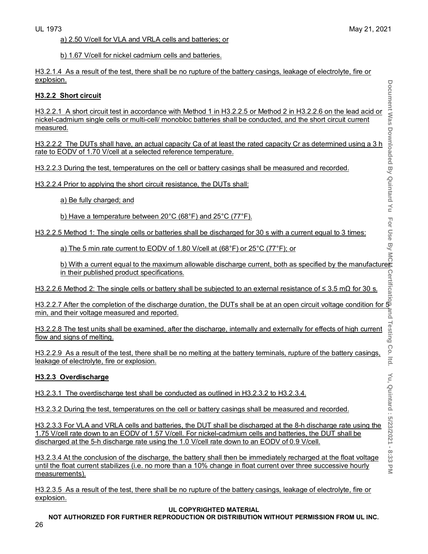a) 2.50 V/cell for VLA and VRLA cells and batteries; or

b) 1.67 V/cell for nickel cadmium cells and batteries.

H3.2.1.4 As a result of the test, there shall be no rupture of the battery casings, leakage of electrolyte, fire or explosion.

#### **H3.2.2 Short circuit**

H3.2.2.1 A short circuit test in accordance with Method 1 in H3.2.2.5 or Method 2 in H3.2.2.6 on the lead acid or nickel-cadmium single cells or multi-cell/ monobloc batteries shall be conducted, and the short circuit current measured.

H3.2.2.2 The DUTs shall have, an actual capacity Ca of at least the rated capacity Cr as determined using a 3 h rate to EODV of 1.70 V/cell at a selected reference temperature.

H3.2.2.3 During the test, temperatures on the cell or battery casings shall be measured and recorded.

H3.2.2.4 Prior to applying the short circuit resistance, the DUTs shall:

a) Be fully charged; and

b) Have a temperature between 20°C (68°F) and 25°C (77°F).

H3.2.2.5 Method 1: The single cells or batteries shall be discharged for 30 s with a current equal to 3 times:

a) The 5 min rate current to EODV of 1.80 V/cell at (68°F) or 25°C (77°F); or

<u>b) With a current equal to the maximum allowable discharge current, both as specified by the manufacturers</u> in their published product specifications.

H3.2.2.6 Method 2: The single cells or battery shall be subjected to an external resistance of ≤ 3.5 mΩ for 30 s.

H3.2.2.7 After the completion of the discharge duration, the DUTs shall be at an open circuit voltage condition for 5 min, and their voltage measured and reported.

H3.2.2.8 The test units shall be examined, after the discharge, internally and externally for effects of high current flow and signs of melting.

H3.2.2.9 As a result of the test, there shall be no melting at the battery terminals, rupture of the battery casings, leakage of electrolyte, fire or explosion.

# **H3.2.3 Overdischarge**

H3.2.3.1 The overdischarge test shall be conducted as outlined in H3.2.3.2 to H3.2.3.4.

H3.2.3.2 During the test, temperatures on the cell or battery casings shall be measured and recorded.

H3.2.3.3 For VLA and VRLA cells and batteries, the DUT shall be discharged at the 8-h discharge rate using the 1.75 V/cell rate down to an EODV of 1.57 V/cell. For nickel-cadmium cells and batteries, the DUT shall be discharged at the 5-h discharge rate using the 1.0 V/cell rate down to an EODV of 0.9 V/cell.

H3.2.3.4 At the conclusion of the discharge, the battery shall then be immediately recharged at the float voltage until the float current stabilizes (i.e. no more than a 10% change in float current over three successive hourly measurements).

H3.2.3.5 As a result of the test, there shall be no rupture of the battery casings, leakage of electrolyte, fire or explosion.

#### **UL COPYRIGHTED MATERIAL**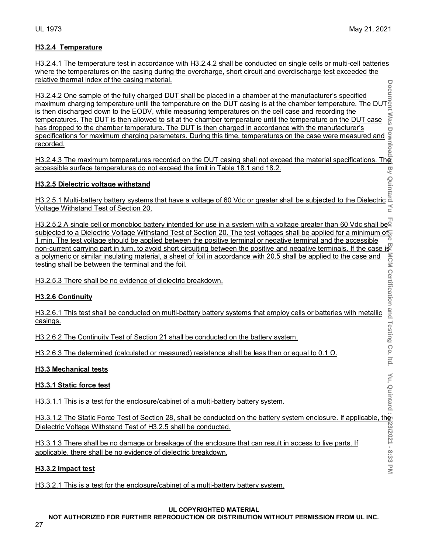#### **H3.2.4 Temperature**

H3.2.4.1 The temperature test in accordance with H3.2.4.2 shall be conducted on single cells or multi-cell batteries where the temperatures on the casing during the overcharge, short circuit and overdischarge test exceeded the relative thermal index of the casing material.

H3.2.4.2 One sample of the fully charged DUT shall be placed in a chamber at the manufacturer's specified maximum charging temperature until the temperature on the DUT casing is at the chamber temperature. The DUT is then discharged down to the EODV, while measuring temperatures on the cell case and recording the : Was temperatures. The DUT is then allowed to sit at the chamber temperature until the temperature on the DUT case has dropped to the chamber temperature. The DUT is then charged in accordance with the manufacturer's specifications for maximum charging parameters. During this time, temperatures on the case were measured and <u>recorded.</u>

H3.2.4.3 The maximum temperatures recorded on the DUT casing shall not exceed the material specifications. The accessible surface temperatures do not exceed the limit in Table 18.1 and 18.2.

#### **H3.2.5 Dielectric voltage withstand**

H3.2.5.1 Multi-battery battery systems that have a voltage of 60 Vdc or greater shall be subjected to the Dielectric Voltage Withstand Test of Section 20.

**Document Was Downloaded By Quintard Yu For Use By MCM Certification and Testing Co. ltd. Yu, Quintard : 5/23/2021 - 8:33 PM** H3.2.5.2 A single cell or monobloc battery intended for use in a system with a voltage greater than 60 Vdc shall be<sup>r</sup> subjected to a Dielectric Voltage Withstand Test of Section 20. The test voltages shall be applied for a minimum of 1 min. The test voltage should be applied between the positive terminal or negative terminal and the accessible non-current carrying part in turn, to avoid short circuiting between the positive and negative terminals. If the case is<br>a polymeric or similar insulating material, a sheet of foll in accordance with 20.5 shall be applie a polymeric or similar insulating material, a sheet of foil in accordance with 20.5 shall be applied to the case and testing shall be between the terminal and the foil.

H3.2.5.3 There shall be no evidence of dielectric breakdown.

#### **H3.2.6 Continuity**

H3.2.6.1 This test shall be conducted on multi-battery battery systems that employ cells or batteries with metallic casings.

H3.2.6.2 The Continuity Test of Section 21 shall be conducted on the battery system.

H3.2.6.3 The determined (calculated or measured) resistance shall be less than or equal to 0.1  $\Omega$ .

#### **H3.3 Mechanical tests**

#### **H3.3.1 Static force test**

H3.3.1.1 This is a test for the enclosure/cabinet of a multi-battery battery system.

H3.3.1.2 The Static Force Test of Section 28, shall be conducted on the battery system enclosure. If applicable, the Dielectric Voltage Withstand Test of H3.2.5 shall be conducted.

H3.3.1.3 There shall be no damage or breakage of the enclosure that can result in access to live parts. If applicable, there shall be no evidence of dielectric breakdown.

#### **H3.3.2 Impact test**

H3.3.2.1 This is a test for the enclosure/cabinet of a multi-battery battery system.

#### **UL COPYRIGHTED MATERIAL**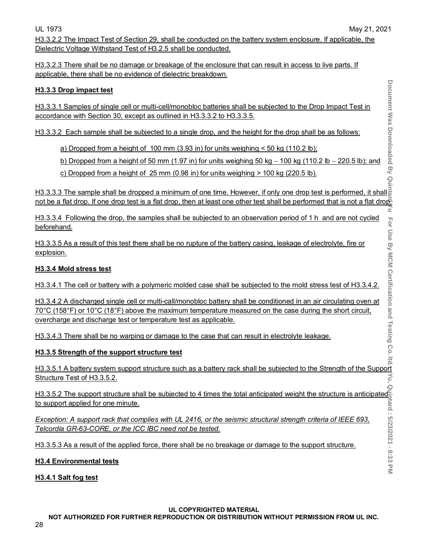H3.3.2.2 The Impact Test of Section 29, shall be conducted on the battery system enclosure. If applicable, the Dielectric Voltage Withstand Test of H3.2.5 shall be conducted.

H3.3.2.3 There shall be no damage or breakage of the enclosure that can result in access to live parts. If applicable, there shall be no evidence of dielectric breakdown.

# **H3.3.3 Drop impact test**

H3.3.3.1 Samples of single cell or multi-cell/monobloc batteries shall be subjected to the Drop Impact Test in accordance with Section 30, except as outlined in H3.3.3.2 to H3.3.3.5.

H3.3.3.2 Each sample shall be subjected to a single drop, and the height for the drop shall be as follows:

a) Dropped from a height of 100 mm (3.93 in) for units weighing < 50 kg (110.2 lb);

b) Dropped from a height of 50 mm (1.97 in) for units weighing 50 kg − 100 kg (110.2 lb − 220.5 lb); and

c) Dropped from a height of 25 mm (0.98 in) for units weighing > 100 kg (220.5 lb).

<u>H3.3.3.3 The sample shall be dropped a minimum of one time. However, if only one drop test is performed, it shall</u> not be a flat drop. If one drop test is a flat drop, then at least one other test shall be performed that is not a flat drop.<br>E

H3.3.3.4 Following the drop, the samples shall be subjected to an observation period of 1 h and are not cycled beforehand.

H3.3.3.5 As a result of this test there shall be no rupture of the battery casing, leakage of electrolyte, fire or explosion.

# **H3.3.4 Mold stress test**

H3.3.4.1 The cell or battery with a polymeric molded case shall be subjected to the mold stress test of H3.3.4.2.

H3.3.4.2 A discharged single cell or multi-call/monobloc battery shall be conditioned in an air circulating oven at 70°C (158°F) or 10°C (18°F) above the maximum temperature measured on the case during the short circuit, overcharge and discharge test or temperature test as applicable.

H3.3.4.3 There shall be no warping or damage to the case that can result in electrolyte leakage.

# **H3.3.5 Strength of the support structure test**

H3.3.5.1 A battery system support structure such as a battery rack shall be subjected to the Strength of the Support Structure Test of H3.3.5.2.

مّ<br>H3.3.5.2 The support structure shall be subjected to 4 times the total anticipated weight the structure is anticipated to support applied for one minute.

*Exception: A support rack that complies with UL 2416, or the seismic structural strength criteria of IEEE 693, Telcordia GR-63-CORE, or the ICC IBC need not be tested.*

H3.3.5.3 As a result of the applied force, there shall be no breakage or damage to the support structure.

# **H3.4 Environmental tests**

# **H3.4.1 Salt fog test**

# **UL COPYRIGHTED MATERIAL**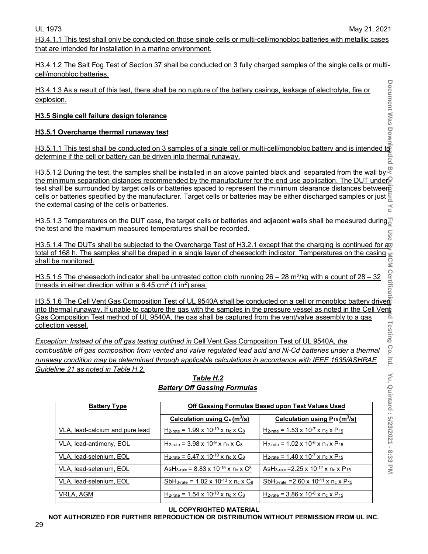H3.4.1.1 This test shall only be conducted on those single cells or multi-cell/monobloc batteries with metallic cases that are intended for installation in a marine environment.

H3.4.1.2 The Salt Fog Test of Section 37 shall be conducted on 3 fully charged samples of the single cells or multicell/monobloc batteries.

H3.4.1.3 As a result of this test, there shall be no rupture of the battery casings, leakage of electrolyte, fire or explosion.

#### **H3.5 Single cell failure design tolerance**

#### **H3.5.1 Overcharge thermal runaway test**

H3.5.1.1 This test shall be conducted on 3 samples of a single cell or multi-cell/monobloc battery and is intended t@ determine if the cell or battery can be driven into thermal runaway. ided

H3.5.1.2 During the test, the samples shall be installed in an alcove painted black and separated from the wall by  $\mathbb{Z}$ the minimum separation distances recommended by the manufacturer for the end use application. The DUT under P test shall be surrounded by target cells or batteries spaced to represent the minimum clearance distances between cells or batteries specified by the manufacturer. Target cells or batteries may be either discharged samples or just the external casing of the cells or batteries.

H3.5.1.3 Temperatures on the DUT case, the target cells or batteries and adjacent walls shall be measured during<sup>7</sup> the test and the maximum measured temperatures shall be recorded.

H3.5.1.4 The DUTs shall be subjected to the Overcharge Test of H3.2.1 except that the charging is continued for a total of 168 h. The samples shall be draped in a single layer of cheesecloth indicator. Temperatures on the casing <u>shall be monitored.</u>

H3.5.1.5 The cheesecloth indicator shall be untreated cotton cloth running  $26 - 28$  m<sup>2</sup>/kg with a count of  $28 - 32$ threads in either direction within a  $6.45$  cm<sup>2</sup> (1 in<sup>2</sup>) area.

H3.5.1.6 The Cell Vent Gas Composition Test of UL 9540A shall be conducted on a cell or monobloc battery driven into thermal runaway. If unable to capture the gas with the samples in the pressure vessel as noted in the Cell Vent Gas Composition Test method of UL 9540A, the gas shall be captured from the vent/valve assembly to a gas collection vessel.

*Exception: Instead of the off gas testing outlined in* Cell Vent Gas Composition Test of UL 9540A*, the combustible off gas composition from vented and valve regulated lead acid and Ni-Cd batteries under a thermal runaway condition may be determined through applicable calculations in accordance with IEEE 1635/ASHRAE Guideline 21 as noted in Table H.2.*

| <b>Battery Type</b>             | Off Gassing Formulas Based upon Test Values Used                                       |                                                                                     |  |  |
|---------------------------------|----------------------------------------------------------------------------------------|-------------------------------------------------------------------------------------|--|--|
|                                 | Calculation using $C_x(m^3/s)$                                                         | Calculation using $P_{15}$ (m <sup>3</sup> /s)                                      |  |  |
| VLA, lead-calcium and pure lead | $H_{2-rate} = 1.99 \times 10^{-10} \times n_c \times C_8$                              | H <sub>2-rate</sub> = 1.53 x 10 <sup>-7</sup> x n <sub>c</sub> x P <sub>15</sub>    |  |  |
| VLA, lead-antimony, EOL         | $H_{2\text{-rate}} = 3.98 \times 10^{-9} \times n_c \times C_8$                        | H <sub>2-rate</sub> = $1.02 \times 10^{-6} \times n_c \times P_{15}$                |  |  |
| VLA. lead-selenium. EOL         | $H_{2\text{-rate}} = 5.47 \times 10^{-10} \text{ x} \text{ n}_c \text{ x} \text{ C}_8$ | H <sub>2-rate</sub> = 1.40 x 10 <sup>-7</sup> x n <sub>c</sub> x P <sub>15</sub>    |  |  |
| VLA, lead-selenium, EOL         | AsH <sub>3-rate</sub> = $8.83 \times 10^{-15} \times n_c \times C^8$                   | AsH <sub>3-rate</sub> = 2.25 x 10 <sup>-12</sup> x n <sub>c</sub> x P <sub>15</sub> |  |  |
| VLA, lead-selenium, EOL         | SbH <sub>3-rate</sub> = $1.02 \times 10^{-13} \times n_c \times C_8$                   | SbH <sub>3-rate</sub> = 2.60 x 10 <sup>-11</sup> x n <sub>c</sub> x P <sub>15</sub> |  |  |
| VRLA, AGM                       | $H_{2-rate} = 1.54 \times 10^{-10} \times n_c \times C_8$                              | H <sub>2-rate</sub> = $3.86 \times 10^{-8} \times n_c \times P_{15}$                |  |  |

# *Table H.2 Battery Off Gassing Formulas*

**UL COPYRIGHTED MATERIAL**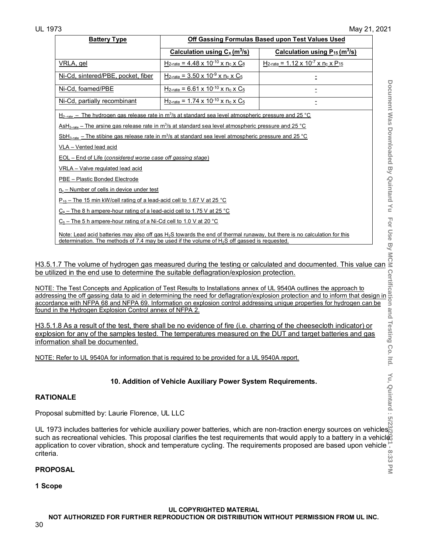$\leq$ 

| <b>Battery Type</b>                                                                                                                                                                                                                                         | Off Gassing Formulas Based upon Test Values Used                                               |                                                                    |  |  |  |
|-------------------------------------------------------------------------------------------------------------------------------------------------------------------------------------------------------------------------------------------------------------|------------------------------------------------------------------------------------------------|--------------------------------------------------------------------|--|--|--|
|                                                                                                                                                                                                                                                             | Calculation using $C_x(m^3/s)$                                                                 | Calculation using $P_{15}$ (m <sup>3</sup> /s)                     |  |  |  |
| VRLA, gel                                                                                                                                                                                                                                                   | $H_{2\text{-rate}} = 4.48 \times 10^{-10} \times n_c \times C_8$                               | $H_{2\text{-rate}} = 1.12 \times 10^{-7} \times n_c \times P_{15}$ |  |  |  |
| Ni-Cd, sintered/PBE, pocket, fiber                                                                                                                                                                                                                          | $H_{2\text{-rate}} = 3.50 \times 10^{-9} \times n_c \times C_5$                                |                                                                    |  |  |  |
| Ni-Cd, foamed/PBE                                                                                                                                                                                                                                           | $H_{2\text{-rate}} = 6.61 \times 10^{-10} \times n_c \times C_5$                               |                                                                    |  |  |  |
| Ni-Cd, partially recombinant                                                                                                                                                                                                                                | $H_{2\text{-rate}} = 1.74 \times 10^{-10} \times n_c \times C_5$                               |                                                                    |  |  |  |
| $SbH_{3\text{-rate}}$ – The stibine gas release rate in m <sup>3</sup> /s at standard sea level atmospheric pressure and 25 °C<br>VLA - Vented lead acid<br>EOL - End of Life (considered worse case off gassing stage)<br>VRLA - Valve regulated lead acid |                                                                                                |                                                                    |  |  |  |
| PBE - Plastic Bonded Electrode                                                                                                                                                                                                                              |                                                                                                |                                                                    |  |  |  |
| $n_c$ – Number of cells in device under test<br>$P_{15}$ – The 15 min kW/cell rating of a lead-acid cell to 1.67 V at 25 °C                                                                                                                                 |                                                                                                |                                                                    |  |  |  |
| $C_8$ – The 8 h ampere-hour rating of a lead-acid cell to 1.75 V at 25 °C                                                                                                                                                                                   |                                                                                                |                                                                    |  |  |  |
| $C_5$ – The 5 h ampere-hour rating of a Ni-Cd cell to 1.0 V at 20 °C                                                                                                                                                                                        |                                                                                                |                                                                    |  |  |  |
| Note: Lead acid batteries may also off gas H <sub>2</sub> S towards the end of thermal runaway, but there is no calculation for this                                                                                                                        | determination. The methods of 7.4 may be used if the volume of $H_2S$ off gassed is requested. |                                                                    |  |  |  |

H3.5.1.7 The volume of hydrogen gas measured during the testing or calculated and documented. This value can be utilized in the end use to determine the suitable deflagration/explosion protection.

NOTE: The Test Concepts and Application of Test Results to Installations annex of UL 9540A outlines the approach to addressing the off gassing data to aid in determining the need for deflagration/explosion protection and to inform that design in accordance with NFPA 68 and NFPA 69. Information on explosion control addressing unique properties for hydrogen can be found in the Hydrogen Explosion Control annex of NFPA 2.

H3.5.1.8 As a result of the test, there shall be no evidence of fire (i.e. charring of the cheesecloth indicator) or explosion for any of the samples tested. The temperatures measured on the DUT and target batteries and gas information shall be documented.

NOTE: Refer to UL 9540A for information that is required to be provided for a UL 9540A report.

# **10. Addition of Vehicle Auxiliary Power System Requirements.**

# **RATIONALE**

Proposal submitted by: Laurie Florence, UL LLC

**Document Was Downloaded By Quintard Yu For Use By MCM Certification and Testing Co. ltd. Yu, Quintard : 5/23/2021 - 8:33 PM** UL 1973 includes batteries for vehicle auxiliary power batteries, which are non-traction energy sources on vehicles such as recreational vehicles. This proposal clarifies the test requirements that would apply to a battery in a vehicl application to cover vibration, shock and temperature cycling. The requirements proposed are based upon vehicle  $\frac{1}{\infty}$ criteria. ن<br>ن

# **PROPOSAL**

**1 Scope** 

#### **UL COPYRIGHTED MATERIAL**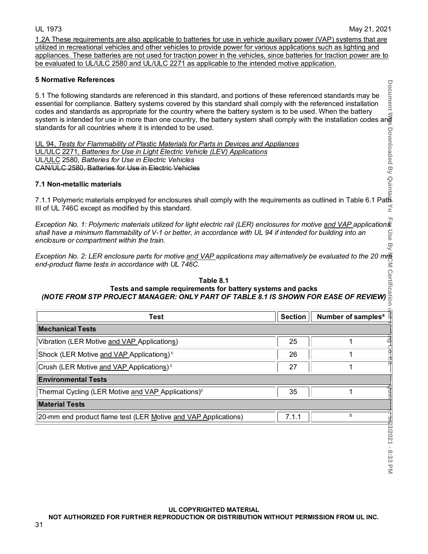1.2A These requirements are also applicable to batteries for use in vehicle auxiliary power (VAP) systems that are utilized in recreational vehicles and other vehicles to provide power for various applications such as lighting and appliances. These batteries are not used for traction power in the vehicles, since batteries for traction power are to be evaluated to UL/ULC 2580 and UL/ULC 2271 as applicable to the intended motive application.

#### **5 Normative References**

#### **7.1 Non-metallic materials**

# M Certification **Table 8.1 Tests and sample requirements for battery systems and packs** *(NOTE FROM STP PROJECT MANAGER: ONLY PART OF TABLE 8.1 IS SHOWN FOR EASE OF REVIEW)*

| 5.1 The following standards are referenced in this standard, and portions of these referenced standards may be<br>essential for compliance. Battery systems covered by this standard shall comply with the referenced installation<br>codes and standards as appropriate for the country where the battery system is to be used. When the battery<br>تِ<br>چَ codes and standards as appropriate for the country where the battery system is to be used. When the battery<br>system is intended for use in more than one country, the battery system shall comply with the installation<br>standards for all countries where it is intended to be used. |                | <b>Document</b>                |
|---------------------------------------------------------------------------------------------------------------------------------------------------------------------------------------------------------------------------------------------------------------------------------------------------------------------------------------------------------------------------------------------------------------------------------------------------------------------------------------------------------------------------------------------------------------------------------------------------------------------------------------------------------|----------------|--------------------------------|
| UL 94, Tests for Flammability of Plastic Materials for Parts in Devices and Appliances<br>UL/ULC 2271, Batteries for Use in Light Electric Vehicle (LEV) Applications<br>UL/ULC 2580, Batteries for Use in Electric Vehicles<br>CAN/ULC 2580, Batteries for Use in Electric Vehicles                                                                                                                                                                                                                                                                                                                                                                    |                | Downloaded By Quir             |
| 7.1 Non-metallic materials                                                                                                                                                                                                                                                                                                                                                                                                                                                                                                                                                                                                                              |                |                                |
| 7.1.1 Polymeric materials employed for enclosures shall comply with the requirements as outlined in Table 6.1 Path<br>III of UL 746C except as modified by this standard.                                                                                                                                                                                                                                                                                                                                                                                                                                                                               |                |                                |
| Exception No. 1: Polymeric materials utilized for light electric rail (LER) enclosures for motive and VAP applications<br>shall have a minimum flammability of V-1 or better, in accordance with UL 94 if intended for building into an<br>enclosure or compartment within the train.                                                                                                                                                                                                                                                                                                                                                                   |                | ω                              |
| Exception No. 2: LER enclosure parts for motive and VAP applications may alternatively be evaluated to the 20 mm<br>end-product flame tests in accordance with UL 746C.                                                                                                                                                                                                                                                                                                                                                                                                                                                                                 |                |                                |
|                                                                                                                                                                                                                                                                                                                                                                                                                                                                                                                                                                                                                                                         |                |                                |
| Table 8.1<br>Tests and sample requirements for battery systems and packs<br>(NOTE FROM STP PROJECT MANAGER: ONLY PART OF TABLE 8.1 IS SHOWN FOR EASE OF REVIEW) $\bar{\vec{z}}$                                                                                                                                                                                                                                                                                                                                                                                                                                                                         |                |                                |
| <b>Test</b>                                                                                                                                                                                                                                                                                                                                                                                                                                                                                                                                                                                                                                             | <b>Section</b> | Number of samples <sup>a</sup> |
| <b>Mechanical Tests</b>                                                                                                                                                                                                                                                                                                                                                                                                                                                                                                                                                                                                                                 |                |                                |
| Vibration (LER Motive and VAP Applications)                                                                                                                                                                                                                                                                                                                                                                                                                                                                                                                                                                                                             | 25             | 1                              |
| Shock (LER Motive and VAP Applications) <sup>c</sup>                                                                                                                                                                                                                                                                                                                                                                                                                                                                                                                                                                                                    | 26             | 1                              |
| Crush (LER Motive and VAP Applications) <sup>c</sup>                                                                                                                                                                                                                                                                                                                                                                                                                                                                                                                                                                                                    | 27             | 1                              |
| <b>Environmental Tests</b>                                                                                                                                                                                                                                                                                                                                                                                                                                                                                                                                                                                                                              |                |                                |
| Thermal Cycling (LER Motive and VAP Applications) <sup>c</sup>                                                                                                                                                                                                                                                                                                                                                                                                                                                                                                                                                                                          | 35             | 1                              |
| <b>Material Tests</b>                                                                                                                                                                                                                                                                                                                                                                                                                                                                                                                                                                                                                                   |                |                                |
| 20-mm end product flame test (LER Motive and VAP Applications)                                                                                                                                                                                                                                                                                                                                                                                                                                                                                                                                                                                          | 7.1.1          | $\mathsf b$                    |
|                                                                                                                                                                                                                                                                                                                                                                                                                                                                                                                                                                                                                                                         |                |                                |
|                                                                                                                                                                                                                                                                                                                                                                                                                                                                                                                                                                                                                                                         |                |                                |
|                                                                                                                                                                                                                                                                                                                                                                                                                                                                                                                                                                                                                                                         |                | 5723/2021 - 8:33 PM            |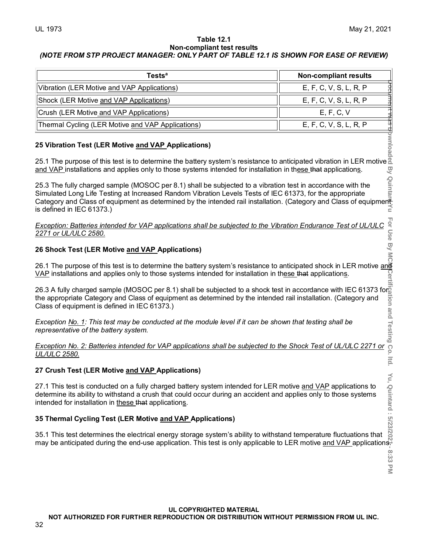#### **Table 12.1 Non-compliant test results** *(NOTE FROM STP PROJECT MANAGER: ONLY PART OF TABLE 12.1 IS SHOWN FOR EASE OF REVIEW)*

| <b>Tests</b> <sup>a</sup>                         | <b>Non-compliant results</b> |
|---------------------------------------------------|------------------------------|
| Vibration (LER Motive and VAP Applications)       | E, F, C, V, S, L, R, P       |
| Shock (LER Motive and VAP Applications)           | E, F, C, V, S, L, R, P       |
| Crush (LER Motive and VAP Applications)           | E, F, C, V                   |
| Thermal Cycling (LER Motive and VAP Applications) | E, F, C, V, S, L, R, P       |

# **25 Vibration Test (LER Motive and VAP Applications)**

25.1 The purpose of this test is to determine the battery system's resistance to anticipated vibration in LER motive and applies only to those systems intended for installation in these that applications.<br>25.3 The fully ch and VAP installations and applies only to those systems intended for installation in these that applications.

25.3 The fully charged sample (MOSOC per 8.1) shall be subjected to a vibration test in accordance with the Simulated Long Life Testing at Increased Random Vibration Levels Tests of IEC 61373, for the appropriate Category and Class of equipment as determined by the intended rail installation. (Category and Class of equipment<br>s defined in IEC 61373.) is defined in IEC 61373.)

#### *Exception: Batteries intended for VAP applications shall be subjected to the Vibration Endurance Test of UL/ULC 2271 or UL/ULC 2580.*

# **26 Shock Test (LER Motive and VAP Applications)**

26.1 The purpose of this test is to determine the battery system's resistance to anticipated shock in LER motive <u>and</u>i <u>VAP</u> installations and applies only to those systems intended for installation in th<u>ese that</u> application<u>s</u>.

26.3 A fully charged sample (MOSOC per 8.1) shall be subjected to a shock test in accordance with IEC 61373 for the appropriate Category and Class of equipment as determined by the intended rail installation. (Category and Class of equipment is defined in IEC 61373.)

*Exception No. 1: This test may be conducted at the module level if it can be shown that testing shall be representative of the battery system.*

*Exception No. 2: Batteries intended for VAP applications shall be subjected to the Shock Test of UL/ULC 2271 or UL/ULC 2580.*

# **27 Crush Test (LER Motive and VAP Applications)**

27.1 This test is conducted on a fully charged battery system intended for LER motive <u>and VAP</u> applications to determine its ability to withstand a crush that could occur during an accident and applies only to those systems intended for installation in <u>these tha</u>t application<u>s</u>.

# **35 Thermal Cycling Test (LER Motive and VAP Applications)**

35.1 This test determines the electrical energy storage system's ability to withstand temperature fluctuations that may be anticipated during the end-use application. This test is only applicable to LER motive <u>and VAP a</u>pplications<del>.</del>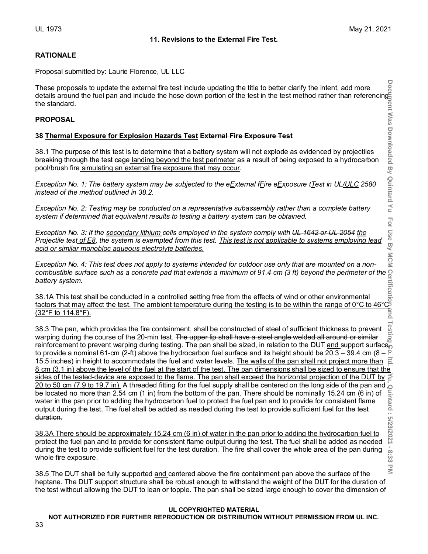#### **RATIONALE**

Proposal submitted by: Laurie Florence, UL LLC

These proposals to update the external fire test include updating the title to better clarify the intent, add more details around the fuel pan and include the hose down portion of the test in the test method rather than referencing the standard.

#### **PROPOSAL**

#### **38 Thermal Exposure for Explosion Hazards Test External Fire Exposure Test**

38.1 The purpose of this test is to determine that a battery system will not explode as evidenced by projectiles breaking through the test cage landing beyond the test perimeter as a result of being exposed to a hydrocarbon pool/brush fire simulating an external fire exposure that may occur.

*Exception No. 1: The battery system may be subjected to the eExternal fFire eExposure tTest in UL/ULC 2580 instead of the method outlined in 38.2.*

*Exception No. 2: Testing may be conducted on a representative subassembly rather than a complete battery system if determined that equivalent results to testing a battery system can be obtained.*

*Exception No. 3: If the secondary lithium cells employed in the system comply with UL 1642 or UL 2054 the Projectile test of E8, the system is exempted from this test. This test is not applicable to systems employing lead acid or similar monobloc aqueous electrolyte batteries.*

*Exception No. 4: This test does not apply to systems intended for outdoor use only that are mounted on a noncombustible surface such as a concrete pad that extends a minimum of 91.4 cm (3 ft) beyond the perimeter of the battery system.*

38.1A This test shall be conducted in a controlled setting free from the effects of wind or other environmental factors that may affect the test. The ambient temperature during the testing is to be within the range of 0°C to 46°C (32°F to 114.8°F).

38.3 The pan, which provides the fire containment, shall be constructed of steel of sufficient thickness to prevent warping during the course of the 20-min test. The upper lip shall have a steel angle welded all around or similar reinforcement to prevent warping during testing. The pan shall be sized, in relation to the DUT and support surface, to provide a nominal 61-cm (2-ft) above the hydrocarbon fuel surface and its height should be 20.3 – 39.4 cm (8 –  $\degree$ 15.5 inches) in height to accommodate the fuel and water levels. The walls of the pan shall not project more than  $\frac{1}{6}$ 8 cm (3.1 in) above the level of the fuel at the start of the test. The pan dimensions shall be sized to ensure that the sides of the tested-device are exposed to the flame. The pan shall exceed the horizontal projection sides of the tested-device are exposed to the flame. The pan shall exceed the horizontal projection of the DUT by 20 to 50 cm (7.9 to 19.7 in). A threaded fitting for the fuel supply shall be centered on the long side of the pan and be located no more than 2.54 cm (1 in) from the bottom of the pan. There should be nominally 15.24 cm (6 in) of water in the pan prior to adding the hydrocarbon fuel to protect the fuel pan and to provide for consistent flame output during the test. The fuel shall be added as needed during the test to provide sufficient fuel for the test duration.

38.3A There should be approximately 15.24 cm (6 in) of water in the pan prior to adding the hydrocarbon fuel to protect the fuel pan and to provide for consistent flame output during the test. The fuel shall be added as needed during the test to provide sufficient fuel for the test duration. The fire shall cover the whole area of the pan during whole fire exposure.

38.5 The DUT shall be fully supported and centered above the fire containment pan above the surface of the heptane. The DUT support structure shall be robust enough to withstand the weight of the DUT for the duration of the test without allowing the DUT to lean or topple. The pan shall be sized large enough to cover the dimension of

#### **UL COPYRIGHTED MATERIAL**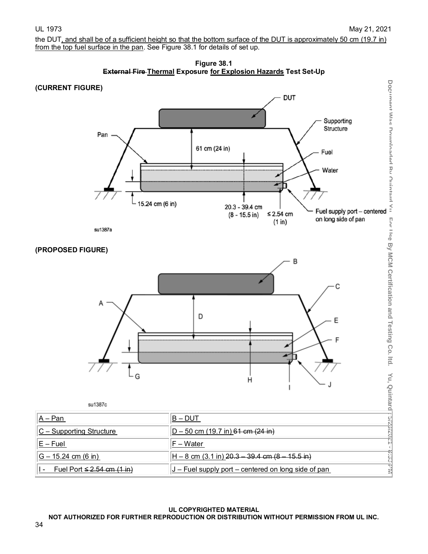the DUT, and shall be of a sufficient height so that the bottom surface of the DUT is approximately 50 cm (19.7 in) from the top fuel surface in the pan. See Figure 38.1 for details of set up.



# **(CURRENT FIGURE)**





| __ | ----- |  |
|----|-------|--|

| $ A - Pan $                           | B – DUT                                                              |
|---------------------------------------|----------------------------------------------------------------------|
| $ C -$ Supporting Structure           | $D - 50$ cm (19.7 in) 61 cm (24 in)                                  |
| $E$ – Fuel                            | ∣F – Water                                                           |
| $ G - 15.24$ cm (6 in)                | $H - 8$ cm $(3.1 \text{ in})$ 20.3 - 39.4 cm $(8 - 15.5 \text{ in})$ |
| Fuel Port <del>≤ 2.54 cm (1 in)</del> | $J$ – Fuel supply port – centered on long side of pan                |

#### **UL COPYRIGHTED MATERIAL**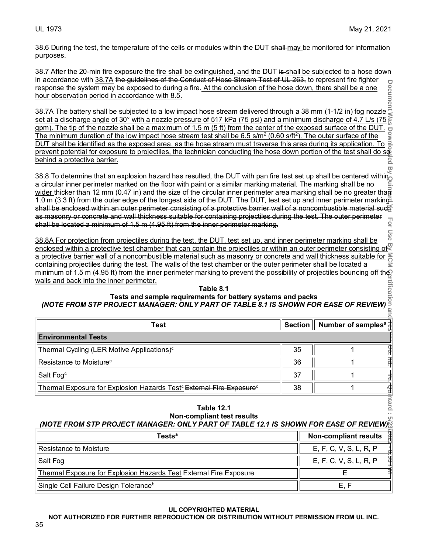38.6 During the test, the temperature of the cells or modules within the DUT shall-may be monitored for information purposes.

38.7 After the 20-min fire exposure the fire shall be extinguished, and the DUT is shall be subjected to a hose down in accordance with 38.7A the quidelines of the Conduct of Hose Stream Test of UL 263, to represent fire fighter response the system may be exposed to during a fire. At the conclusion of the hose down, there shall be a one hour observation period in accordance with 8.5. Solution of the battery shall be subjected to a low impact hose stream delivered through a 38 mm (1-1/2 in) fog nozzle.<br>38.7A The battery shall be subjected to a low impact hose stream delivered through a 38 mm (1-1/2 in)

#### **Table 8.1 Tests and sample requirements for battery systems and packs** *(NOTE FROM STP PROJECT MANAGER: ONLY PART OF TABLE 8.1 IS SHOWN FOR EASE OF REVIEW)* Ψ

| in accordance with out mane galactines or the contacte or nose otheam hest or of 200, to represent the hynter                                                                                                                                                                                                                                                                                                                                                                                                                                                                                                                                                                                                                                                                                                                                                                                                                                                                                                                                                                                                                                                                                                                                                                                                                                                                                                                                                                                                                                                                                                                                                            |                |  |                                |  |
|--------------------------------------------------------------------------------------------------------------------------------------------------------------------------------------------------------------------------------------------------------------------------------------------------------------------------------------------------------------------------------------------------------------------------------------------------------------------------------------------------------------------------------------------------------------------------------------------------------------------------------------------------------------------------------------------------------------------------------------------------------------------------------------------------------------------------------------------------------------------------------------------------------------------------------------------------------------------------------------------------------------------------------------------------------------------------------------------------------------------------------------------------------------------------------------------------------------------------------------------------------------------------------------------------------------------------------------------------------------------------------------------------------------------------------------------------------------------------------------------------------------------------------------------------------------------------------------------------------------------------------------------------------------------------|----------------|--|--------------------------------|--|
| response the system may be exposed to during a fire. At the conclusion of the hose down, there shall be a one<br>hour observation period in accordance with 8.5.<br>38.7A The battery shall be subjected to a low impact hose stream                                                                                                                                                                                                                                                                                                                                                                                                                                                                                                                                                                                                                                                                                                                                                                                                                                                                                                                                                                                                                                                                                                                                                                                                                                                                                                                                                                                                                                     |                |  |                                |  |
| set at a discharge angle of 30° with a nozzle pressure of 517 kPa (75 psi) and a minimum discharge of 4.7 L/s (75 $\frac{5}{69}$<br>gpm). The tip of the nozzle shall be a maximum of 1.5 m (5 ft) from the center of the exposed surface of the DUT.                                                                                                                                                                                                                                                                                                                                                                                                                                                                                                                                                                                                                                                                                                                                                                                                                                                                                                                                                                                                                                                                                                                                                                                                                                                                                                                                                                                                                    |                |  |                                |  |
| The minimum duration of the low impact hose stream test shall be 6.5 s/m <sup>2</sup> (0.60 s/ft <sup>2</sup> ). The outer surface of the                                                                                                                                                                                                                                                                                                                                                                                                                                                                                                                                                                                                                                                                                                                                                                                                                                                                                                                                                                                                                                                                                                                                                                                                                                                                                                                                                                                                                                                                                                                                |                |  |                                |  |
| DUT shall be identified as the exposed area, as the hose stream must traverse this area during its application. To                                                                                                                                                                                                                                                                                                                                                                                                                                                                                                                                                                                                                                                                                                                                                                                                                                                                                                                                                                                                                                                                                                                                                                                                                                                                                                                                                                                                                                                                                                                                                       |                |  |                                |  |
| <u>prevent potential for exposure to projectiles, the technician conducting the hose down portion of the test shall do so</u><br>behind a protective barrier.                                                                                                                                                                                                                                                                                                                                                                                                                                                                                                                                                                                                                                                                                                                                                                                                                                                                                                                                                                                                                                                                                                                                                                                                                                                                                                                                                                                                                                                                                                            |                |  |                                |  |
|                                                                                                                                                                                                                                                                                                                                                                                                                                                                                                                                                                                                                                                                                                                                                                                                                                                                                                                                                                                                                                                                                                                                                                                                                                                                                                                                                                                                                                                                                                                                                                                                                                                                          |                |  |                                |  |
| 38.8 To determine that an explosion hazard has resulted, the DUT with pan fire test set up shall be centered within<br>a circular inner perimeter marked on the floor with paint or a similar marking material. The marking shall be no<br>wider thicker than 12 mm (0.47 in) and the size of the circular inner perimeter area marking shall be no greater than<br>1.0 m (3.3 ft) from the outer edge of the longest side of the DUT. The DUT, test set up and inner perimeter marking<br>shall be enclosed within an outer perimeter consisting of a protective barrier wall of a noncombustible material such<br>as masonry or concrete and wall thickness suitable for containing projectiles during the test. The outer perimeter<br>shall be located a minimum of 1.5 m (4.95 ft) from the inner perimeter marking.<br>38.8A For protection from projectiles during the test, the DUT, test set up, and inner perimeter marking shall be<br>enclosed within a protective test chamber that can contain the projectiles or within an outer perimeter consisting of<br>a protective barrier wall of a noncombustible material such as masonry or concrete and wall thickness suitable for <mark>≷</mark><br>containing projectiles during the test. The walls of the test chamber or the outer perimeter shall be located a<br>minimum of 1.5 m (4.95 ft) from the inner perimeter marking to prevent the possibility of projectiles bouncing off the<br>walls and back into the inner perimeter.<br>Table 8.1<br>Tests and sample requirements for battery systems and packs<br>(NOTE FROM STP PROJECT MANAGER: ONLY PART OF TABLE 8.1 IS SHOWN FOR EASE OF REVIEW) |                |  |                                |  |
| <b>Test</b>                                                                                                                                                                                                                                                                                                                                                                                                                                                                                                                                                                                                                                                                                                                                                                                                                                                                                                                                                                                                                                                                                                                                                                                                                                                                                                                                                                                                                                                                                                                                                                                                                                                              | <b>Section</b> |  | Number of samples <sup>a</sup> |  |
| <b>Environmental Tests</b>                                                                                                                                                                                                                                                                                                                                                                                                                                                                                                                                                                                                                                                                                                                                                                                                                                                                                                                                                                                                                                                                                                                                                                                                                                                                                                                                                                                                                                                                                                                                                                                                                                               |                |  |                                |  |
| Thermal Cycling (LER Motive Applications) <sup>c</sup>                                                                                                                                                                                                                                                                                                                                                                                                                                                                                                                                                                                                                                                                                                                                                                                                                                                                                                                                                                                                                                                                                                                                                                                                                                                                                                                                                                                                                                                                                                                                                                                                                   | 35             |  | 1                              |  |
| Resistance to Moisture <sup>c</sup>                                                                                                                                                                                                                                                                                                                                                                                                                                                                                                                                                                                                                                                                                                                                                                                                                                                                                                                                                                                                                                                                                                                                                                                                                                                                                                                                                                                                                                                                                                                                                                                                                                      | 36             |  | 1                              |  |
| Salt Fog <sup>c</sup>                                                                                                                                                                                                                                                                                                                                                                                                                                                                                                                                                                                                                                                                                                                                                                                                                                                                                                                                                                                                                                                                                                                                                                                                                                                                                                                                                                                                                                                                                                                                                                                                                                                    | 37             |  | 1                              |  |
| Thermal Exposure for Explosion Hazards Test <sup>c</sup> External Fire Exposure <sup>c</sup>                                                                                                                                                                                                                                                                                                                                                                                                                                                                                                                                                                                                                                                                                                                                                                                                                                                                                                                                                                                                                                                                                                                                                                                                                                                                                                                                                                                                                                                                                                                                                                             | 38             |  | 1                              |  |
| ntard<br><b>Table 12.1</b><br>Non-compliant test results<br>(NOTE FROM STP PROJECT MANAGER: ONLY PART OF TABLE 12.1 IS SHOWN FOR EASE OF REVIEW)                                                                                                                                                                                                                                                                                                                                                                                                                                                                                                                                                                                                                                                                                                                                                                                                                                                                                                                                                                                                                                                                                                                                                                                                                                                                                                                                                                                                                                                                                                                         |                |  |                                |  |
|                                                                                                                                                                                                                                                                                                                                                                                                                                                                                                                                                                                                                                                                                                                                                                                                                                                                                                                                                                                                                                                                                                                                                                                                                                                                                                                                                                                                                                                                                                                                                                                                                                                                          |                |  |                                |  |
| <b>Tests<sup>a</sup></b>                                                                                                                                                                                                                                                                                                                                                                                                                                                                                                                                                                                                                                                                                                                                                                                                                                                                                                                                                                                                                                                                                                                                                                                                                                                                                                                                                                                                                                                                                                                                                                                                                                                 |                |  | <b>Non-compliant results</b>   |  |
| Resistance to Moisture                                                                                                                                                                                                                                                                                                                                                                                                                                                                                                                                                                                                                                                                                                                                                                                                                                                                                                                                                                                                                                                                                                                                                                                                                                                                                                                                                                                                                                                                                                                                                                                                                                                   |                |  | E, F, C, V, S, L, R, P         |  |
| Salt Fog                                                                                                                                                                                                                                                                                                                                                                                                                                                                                                                                                                                                                                                                                                                                                                                                                                                                                                                                                                                                                                                                                                                                                                                                                                                                                                                                                                                                                                                                                                                                                                                                                                                                 |                |  | E, F, C, V, S, L, R, P         |  |

#### **Table 12.1 Non-compliant test results** *(NOTE FROM STP PROJECT MANAGER: ONLY PART OF TABLE 12.1 IS SHOWN FOR EASE OF REVIEW)*

| <b>Tests<sup>a</sup></b>                                           | <b>Non-compliant results</b> |
|--------------------------------------------------------------------|------------------------------|
| Resistance to Moisture                                             | E, F, C, V, S, L, R, P       |
| Salt Fog                                                           | E, F, C, V, S, L, R, P       |
| Thermal Exposure for Explosion Hazards Test External Fire Exposure |                              |
| Single Cell Failure Design Tolerance <sup>b</sup>                  | E.F                          |

#### **UL COPYRIGHTED MATERIAL**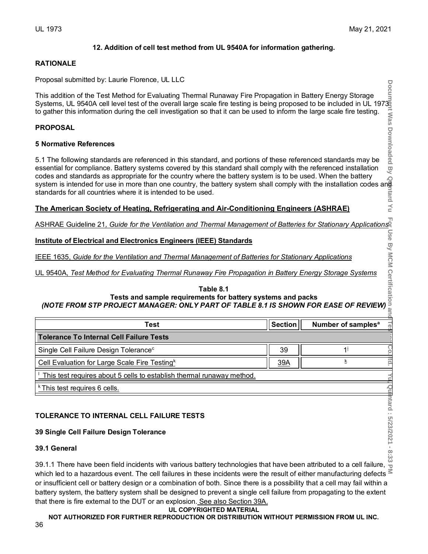#### **12. Addition of cell test method from UL 9540A for information gathering.**

#### **RATIONALE**

Proposal submitted by: Laurie Florence, UL LLC

# **PROPOSAL**

#### **5 Normative References**

#### **The American Society of Heating, Refrigerating and Air-Conditioning Engineers (ASHRAE)**

#### **Institute of Electrical and Electronics Engineers (IEEE) Standards**

# ASHRAE Guideline 21, Guide for the Ventilation and Thermal Management of Batteries for Stationary Applications<br>
Institute of Electrical and Electronics Engineers (IEEE) Standards<br>
IEEE 1635, Guide for the Ventilation and T **Table 8.1 Tests and sample requirements for battery systems and packs** *(NOTE FROM STP PROJECT MANAGER: ONLY PART OF TABLE 8.1 IS SHOWN FOR EASE OF REVIEW)*

| This addition of the Test Method for Evaluating Thermal Runaway Fire Propagation in Battery Energy Storage<br>Systems, UL 9540A cell level test of the overall large scale fire testing is being proposed to be included in UL 1<br>codes and standards as appropriate for the country where the battery system is to be used. When the battery<br>codes and standards as appropriate for the country where the battery system is to be used. When the battery po<br>system is intended for use in more than one country, the battery system shall comply with the installation code<br>standards for all countries where it is intended to be used. |                |                                | tard                 |
|------------------------------------------------------------------------------------------------------------------------------------------------------------------------------------------------------------------------------------------------------------------------------------------------------------------------------------------------------------------------------------------------------------------------------------------------------------------------------------------------------------------------------------------------------------------------------------------------------------------------------------------------------|----------------|--------------------------------|----------------------|
| The American Society of Heating, Refrigerating and Air-Conditioning Engineers (ASHRAE)                                                                                                                                                                                                                                                                                                                                                                                                                                                                                                                                                               |                |                                |                      |
| ASHRAE Guideline 21, Guide for the Ventilation and Thermal Management of Batteries for Stationary Applications                                                                                                                                                                                                                                                                                                                                                                                                                                                                                                                                       |                |                                |                      |
| <b>Institute of Electrical and Electronics Engineers (IEEE) Standards</b>                                                                                                                                                                                                                                                                                                                                                                                                                                                                                                                                                                            |                |                                | Use                  |
| IEEE 1635, Guide for the Ventilation and Thermal Management of Batteries for Stationary Applications<br>UL 9540A, Test Method for Evaluating Thermal Runaway Fire Propagation in Battery Energy Storage Systems                                                                                                                                                                                                                                                                                                                                                                                                                                      |                |                                | By MCM Certification |
| Table 8.1<br>Tests and sample requirements for battery systems and packs<br>(NOTE FROM STP PROJECT MANAGER: ONLY PART OF TABLE 8.1 IS SHOWN FOR EASE OF REVIEW)                                                                                                                                                                                                                                                                                                                                                                                                                                                                                      |                |                                |                      |
| <b>Test</b>                                                                                                                                                                                                                                                                                                                                                                                                                                                                                                                                                                                                                                          | <b>Section</b> | Number of samples <sup>a</sup> |                      |
| <b>Tolerance To Internal Cell Failure Tests</b>                                                                                                                                                                                                                                                                                                                                                                                                                                                                                                                                                                                                      |                |                                |                      |
| Single Cell Failure Design Tolerance <sup>c</sup>                                                                                                                                                                                                                                                                                                                                                                                                                                                                                                                                                                                                    | 39             | $1^{\mathrm{i}}$               |                      |
| Cell Evaluation for Large Scale Fire Testing <sup>k</sup>                                                                                                                                                                                                                                                                                                                                                                                                                                                                                                                                                                                            | 39A            | $\overline{\mathsf{k}}$        | <u>p</u>             |
| This test requires about 5 cells to establish thermal runaway method.                                                                                                                                                                                                                                                                                                                                                                                                                                                                                                                                                                                |                |                                |                      |
| <sup>k</sup> This test requires 6 cells.                                                                                                                                                                                                                                                                                                                                                                                                                                                                                                                                                                                                             |                |                                |                      |
| TOLERANCE TO INTERNAL CELL FAILURE TESTS<br>39 Single Cell Failure Design Tolerance                                                                                                                                                                                                                                                                                                                                                                                                                                                                                                                                                                  |                |                                | ntard: 5/23/2021 -   |
| 39.1 General                                                                                                                                                                                                                                                                                                                                                                                                                                                                                                                                                                                                                                         |                |                                |                      |
| 39.1.1 There have been field incidents with various battery technologies that have been attributed to a cell failure, $\frac{6}{10}$                                                                                                                                                                                                                                                                                                                                                                                                                                                                                                                 |                |                                |                      |
| upich lad to a bozardous quant. The soll foilures in these insidents were the result of either monufacturing defects                                                                                                                                                                                                                                                                                                                                                                                                                                                                                                                                 |                |                                |                      |

# **TOLERANCE TO INTERNAL CELL FAILURE TESTS**

# **39 Single Cell Failure Design Tolerance**

#### **39.1 General**

itard: 5/23/2021 - 8:33 39.1.1 There have been field incidents with various battery technologies that have been attributed to a cell failure,  $\frac{8}{10}$ which led to a hazardous event. The cell failures in these incidents were the result of either manufacturing defects  $\leq$ or insufficient cell or battery design or a combination of both. Since there is a possibility that a cell may fail within a battery system, the battery system shall be designed to prevent a single cell failure from propagating to the extent that there is fire external to the DUT or an explosion. See also Section 39A.

#### **UL COPYRIGHTED MATERIAL**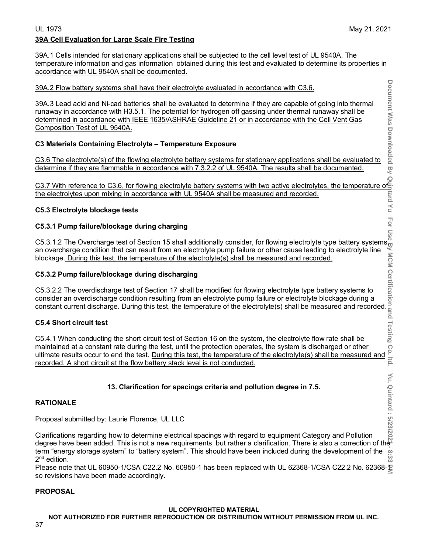$\frac{1}{10}$ 

# UL 1973 May 21, 2021 **39A Cell Evaluation for Large Scale Fire Testing**

39A.1 Cells intended for stationary applications shall be subjected to the cell level test of UL 9540A, The temperature information and gas information obtained during this test and evaluated to determine its properties in accordance with UL 9540A shall be documented.

39A.2 Flow battery systems shall have their electrolyte evaluated in accordance with C3.6.

39A.3 Lead acid and Ni-cad batteries shall be evaluated to determine if they are capable of going into thermal runaway in accordance with H3.5.1. The potential for hydrogen off gassing under thermal runaway shall be determined in accordance with IEEE 1635/ASHRAE Guideline 21 or in accordance with the Cell Vent Gas Composition Test of UL 9540A. 39A.2 Flow battery systems shall have their electrolyte evaluated in accordance with C3.6.<br>
39A.3 Lead acid and Ni-cad batteries shall be evaluated to determine if they are capable of going into thermal<br>
tunaway in accord

# **C3 Materials Containing Electrolyte – Temperature Exposure**

C3.6 The electrolyte(s) of the flowing electrolyte battery systems for stationary applications shall be evaluated to determine if they are flammable in accordance with 7.3.2.2 of UL 9540A. The results shall be documented.

the electrolytes upon mixing in accordance with UL 9540A shall be measured and recorded.

# **C5.3 Electrolyte blockage tests**

# **C5.3.1 Pump failure/blockage during charging**

C5.3.1.2 The Overcharge test of Section 15 shall additionally consider, for flowing electrolyte type battery systems $_{\rm u}^{\rm w}$ an overcharge condition that can result from an electrolyte pump failure or other cause leading to electrolyte line blockage. <u>During this test, the temperature of the electrolyte(s) shall be measured and recorded.</u>

# **C5.3.2 Pump failure/blockage during discharging**

C5.3.2.2 The overdischarge test of Section 17 shall be modified for flowing electrolyte type battery systems to consider an overdischarge condition resulting from an electrolyte pump failure or electrolyte blockage during a constant current discharge. <u>During this test, the temperature of the electrolyte(s) shall be measured and recorded.</u>

# **C5.4 Short circuit test**

C5.4.1 When conducting the short circuit test of Section 16 on the system, the electrolyte flow rate shall be maintained at a constant rate during the test, until the protection operates, the system is discharged or other maintained at a constant rate during the test, until the protection operates, the system is discharged or other<br>
ultimate results occur to end the test. During this test, the temperature of the electrolyte(s) shall be meas recorded. A short circuit at the flow battery stack level is not conducted.

# **13. Clarification for spacings criteria and pollution degree in 7.5.**

# **RATIONALE**

Proposal submitted by: Laurie Florence, UL LLC

**Document Was Downloaded By Quintard Yu For Use By MCM Certification and Testing Co. ltd. Yu, Quintard : 5/23/2021 - 8:33 PM** Clarifications regarding how to determine electrical spacings with regard to equipment Category and Pollution degree have been added. This is not a new requirements, but rather a clarification. There is also a correction of the term "energy storage system" to "battery system". This should have been included during the development of the  $\circ$ 2<sup>nd</sup> edition. نغ<br>ده

Please note that UL 60950-1/CSA C22.2 No. 60950-1 has been replaced with UL 62368-1/CSA C22.2 No. 62368-1 so revisions have been made accordingly.

# **PROPOSAL**

# **UL COPYRIGHTED MATERIAL**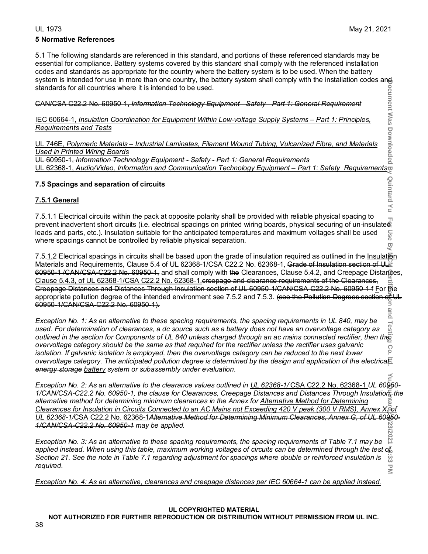Quintard

# **5 Normative References**

5.1 The following standards are referenced in this standard, and portions of these referenced standards may be essential for compliance. Battery systems covered by this standard shall comply with the referenced installation codes and standards as appropriate for the country where the battery system is to be used. When the battery svstem is intended for use in more than one country, the battery system shall comply with the installation codes and standards for all countries where it is intended to be used.

CAN/CSA C22.2 No. 60950-1, *Information Technology Equipment - Safety - Part 1: General Requirement*

IEC 60664-1, *Insulation Coordination for Equipment Within Low-voltage Supply Systems – Part 1: Principles, Requirements and Tests*

UL 746E, *Polymeric Materials – Industrial Laminates, Filament Wound Tubing, Vulcanized Fibre, and Materials Used in Printed Wiring Boards* UL 60950-1, *Information Technology Equipment - Safety - Part 1: General Requirements* of CAN/CSA C22.2 No. 60950-1, *Information Technology Equipment - Safety - Part 1: General Requirement*<br>
<u>IEC 60664-1, *Insulation Coordination for Equipment Within Low-voltage Supply Systems – Part 1: Principles.*<br>
<u>Requi</u></u>

# **7.5 Spacings and separation of circuits**

# **7.5.1 General**

 $\leq$ 7.5.1.1 Electrical circuits within the pack at opposite polarity shall be provided with reliable physical spacing to prevent inadvertent short circuits (i.e. electrical spacings on printed wiring boards, physical securing of un-insulated<br>leads and parts, etc.). Insulation suitable for the anticipated temperatures and maximum voltages sha leads and parts, etc.). Insulation suitable for the anticipated temperatures and maximum voltages shall be used where spacings cannot be controlled by reliable physical separation.  $\overline{C}$ 

7.5.1.2 Electrical spacings in circuits shall be based upon the grade of insulation required as outlined in the Insulation Materials and Requirements, Clause 5.4 of UL 62368-1/CSA C22.2 No. 62368-1, Grade of Insulation section of ULE 60950-1 /CAN/CSA-C22.2 No. 60950-1, and shall comply with the Clearances, Clause 5.4.2, and Creepage Distances, Clause 5.4.3, of UL 62368-1/CSA C22.2 No. 62368-1.creepage and clearance requirements of the Clearances, Creepage Distances and Distances Through Insulation section of UL 60950-1/CAN/CSA-C22.2 No. 60950-1 f For the appropriate pollution degree of the intended environment see 7.5.2 and 7.5.3. (see the Pollution Degrees section of UL 60950-1/CAN/CSA-C22.2 No. 60950-1).

Document Was Document By Quintard Hu For Use By Go. O. Ltd. The State By Go. Definites on the Use By Dealership in the Use By Dealership in the Use By Dealership in the Use By Dealership in the Use By Dealership in the Us and *Exception No. 1: As an alternative to these spacing requirements, the spacing requirements in UL 840, may be*  Tes *used. For determination of clearances, a dc source such as a battery does not have an overvoltage category as outlined in the section for Components of UL 840 unless charged through an ac mains connected rectifier, then the overvoltage category should be the same as that required for the rectifier unless the rectifier uses galvanic*  Co *isolation. If galvanic isolation is employed, then the overvoltage category can be reduced to the next lower overvoltage category. The anticipated pollution degree is determined by the design and application of the electrical energy storage battery system or subassembly under evaluation.*

*Exception No. 2: As an alternative to the clearance values outlined in UL 62368-1/* CSA C22.2 No. 62368-1 *UL 60950- 1/CAN/CSA-C22.2 No. 60950-1, the clause for Clearances, Creepage Distances and Distances Through Insulation, the alternative method for determining minimum clearances in the Annex for Alternative Method for Determining Clearances for Insulation in Circuits Connected to an AC Mains not Exceeding 420 V peak (300 V RMS), Annex X***,** *of UL 62368-1/*CSA C22.2 No. 62368-1*Alternative Method for Determining Minimum Clearances, Annex G, of UL 60950- 1/CAN/CSA-C22.2 No. 60950-1 may be applied.*

2021 *Exception No. 3: As an alternative to these spacing requirements, the spacing requirements of Table 7.1 may be*  applied instead. When using this table, maximum working voltages of circuits can be determined through the test of Section 21. See the note in Table 7.1 regarding adjustment for spacings where double or reinforced insulation is ပ္က *required.*  $\overline{\leq}$ 

*Exception No. 4: As an alternative, clearances and creepage distances per IEC 60664-1 can be applied instead.*

### **UL COPYRIGHTED MATERIAL**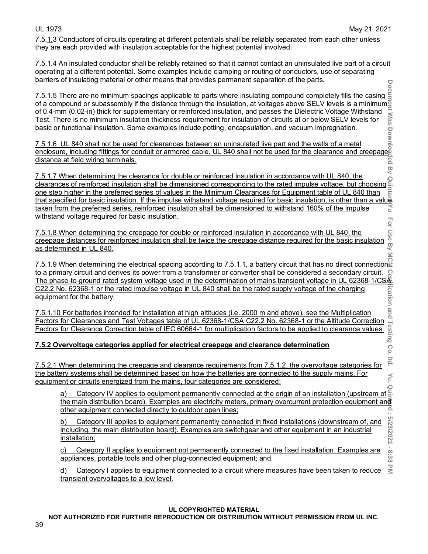**Itid** 

 $\sum_{i=1}^{n}$ 

نخ<br>دی

7.5.1.3 Conductors of circuits operating at different potentials shall be reliably separated from each other unless they are each provided with insulation acceptable for the highest potential involved.

7.5.1.4 An insulated conductor shall be reliably retained so that it cannot contact an uninsulated live part of a circuit operating at a different potential. Some examples include clamping or routing of conductors, use of separating barriers of insulating material or other means that provides permanent separation of the parts.

7.5.<u>1.</u>5 There are no minimum spacings applicable to parts where insulating compound completely fills the casing of a compound or subassembly if the distance through the insulation, at voltages above SELV levels is a minimum $\frac{8}{3}$ of 0.4-mm (0.02-in) thick for supplementary or reinforced insulation, and passes the Dielectric Voltage Withstand Test. There is no minimum insulation thickness requirement for insulation of circuits at or below SELV levels for basic or functional insulation. Some examples include potting, encapsulation, and vacuum impregnation.

7.5.1.6 UL 840 shall not be used for clearances between an uninsulated live part and the walls of a metal enclosure, including fittings for conduit or armored cable. UL 840 shall not be used for the clearance and creepage distance at field wiring terminals.

**Document Was Downloaded By Quintard Yu For Use By MCM Certification and Testing Co. ltd. Yu, Quintard : 5/23/2021 - 8:33 PM** 7.5.1.7 When determining the clearance for double or reinforced insulation in accordance with UL 840, the clearances of reinforced insulation shall be dimensioned corresponding to the rated impulse voltage, but choosing one step higher in the preferred series of values in the Minimum Clearances for Equipment table of UL 840 than that specified for basic insulation. If the impulse withstand voltage required for basic insulation, is other than a value<br>taken from the preferred series, reinforced insulation shall be dimensioned to withstand 160% of t taken from the preferred series, reinforced insulation shall be dimensioned to withstand 160% of the impulse withstand voltage required for basic insulation. For

7.5.1.8 When determining the creepage for double or reinforced insulation in accordance with UL 840, the creepage distances for reinforced insulation shall be twice the creepage distance required for the basic insulation as determined in UL 840.

7.5.1.9 When determining the electrical spacing according to 7.5.1.1, a battery circuit that has no direct connection to a primary circuit and derives its power from a transformer or converter shall be considered a secondary circuit. <u>The phase-to-ground rated system voltage used in the determination of mains transient voltage in UL 62368-1/CSA</u> C22.2 No. 62368-1 or the rated impulse voltage in UL 840 shall be the rated supply voltage of the charging equipment for the battery.

7.5.1.10 For batteries intended for installation at high altitudes (i.e. 2000 m and above), see the Multiplication Factors for Clearances and Test Voltages table of UL 62368-1/CSA C22.2 No. 62368-1 or the Altitude Correction<br>
Factors for Clearances and Test Voltages table of UL 62368-1/CSA C22.2 No. 62368-1 or the Altitude Correction<br> Factors for Clearance Correction table of IEC 60664-1 for multiplication factors to be applied to clearance values.

# **7.5.2 Overvoltage categories applied for electrical creepage and clearance determination**

7.5.2.1 When determining the creepage and clearance requirements from 7.5.1.2, the overvoltage categories for the battery systems shall be determined based on how the batteries are connected to the supply mains. For equipment or circuits energized from the mains, four categories are considered:

a) Category IV applies to equipment permanently connected at the origin of an installation (upstream of the main distribution board). Examples are electricity meters, primary overcurrent protection equipment and other equipment connected directly to outdoor open lines;

b) Category III applies to equipment permanently connected in fixed installations (downstream of, and including, the main distribution board). Examples are switchgear and other equipment in an industrial installation;

c) Category II applies to equipment not permanently connected to the fixed installation. Examples are appliances, portable tools and other plug-connected equipment; and

Category I applies to equipment connected to a circuit where measures have been taken to reduce transient overvoltages to a low level.

# **UL COPYRIGHTED MATERIAL**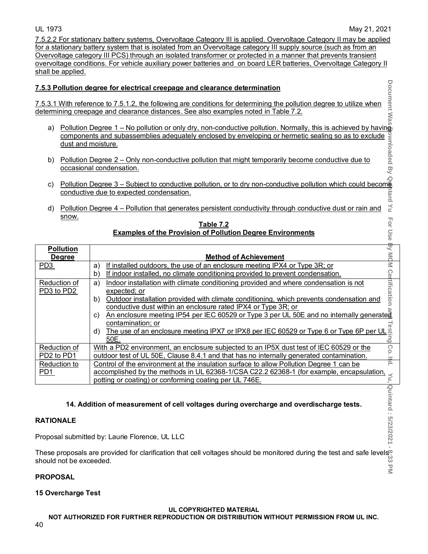7.5.2.2 For stationary battery systems, Overvoltage Category III is applied. Overvoltage Category II may be applied for a stationary battery system that is isolated from an Overvoltage category III supply source (such as from an Overvoltage category III PCS) through an isolated transformer or protected in a manner that prevents transient overvoltage conditions. For vehicle auxiliary power batteries and on board LER batteries, Overvoltage Category II shall be applied.

# **7.5.3 Pollution degree for electrical creepage and clearance determination**

- a) Pollution Degree 1 No pollution or only dry, non-conductive pollution. Normally, this is achieved by having<br>
components and subassemblies adequately enclosed by enveloping or hermetic sealing so as to exclude<br>
dust a components and subassemblies adequately enclosed by enveloping or hermetic sealing so as to exclude dust and moisture.
- b) Pollution Degree 2 Only non-conductive pollution that might temporarily become conductive due to occasional condensation.
- c) Pollution Degree 3 Subject to conductive pollution, or to dry non-conductive pollution which could become<br>conductive due to expected condensation.<br>d) Pollution Degree 4 Pollution that generates persistent conductiv conductive due to expected condensation.
- d) Pollution Degree 4 Pollution that generates persistent conductivity through conductive dust or rain and snow.

|                                                                                                                                                                                                                                                                                                                                                                                                                                                    |                                   | 7.5.3 Pollution degree for electrical creepage and clearance determination                                                                                                                                                                                                                                                                                                                                                                                                                                                                                                                                                                                                                                   |                              |  |  |
|----------------------------------------------------------------------------------------------------------------------------------------------------------------------------------------------------------------------------------------------------------------------------------------------------------------------------------------------------------------------------------------------------------------------------------------------------|-----------------------------------|--------------------------------------------------------------------------------------------------------------------------------------------------------------------------------------------------------------------------------------------------------------------------------------------------------------------------------------------------------------------------------------------------------------------------------------------------------------------------------------------------------------------------------------------------------------------------------------------------------------------------------------------------------------------------------------------------------------|------------------------------|--|--|
| Pollution degree for electrical creepage and clearance determination<br>With reference to 7.5.1.2, the following are conditions for determining the pollution degree to utilize when<br>ining creepage and clearance distances. See<br>7.5.3.1 With reference to 7.5.1.2, the following are conditions for determining the pollution degree to utilize when<br>determining creepage and clearance distances. See also examples noted in Table 7.2. |                                   |                                                                                                                                                                                                                                                                                                                                                                                                                                                                                                                                                                                                                                                                                                              |                              |  |  |
| a)                                                                                                                                                                                                                                                                                                                                                                                                                                                 |                                   |                                                                                                                                                                                                                                                                                                                                                                                                                                                                                                                                                                                                                                                                                                              |                              |  |  |
| b)                                                                                                                                                                                                                                                                                                                                                                                                                                                 |                                   |                                                                                                                                                                                                                                                                                                                                                                                                                                                                                                                                                                                                                                                                                                              |                              |  |  |
| C)<br>d)                                                                                                                                                                                                                                                                                                                                                                                                                                           |                                   | Pollution Degree 1 – No pollution or only dry, non-conductive pollution. Normally, this is achieved by having<br>components and subassemblies adequately enclosed by enveloping or hermetic sealing so as to exclude<br>dust and mo                                                                                                                                                                                                                                                                                                                                                                                                                                                                          |                              |  |  |
|                                                                                                                                                                                                                                                                                                                                                                                                                                                    | snow.                             | Table 7.2<br><b>Examples of the Provision of Pollution Degree Environments</b>                                                                                                                                                                                                                                                                                                                                                                                                                                                                                                                                                                                                                               |                              |  |  |
|                                                                                                                                                                                                                                                                                                                                                                                                                                                    | <b>Pollution</b><br><b>Degree</b> | <b>Method of Achievement</b>                                                                                                                                                                                                                                                                                                                                                                                                                                                                                                                                                                                                                                                                                 |                              |  |  |
| PD <sub>3</sub>                                                                                                                                                                                                                                                                                                                                                                                                                                    |                                   | If installed outdoors, the use of an enclosure meeting IPX4 or Type 3R; or<br>a)<br>If indoor installed, no climate conditioning provided to prevent condensation.<br>b)                                                                                                                                                                                                                                                                                                                                                                                                                                                                                                                                     |                              |  |  |
|                                                                                                                                                                                                                                                                                                                                                                                                                                                    | Reduction of<br>PD3 to PD2        | Indoor installation with climate conditioning provided and where condensation is not<br>a)<br>expected; or<br>b) Outdoor installation provided with climate conditioning, which prevents condensation and<br>conductive dust within an enclosure rated IPX4 or Type 3R; or<br>conductive dust within an enclosure rated IPX4 or Type 3R; or example 2.6 An enclosure meeting IP54 per IEC 60529 or Type 3 per UL 50E and no internally generated<br>ontamination; or<br>The use of an enclosure meeting IPX7 or IPX8 per IEC 60529 or Type 6 or Type 6P per UL $\frac{3}{100}$<br><u>SOE.</u><br>The area of an enclosure meeting IPX7 or IPX8 per IEC 60529 or Type 6 or Type 6P per UL $\frac{3}{10$<br>d) | For Use By MCM Certification |  |  |
| PD2 to PD1                                                                                                                                                                                                                                                                                                                                                                                                                                         | Reduction of                      | With a PD2 environment, an enclosure subjected to an IP5X dust test of IEC 60529 or the<br>outdoor test of UL 50E, Clause 8.4.1 and that has no internally generated contamination.                                                                                                                                                                                                                                                                                                                                                                                                                                                                                                                          |                              |  |  |
| PD1                                                                                                                                                                                                                                                                                                                                                                                                                                                | Reduction to                      | Control of the environment at the insulation surface to allow Pollution Degree 1 can be<br>accomplished by the methods in UL 62368-1/CSA C22.2 62368-1 (for example, encapsulation,<br>potting or coating) or conforming coating per UL 746E.                                                                                                                                                                                                                                                                                                                                                                                                                                                                |                              |  |  |
|                                                                                                                                                                                                                                                                                                                                                                                                                                                    |                                   | 14. Addition of measurement of cell voltages during overcharge and overdischarge tests.                                                                                                                                                                                                                                                                                                                                                                                                                                                                                                                                                                                                                      | Yu, Quintard: 5/23/2021      |  |  |
|                                                                                                                                                                                                                                                                                                                                                                                                                                                    | <b>RATIONALE</b>                  |                                                                                                                                                                                                                                                                                                                                                                                                                                                                                                                                                                                                                                                                                                              |                              |  |  |
| Proposal submitted by: Laurie Florence, UL LLC                                                                                                                                                                                                                                                                                                                                                                                                     |                                   |                                                                                                                                                                                                                                                                                                                                                                                                                                                                                                                                                                                                                                                                                                              |                              |  |  |
| These proposals are provided for clarification that cell voltages should be monitored during the test and safe levels <sup>op</sup> .<br>should not be exceeded.<br>should not be exceeded.<br>$\overline{a}$                                                                                                                                                                                                                                      |                                   |                                                                                                                                                                                                                                                                                                                                                                                                                                                                                                                                                                                                                                                                                                              |                              |  |  |

#### **Table 7.2 Examples of the Provision of Pollution Degree Environments**

# **14. Addition of measurement of cell voltages during overcharge and overdischarge tests.**

# **RATIONALE**

# **PROPOSAL**

# **15 Overcharge Test**

### **UL COPYRIGHTED MATERIAL**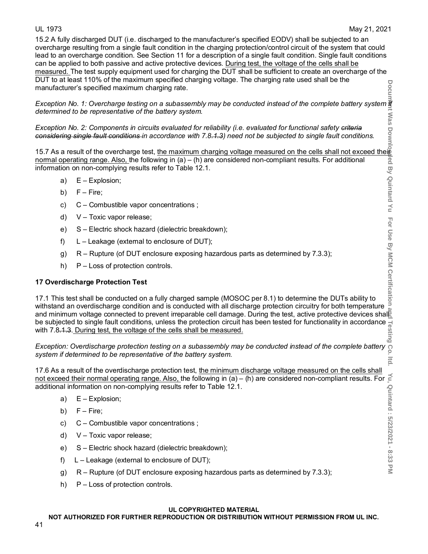15.2 A fully discharged DUT (i.e. discharged to the manufacturer's specified EODV) shall be subjected to an overcharge resulting from a single fault condition in the charging protection/control circuit of the system that could lead to an overcharge condition. See Section 11 for a description of a single fault condition. Single fault conditions can be applied to both passive and active protective devices. During test, the voltage of the cells shall be measured. The test supply equipment used for charging the DUT shall be sufficient to create an overcharge of the DUT to at least 110% of the maximum specified charging voltage. The charging rate used shall be the manufacturer's specified maximum charging rate.

*Exception No. 1: Overcharge testing on a subassembly may be conducted instead of the complete battery system if determined to be representative of the battery system.*

*Exception No. 2: Components in circuits evaluated for reliability (i.e. evaluated for functional safety criteria considering single fault conditions in accordance with 7.8.1.3) need not be subjected to single fault conditions.*

15.7 As a result of the overcharge test, <u>the maximum charging voltage measured on the cells shall not exceed their</u> normal operating range. Also, the following in (a) – (h) are considered non-compliant results. For additional information on non-complying results refer to Table 12.1.

- a) E Explosion;
- b) F Fire;
- c) C Combustible vapor concentrations ;
- d) V Toxic vapor release;
- e) S Electric shock hazard (dielectric breakdown);
- f) L Leakage (external to enclosure of DUT);
- g) R Rupture (of DUT enclosure exposing hazardous parts as determined by 7.3.3);
- h) P Loss of protection controls.

# **17 Overdischarge Protection Test**

17.1 This test shall be conducted on a fully charged sample (MOSOC per 8.1) to determine the DUTs ability to withstand an overdischarge condition and is conducted with all discharge protection circuitry for both temperature and minimum voltage connected to prevent irreparable cell damage. During the test, active protective devices shall be subjected to single fault conditions, unless the protection circuit has been tested for functionality in accordance  $\frac{1}{6}$  with 7.8.1.3. During test, the voltage of the cells shall be measured. with 7.8.1.3. During test, the voltage of the cells shall be measured.

*Exception: Overdischarge protection testing on a subassembly may be conducted instead of the complete battery of system if determined to be representative of the battery system.* 

17.6 As a result of the overdischarge protection test, the minimum discharge voltage measured on the cells shall not exceed their normal operating range. Also, the following in (a) – (h) are considered non-compliant results. For  $\leq$ additional information on non-complying results refer to Table 12.1.

- a) E Explosion;
- b)  $F Fire$ ;
- c) C Combustible vapor concentrations ;
- d) V Toxic vapor release;
- e) S Electric shock hazard (dielectric breakdown);
- f) L Leakage (external to enclosure of DUT);
- g) R Rupture (of DUT enclosure exposing hazardous parts as determined by 7.3.3);
- h) P Loss of protection controls.

### **UL COPYRIGHTED MATERIAL**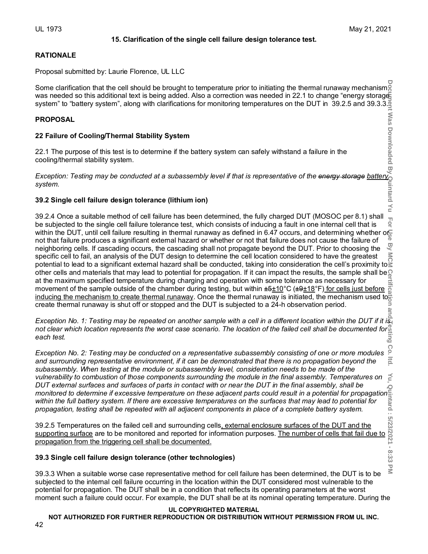# **15. Clarification of the single cell failure design tolerance test.**

Itid

 $\leq$ 

# **RATIONALE**

Proposal submitted by: Laurie Florence, UL LLC

Some clarification that the cell should be brought to temperature prior to initiating the thermal runaway mechanismg was needed so this additional text is being added. Also a correction was needed in 22.1 to change "energy storage system" to "battery system", along with clarifications for monitoring temperatures on the DUT in 39.2.5 and 39.3.3.

# **PROPOSAL**

# **22 Failure of Cooling/Thermal Stability System**

22.1 The purpose of this test is to determine if the battery system can safely withstand a failure in the cooling/thermal stability system.

*Exception: Testing may be conducted at a subassembly level if that is representative of the energy storage battery system.* 

# **39.2 Single cell failure design tolerance (lithium ion)**

**Document Was Downloaded By Quintard Yu For Use By MCM Certification and Testing Co. ltd. Yu, Quintard : 5/23/2021 - 8:33 PM**  $\leq$ 39.2.4 Once a suitable method of cell failure has been determined, the fully charged DUT (MOSOC per 8.1) shall For be subjected to the single cell failure tolerance test, which consists of inducing a fault in one internal cell that is within the DUT, until cell failure resulting in thermal runaway as defined in 6.47 occurs, and determining whether or not that failure produces a significant external hazard or whether or not that failure does not cause the failure of neighboring cells. If cascading occurs, the cascading shall not propagate beyond the DUT. Prior to choosing the specific cell to fail, an analysis of the DUT design to determine the cell location considered to have the greatest potential to lead to a significant external hazard shall be conducted, taking into consideration the cell's proximity to  $\geq$ other cells and materials that may lead to potential for propagation. If it can impact the results, the sample shall be $\Omega$ at the maximum specified temperature during charging and operation with some tolerance as necessary for movement of the sample outside of the chamber during testing, but within ±5<u>±10</u>°C (±9<u>±18</u>°F<u>) for cells just before</u> <u>inducing the mechanism to create thermal runaway</u>. Once the thermal runaway is initiated, the mechanism used to<sub>e</sub> create thermal runaway is shut off or stopped and the DUT is subjected to a 24-h observation period. ăΓ

*Exception No. 1: Testing may be repeated on another sample with a cell in a different location within the DUT if it is not clear which location represents the worst case scenario. The location of the failed cell shall be documented for each test.*

Co *Exception No. 2: Testing may be conducted on a representative subassembly consisting of one or more modules and surrounding representative environment, if it can be demonstrated that there is no propagation beyond the subassembly. When testing at the module or subassembly level, consideration needs to be made of the vulnerability to combustion of those components surrounding the module in the final assembly. Temperatures on DUT external surfaces and surfaces of parts in contact with or near the DUT in the final assembly, shall be monitored to determine if excessive temperature on these adjacent parts could result in a potential for propagation within the full battery system. If there are excessive temperatures on the surfaces that may lead to potential for propagation, testing shall be repeated with all adjacent components in place of a complete battery system.*

39.2.5 Temperatures on the failed cell and surrounding cells<u>, external enclosure surfaces of the DUT and the</u> supporting surface are to be monitored and reported for information purposes. The number of cells that fail due to propagation from the triggering cell shall be documented.

# **39.3 Single cell failure design tolerance (other technologies)**

 $\leq$ 39.3.3 When a suitable worse case representative method for cell failure has been determined, the DUT is to be subjected to the internal cell failure occurring in the location within the DUT considered most vulnerable to the potential for propagation. The DUT shall be in a condition that reflects its operating parameters at the worst moment such a failure could occur. For example, the DUT shall be at its nominal operating temperature. During the

# **UL COPYRIGHTED MATERIAL**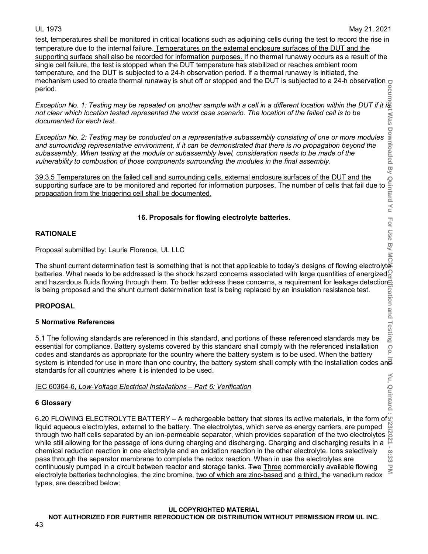test, temperatures shall be monitored in critical locations such as adjoining cells during the test to record the rise in temperature due to the internal failure. Temperatures on the external enclosure surfaces of the DUT and the supporting surface shall also be recorded for information purposes. If no thermal runaway occurs as a result of the single cell failure, the test is stopped when the DUT temperature has stabilized or reaches ambient room temperature, and the DUT is subjected to a 24-h observation period. If a thermal runaway is initiated, the mechanism used to create thermal runaway is shut off or stopped and the DUT is subjected to a 24-h observation period.

*Exception No. 1: Testing may be repeated on another sample with a cell in a different location within the DUT if it is not clear which location tested represented the worst case scenario. The location of the failed cell is to be*  : Was *documented for each test.*

*Exception No. 2: Testing may be conducted on a representative subassembly consisting of one or more modules and surrounding representative environment, if it can be demonstrated that there is no propagation beyond the subassembly. When testing at the module or subassembly level, consideration needs to be made of the vulnerability to combustion of those components surrounding the modules in the final assembly.* Exception No. 2: Testing may be conducted on a representative subassembly consisting of one or more modules and surrounding representative environment, if it can be demonstrated that there is no propagation beyond the sub

39.3.5 Temperatures on the failed cell and surrounding cells, external enclosure surfaces of the DUT and the propagation from the triggering cell shall be documented.

# **16. Proposals for flowing electrolyte batteries.**

# **RATIONALE**

Proposal submitted by: Laurie Florence, UL LLC

For Use By MC The shunt current determination test is something that is not that applicable to today's designs of flowing electrolyteration batteries. What needs to be addressed is the shock hazard concerns associated with large quantities of energized  $\mathbb S$ and hazardous fluids flowing through them. To better address these concerns, a requirement for leakage detection<br>is being proposed and the shunt current determination test is being replaced by an insulation resistance test is being proposed and the shunt current determination test is being replaced by an insulation resistance test.

# **PROPOSAL**

# **5 Normative References**

**Document Was Downloaded By Quintard Yu For Use By MCM Certification and Testing Co. ltd. Yu, Quintard : 5/23/2021 - 8:33 PM** 5.1 The following standards are referenced in this standard, and portions of these referenced standards may be essential for compliance. Battery systems covered by this standard shall comply with the referenced installation Co codes and standards as appropriate for the country where the battery system is to be used. When the battery system is intended for use in more than one country, the battery system shall comply with the installation codes and standards for all countries where it is intended to be used. Yu, Quintard

# IEC 60364-6, *Low-Voltage Electrical Installations – Part 6: Verification*

# **6 Glossary**

6.20 FLOWING ELECTROLYTE BATTERY – A rechargeable battery that stores its active materials, in the form of  $\,$ liquid aqueous electrolytes, external to the battery. The electrolytes, which serve as energy carriers, are pumped through two half cells separated by an ion-permeable separator, which provides separation of the two electrolytes while still allowing for the passage of ions during charging and discharging. Charging and discharging results in a chemical reduction reaction in one electrolyte and an oxidation reaction in the other electrolyte. Ions selectively  $\infty$ pass through the separator membrane to complete the redox reaction. When in use the electrolytes are نئ<br>د continuously pumped in a circuit between reactor and storage tanks. Two Three commercially available flowing  $\overline{\leq}$ electrolyte batteries technologies, the zinc bromine, two of which are zinc-based and a third, the vanadium redox types, are described below: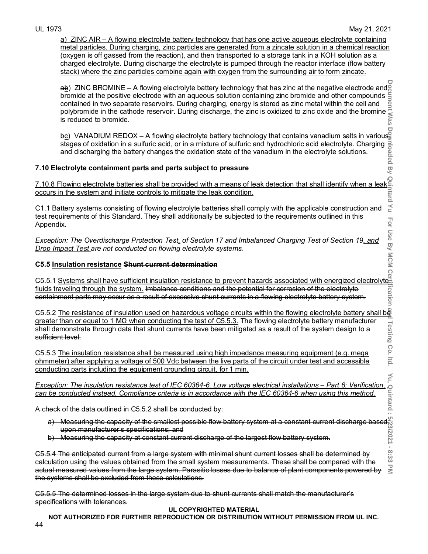$\preceq$ For

ication

Co  $\overline{15}$ 

a) ZINC AIR – A flowing electrolyte battery technology that has one active aqueous electrolyte containing metal particles. During charging, zinc particles are generated from a zincate solution in a chemical reaction (oxygen is off gassed from the reaction), and then transported to a storage tank in a KOH solution as a charged electrolyte. During discharge the electrolyte is pumped through the reactor interface (flow battery stack) where the zinc particles combine again with oxygen from the surrounding air to form zincate.

**Document Was Downloaded By Quintard Yu For Use By MCM Certification and Testing Co. ltd. Yu, Quintard : 5/23/2021 - 8:33 PM** ab) ZINC BROMINE – A flowing electrolyte battery technology that has zinc at the negative electrode and g bromide at the positive electrode with an aqueous solution containing zinc bromide and other compounds contained in two separate reservoirs. During charging, energy is stored as zinc metal within the cell and polybromide in the cathode reservoir. During discharge, the zinc is oxidized to zinc oxide and the bromine is reduced to bromide.

b<u>e</u>) VANADIUM REDOX – A flowing electrolyte battery technology that contains vanadium salts in various<sup>s</sup> stages of oxidation in a sulfuric acid, or in a mixture of sulfuric and hydrochloric acid electrolyte. Charging and discharging the battery changes the oxidation state of the vanadium in the electrolyte solutions.

# **7.10 Electrolyte containment parts and parts subject to pressure**

7.10.8 Flowing electrolyte batteries shall be provided with a means of leak detection that shall identify when a leak occurs in the system and initiate controls to mitigate the leak condition.

C1.1 Battery systems consisting of flowing electrolyte batteries shall comply with the applicable construction and test requirements of this Standard. They shall additionally be subjected to the requirements outlined in this Appendix.

*Exception: The Overdischarge Protection Test, of Section 17 and Imbalanced Charging Test of Section 19, and Drop Impact Test are not conducted on flowing electrolyte systems.*

# **C5.5 Insulation resistance Shunt current determination**

C5.5.1 Systems shall have sufficient insulation resistance to prevent hazards associated with energized electrolyte fluids traveling through the system. Imbalance conditions and the potential for corrosion of the electrolyte containment parts may occur as a result of excessive shunt currents in a flowing electrolyte battery system.

C5.5.2 The resistance of insulation used on hazardous voltage circuits within the flowing electrolyte battery shall be greater than or equal to 1 MΩ when conducting the test of C5.5.3. The flowing electrolyte battery manufacturer Testing shall demonstrate through data that shunt currents have been mitigated as a result of the system design to a sufficient level.

C5.5.3 The insulation resistance shall be measured using high impedance measuring equipment (e.g. mega ohmmeter) after applying a voltage of 500 Vdc between the live parts of the circuit under test and accessible conducting parts including the equipment grounding circuit, for 1 min.

# *Exception: The insulation resistance test of IEC 60364-6, Low voltage electrical installations – Part 6: Verification,*<br>can be conducted instead. Compliance criteria is in accordance with the IEC 60364-6 when using this m *can be conducted instead. Compliance criteria is in accordance with the IEC 60364-6 when using this method.*

A check of the data outlined in C5.5.2 shall be conducted by:

- a) Measuring the capacity of the smallest possible flow battery system at a constant current discharge based $\rq$ upon manufacturer's specifications; and
- b) Measuring the capacity at constant current discharge of the largest flow battery system.

C5.5.4 The anticipated current from a large system with minimal shunt current losses shall be determined by calculation using the values obtained from the small system measurements. These shall be compared with the  $\leq$ actual measured values from the large system. Parasitic losses due to balance of plant components powered by the systems shall be excluded from these calculations.

C5.5.5 The determined losses in the large system due to shunt currents shall match the manufacturer's specifications with tolerances.

# **UL COPYRIGHTED MATERIAL**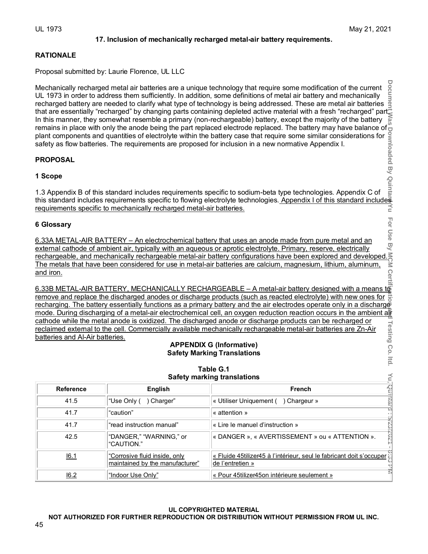# **17. Inclusion of mechanically recharged metal-air battery requirements.**

# **RATIONALE**

Proposal submitted by: Laurie Florence, UL LLC

# **PROPOSAL**

# **1 Scope**

# **6 Glossary**

# **APPENDIX G (Informative) Safety Marking Translations**

| Mechanically recharged metal air batteries are a unique technology that require some modification of the current<br>UL 1973 in order to address them sufficiently. In addition, some definitions of metal air battery and mechanically<br>recharged battery are needed to clarify what type of technology is being addressed. These are metal air batteries<br>that are essentially "recharged" by changing parts containing depleted active material with a fresh "recharged" part<br>In this manner, they somewhat resemble a primary (non-rechargeable) battery, except the majority of the battery<br>remains in place with only the anode being the part replaced electrode replaced. The battery may have balance of<br>Framework and distribution of this standard includes requirements specific to sodium-beta type technologies. Appendix 1 of this standard includes the metallical proposed for inclusion in a new normative Appendix I.<br><b>PROP</b> |                                                                                                                                                                                                                                   |                                                                                                                                                                                                                                                                                                                                                                                                                                                                                |  |  |  |
|---------------------------------------------------------------------------------------------------------------------------------------------------------------------------------------------------------------------------------------------------------------------------------------------------------------------------------------------------------------------------------------------------------------------------------------------------------------------------------------------------------------------------------------------------------------------------------------------------------------------------------------------------------------------------------------------------------------------------------------------------------------------------------------------------------------------------------------------------------------------------------------------------------------------------------------------------------------------|-----------------------------------------------------------------------------------------------------------------------------------------------------------------------------------------------------------------------------------|--------------------------------------------------------------------------------------------------------------------------------------------------------------------------------------------------------------------------------------------------------------------------------------------------------------------------------------------------------------------------------------------------------------------------------------------------------------------------------|--|--|--|
|                                                                                                                                                                                                                                                                                                                                                                                                                                                                                                                                                                                                                                                                                                                                                                                                                                                                                                                                                                     |                                                                                                                                                                                                                                   |                                                                                                                                                                                                                                                                                                                                                                                                                                                                                |  |  |  |
|                                                                                                                                                                                                                                                                                                                                                                                                                                                                                                                                                                                                                                                                                                                                                                                                                                                                                                                                                                     |                                                                                                                                                                                                                                   |                                                                                                                                                                                                                                                                                                                                                                                                                                                                                |  |  |  |
|                                                                                                                                                                                                                                                                                                                                                                                                                                                                                                                                                                                                                                                                                                                                                                                                                                                                                                                                                                     |                                                                                                                                                                                                                                   |                                                                                                                                                                                                                                                                                                                                                                                                                                                                                |  |  |  |
| and iron.                                                                                                                                                                                                                                                                                                                                                                                                                                                                                                                                                                                                                                                                                                                                                                                                                                                                                                                                                           | 6 Glossary<br>6.33A METAL-AIR BATTERY – An electrochemical battery that uses an anode made from pure metal and an<br>external cathode of ambient air, typically with an aqueous or aprotic electrolyte. Primary, reserve, electri |                                                                                                                                                                                                                                                                                                                                                                                                                                                                                |  |  |  |
|                                                                                                                                                                                                                                                                                                                                                                                                                                                                                                                                                                                                                                                                                                                                                                                                                                                                                                                                                                     |                                                                                                                                                                                                                                   | Cert<br>6.33B METAL-AIR BATTERY, MECHANICALLY RECHARGEABLE – A metal-air battery designed with a means to<br>remove and replace the discharged anodes or discharge products (such as reacted electrolyte) with new ones for<br>recharging. The battery essentially functions as a primary battery and the air electrodes operate only in a discharge<br>mode. During discharging of a metal-air electrochemical cell, an oxygen reduction reaction occurs in the ambient attra |  |  |  |
|                                                                                                                                                                                                                                                                                                                                                                                                                                                                                                                                                                                                                                                                                                                                                                                                                                                                                                                                                                     |                                                                                                                                                                                                                                   | cathode while the metal anode is oxidized. The discharged anode or discharge products can be recharged or<br>reclaimed external to the cell. Commercially available mechanically rechargeable metal-air batteries are Zn-Air                                                                                                                                                                                                                                                   |  |  |  |
|                                                                                                                                                                                                                                                                                                                                                                                                                                                                                                                                                                                                                                                                                                                                                                                                                                                                                                                                                                     | Testing Co. Itd.<br>batteries and Al-Air batteries.<br><b>APPENDIX G (Informative)</b><br><b>Safety Marking Translations</b><br>Table G.1                                                                                         |                                                                                                                                                                                                                                                                                                                                                                                                                                                                                |  |  |  |
|                                                                                                                                                                                                                                                                                                                                                                                                                                                                                                                                                                                                                                                                                                                                                                                                                                                                                                                                                                     |                                                                                                                                                                                                                                   | Yu, Rati<br><b>Safety marking translations</b>                                                                                                                                                                                                                                                                                                                                                                                                                                 |  |  |  |
| <b>Reference</b><br>41.5                                                                                                                                                                                                                                                                                                                                                                                                                                                                                                                                                                                                                                                                                                                                                                                                                                                                                                                                            | <b>English</b><br>"Use Only ( ) Charger"                                                                                                                                                                                          | French<br>« Utiliser Uniquement ( ) Chargeur »                                                                                                                                                                                                                                                                                                                                                                                                                                 |  |  |  |
| 41.7                                                                                                                                                                                                                                                                                                                                                                                                                                                                                                                                                                                                                                                                                                                                                                                                                                                                                                                                                                | "caution"                                                                                                                                                                                                                         | ntaird<br>« attention »                                                                                                                                                                                                                                                                                                                                                                                                                                                        |  |  |  |
| 41.7                                                                                                                                                                                                                                                                                                                                                                                                                                                                                                                                                                                                                                                                                                                                                                                                                                                                                                                                                                | "read instruction manual"                                                                                                                                                                                                         | « Lire le manuel d'instruction »                                                                                                                                                                                                                                                                                                                                                                                                                                               |  |  |  |
| 42.5                                                                                                                                                                                                                                                                                                                                                                                                                                                                                                                                                                                                                                                                                                                                                                                                                                                                                                                                                                | "DANGER," "WARNING," or<br>"CAUTION."                                                                                                                                                                                             | 1202/22/2<br>« DANGER », « AVERTISSEMENT » ou « ATTENTION ».                                                                                                                                                                                                                                                                                                                                                                                                                   |  |  |  |
| « Fluide 45tilizer45 à l'intérieur, seul le fabricant doit s'occuper<br>"Corrosive fluid inside, only<br>16.1<br>maintained by the manufacturer"<br>de l'entretien »                                                                                                                                                                                                                                                                                                                                                                                                                                                                                                                                                                                                                                                                                                                                                                                                |                                                                                                                                                                                                                                   |                                                                                                                                                                                                                                                                                                                                                                                                                                                                                |  |  |  |
| 16.2                                                                                                                                                                                                                                                                                                                                                                                                                                                                                                                                                                                                                                                                                                                                                                                                                                                                                                                                                                | T)<br>3<br>"Indoor Use Only"<br>« Pour 45tilizer45on intérieure seulement »                                                                                                                                                       |                                                                                                                                                                                                                                                                                                                                                                                                                                                                                |  |  |  |

# **Table G.1 Safety marking translations**

### **UL COPYRIGHTED MATERIAL NOT AUTHORIZED FOR FURTHER REPRODUCTION OR DISTRIBUTION WITHOUT PERMISSION FROM UL INC.**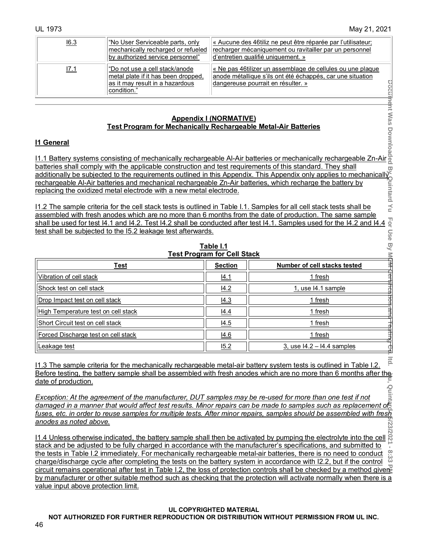| 16.3 | "No User Serviceable parts, only<br>mechanically recharged or refueled<br>by authorized service personnel"              | ∣« Aucune des 46tiliz ne peut être réparée par l'utilisateur;<br>recharger mécaniquement ou ravitailler par un personnel<br>d'entretien qualifié uniquement. » |
|------|-------------------------------------------------------------------------------------------------------------------------|----------------------------------------------------------------------------------------------------------------------------------------------------------------|
| 17.1 | "Do not use a cell stack/anode<br>metal plate if it has been dropped,<br>as it may result in a hazardous<br>condition." | « Ne pas 46tilizer un assemblage de cellules ou une plague<br>anode métallique s'ils ont été échappés, car une situation<br>dangereuse pourrait en résulter. » |

# **Appendix I (NORMATIVE) Test Program for Mechanically Rechargeable Metal-Air Batteries**

# **I1 General**

| as it may result in a hazardous<br><u>condition."<br/> <b>Example 19 Appendix I (NORMATIVE)</b><br/> <b>Example 19 Appendix I (NORMATIVE)</b><br/> <b>Example 11 General</b><br/> <b>Example 20 Appendix 1 (NORMATIVE)</b><br/> <b>Example 20 Appendix 1 (NORMATIVE)</b><br/> <b>Exam</b></u>                                                                        |                                    |                                          |  |  |
|----------------------------------------------------------------------------------------------------------------------------------------------------------------------------------------------------------------------------------------------------------------------------------------------------------------------------------------------------------------------|------------------------------------|------------------------------------------|--|--|
|                                                                                                                                                                                                                                                                                                                                                                      |                                    |                                          |  |  |
| batteries shall comply with the applicable construction and test requirements of this standard. They shall                                                                                                                                                                                                                                                           |                                    | w                                        |  |  |
|                                                                                                                                                                                                                                                                                                                                                                      |                                    |                                          |  |  |
|                                                                                                                                                                                                                                                                                                                                                                      |                                    |                                          |  |  |
|                                                                                                                                                                                                                                                                                                                                                                      |                                    |                                          |  |  |
| additionally be subjected to the requirements outlined in this Appendix. This Appendix only applies to mechanically<br>rechargeable Al-Air batteries and mechanical rechargeable Zn-Air batteries, which recharge the battery by                                                                                                                                     |                                    |                                          |  |  |
| assembled with fresh anodes which are no more than 6 months from the date of production. The same sample                                                                                                                                                                                                                                                             |                                    |                                          |  |  |
| shall be used for test I4.1 and I4.2. Test I4.2 shall be conducted after test I4.1. Samples used for the I4.2 and I4.4                                                                                                                                                                                                                                               |                                    | For                                      |  |  |
| test shall be subjected to the I5.2 leakage test afterwards.                                                                                                                                                                                                                                                                                                         |                                    |                                          |  |  |
|                                                                                                                                                                                                                                                                                                                                                                      |                                    |                                          |  |  |
|                                                                                                                                                                                                                                                                                                                                                                      | Table I.1                          |                                          |  |  |
|                                                                                                                                                                                                                                                                                                                                                                      | <b>Test Program for Cell Stack</b> |                                          |  |  |
| <b>Test</b>                                                                                                                                                                                                                                                                                                                                                          | <b>Section</b>                     | Number of cell stacks tested             |  |  |
| Vibration of cell stack                                                                                                                                                                                                                                                                                                                                              | 14.1                               | Use By MC <del>M Cert</del><br>1 fresh   |  |  |
| Shock test on cell stack                                                                                                                                                                                                                                                                                                                                             | 14.2                               | <b>FIFC-altiOf</b><br>1, use I4.1 sample |  |  |
| Drop Impact test on cell stack                                                                                                                                                                                                                                                                                                                                       | 14.3                               | 1 fresh                                  |  |  |
| High Temperature test on cell stack                                                                                                                                                                                                                                                                                                                                  | 14.4                               | anto<br>1 fresh                          |  |  |
| Short Circuit test on cell stack                                                                                                                                                                                                                                                                                                                                     | 14.5                               | 1 fresh                                  |  |  |
| Forced Discharge test on cell stack                                                                                                                                                                                                                                                                                                                                  | 14.6                               | Buus<br>1 fresh                          |  |  |
| Leakage test                                                                                                                                                                                                                                                                                                                                                         | 15.2                               | $3.$ use $14.2 - 14.4$ samples<br>đ      |  |  |
|                                                                                                                                                                                                                                                                                                                                                                      |                                    |                                          |  |  |
| <u>I1.3 The sample criteria for the mechanically rechargeable metal-air battery system tests is outlined in Table I.2.</u>                                                                                                                                                                                                                                           |                                    |                                          |  |  |
| Before testing, the battery sample shall be assembled with fresh anodes which are no more than 6 months after the                                                                                                                                                                                                                                                    |                                    |                                          |  |  |
|                                                                                                                                                                                                                                                                                                                                                                      |                                    |                                          |  |  |
| date of production.                                                                                                                                                                                                                                                                                                                                                  |                                    |                                          |  |  |
|                                                                                                                                                                                                                                                                                                                                                                      |                                    | Quil                                     |  |  |
| Exception: At the agreement of the manufacturer, DUT samples may be re-used for more than one test if not<br>damaged in a manner that would affect test results. Minor repairs can be made to samples such as replacement of                                                                                                                                         |                                    |                                          |  |  |
| fuses, etc. in order to reuse samples for multiple tests. After minor repairs, samples should be assembled with fres $\overline{h}$                                                                                                                                                                                                                                  |                                    |                                          |  |  |
|                                                                                                                                                                                                                                                                                                                                                                      |                                    |                                          |  |  |
| anodes as noted above.<br>11.4 Unless otherwise indicated, the battery sample shall then be activated by pumping the electrolyte into the cell                                                                                                                                                                                                                       |                                    |                                          |  |  |
| stack and be adjusted to be fully charged in accordance with the manufacturer's specifications, and submitted to                                                                                                                                                                                                                                                     |                                    |                                          |  |  |
|                                                                                                                                                                                                                                                                                                                                                                      |                                    |                                          |  |  |
| the tests in Table I.2 immediately. For mechanically rechargeable metal-air batteries, there is no need to conduct<br>charge/discharge cycle after completing the tests on the battery system in accordance with I2.2, but if the control<br>circuit remains operational after test in Table I.2, the loss of protection controls shall be checked by a method given |                                    | 8:33                                     |  |  |

11.4 Unless otherwise indicated, the battery sample shall then be activated by pumping the electrolyte into the cell stack and be adjusted to be fully charged in accordance with the manufacturer's specifications, and submitted to the tests in Table I.2 immediately. For mechanically rechargeable metal-air batteries, there is no need to conduct charge/discharge cycle after completing the tests on the battery system in accordance with I2.2, but if the control circuit remains operational after test in Table I.2, the loss of protection controls shall be checked by a method given by manufacturer or other suitable method such as checking that the protection will activate normally when there is a value input above protection limit.

# **UL COPYRIGHTED MATERIAL**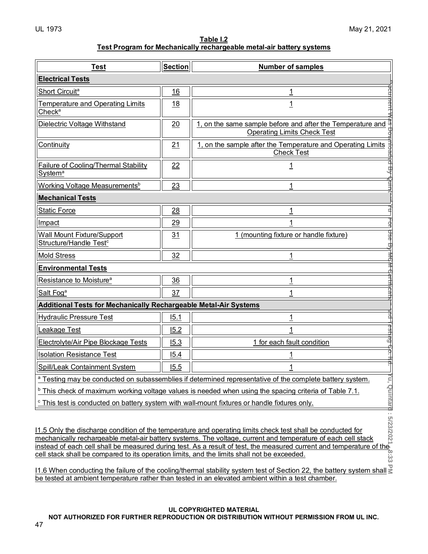|                                                                      | Table I.2 |  |
|----------------------------------------------------------------------|-----------|--|
| Test Program for Mechanically rechargeable metal-air battery systems |           |  |

| <b>Test</b>                                                                                                                                                                                                                                                                                                                                                                                                                                                                                                                                                                                                       | <b>Section</b> | Number of samples                                                                                                          |  |  |
|-------------------------------------------------------------------------------------------------------------------------------------------------------------------------------------------------------------------------------------------------------------------------------------------------------------------------------------------------------------------------------------------------------------------------------------------------------------------------------------------------------------------------------------------------------------------------------------------------------------------|----------------|----------------------------------------------------------------------------------------------------------------------------|--|--|
| <b>Electrical Tests</b>                                                                                                                                                                                                                                                                                                                                                                                                                                                                                                                                                                                           |                |                                                                                                                            |  |  |
| Short Circuit <sup>a</sup>                                                                                                                                                                                                                                                                                                                                                                                                                                                                                                                                                                                        | 16             |                                                                                                                            |  |  |
| <b>Temperature and Operating Limits</b><br>Check <sup>a</sup>                                                                                                                                                                                                                                                                                                                                                                                                                                                                                                                                                     | 18             | $\overline{1}$                                                                                                             |  |  |
| Dielectric Voltage Withstand                                                                                                                                                                                                                                                                                                                                                                                                                                                                                                                                                                                      | 20             | 1, on the same sample before and after the Temperature and<br><b>Operating Limits Check Test</b>                           |  |  |
| <b>Continuity</b>                                                                                                                                                                                                                                                                                                                                                                                                                                                                                                                                                                                                 | 21             | 1, on the sample after the Temperature and Operating Limits<br><b>Check Test</b>                                           |  |  |
| <b>Failure of Cooling/Thermal Stability</b><br>System <sup>a</sup>                                                                                                                                                                                                                                                                                                                                                                                                                                                                                                                                                | 22             | <u> 1</u>                                                                                                                  |  |  |
| Working Voltage Measurements <sup>b</sup>                                                                                                                                                                                                                                                                                                                                                                                                                                                                                                                                                                         | 23             | 1                                                                                                                          |  |  |
| <b>Mechanical Tests</b>                                                                                                                                                                                                                                                                                                                                                                                                                                                                                                                                                                                           |                |                                                                                                                            |  |  |
| <b>Static Force</b>                                                                                                                                                                                                                                                                                                                                                                                                                                                                                                                                                                                               | 28             | <u> 1</u>                                                                                                                  |  |  |
| Impact                                                                                                                                                                                                                                                                                                                                                                                                                                                                                                                                                                                                            | 29             |                                                                                                                            |  |  |
| Wall Mount Fixture/Support<br>Structure/Handle Test <sup>c</sup>                                                                                                                                                                                                                                                                                                                                                                                                                                                                                                                                                  | 31             | 1 (mounting fixture or handle fixture)                                                                                     |  |  |
| <b>Mold Stress</b>                                                                                                                                                                                                                                                                                                                                                                                                                                                                                                                                                                                                | 32             |                                                                                                                            |  |  |
| <b>Environmental Tests</b>                                                                                                                                                                                                                                                                                                                                                                                                                                                                                                                                                                                        |                |                                                                                                                            |  |  |
| Resistance to Moisture <sup>a</sup>                                                                                                                                                                                                                                                                                                                                                                                                                                                                                                                                                                               | 36             | $\overline{1}$                                                                                                             |  |  |
| Salt Fog <sup>a</sup>                                                                                                                                                                                                                                                                                                                                                                                                                                                                                                                                                                                             | 37             | 1                                                                                                                          |  |  |
| <b>Additional Tests for Mechanically Rechargeable Metal-Air Systems</b>                                                                                                                                                                                                                                                                                                                                                                                                                                                                                                                                           |                |                                                                                                                            |  |  |
| <b>Hydraulic Pressure Test</b>                                                                                                                                                                                                                                                                                                                                                                                                                                                                                                                                                                                    | 15.1           | <u> 1</u>                                                                                                                  |  |  |
| <b>Leakage Test</b>                                                                                                                                                                                                                                                                                                                                                                                                                                                                                                                                                                                               | 15.2           |                                                                                                                            |  |  |
| Electrolyte/Air Pipe Blockage Tests                                                                                                                                                                                                                                                                                                                                                                                                                                                                                                                                                                               | 15.3           | 1 for each fault condition                                                                                                 |  |  |
| <b>Isolation Resistance Test</b>                                                                                                                                                                                                                                                                                                                                                                                                                                                                                                                                                                                  | 15.4           |                                                                                                                            |  |  |
| <b>Spill/Leak Containment System</b><br>15.5                                                                                                                                                                                                                                                                                                                                                                                                                                                                                                                                                                      |                |                                                                                                                            |  |  |
|                                                                                                                                                                                                                                                                                                                                                                                                                                                                                                                                                                                                                   |                | Yu,<br><sup>a</sup> Testing may be conducted on subassemblies if determined representative of the complete battery system. |  |  |
|                                                                                                                                                                                                                                                                                                                                                                                                                                                                                                                                                                                                                   |                | $\textdegree$ This check of maximum working voltage values is needed when using the spacing criteria of Table 7.1.         |  |  |
| <sup>c</sup> This test is conducted on battery system with wall-mount fixtures or handle fixtures only.                                                                                                                                                                                                                                                                                                                                                                                                                                                                                                           |                |                                                                                                                            |  |  |
| Quintard: 5/23/2021<br>11.5 Only the discharge condition of the temperature and operating limits check test shall be conducted for<br>mechanically rechargeable metal-air battery systems. The voltage, current and temperature of each cell stack<br>instead of each cell shall be measured during test. As a result of test, the measured current and temperature of the<br>cell stack shall be compared to its operation limits, and the limits shall not be exceeded.<br>نُنْ<br>11.6 When conducting the failure of the cooling/thermal stability system test of Section 22, the battery system shall $\geq$ |                |                                                                                                                            |  |  |

11.6 When conducting the failure of the cooling/thermal stability system test of Section 22, the battery system shall be tested at ambient temperature rather than tested in an elevated ambient within a test chamber.

# **UL COPYRIGHTED MATERIAL**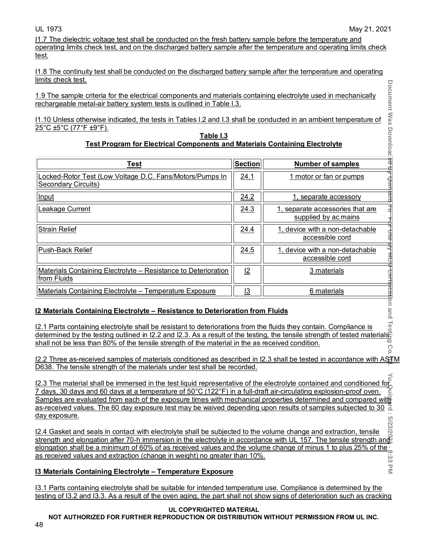I1.7 The dielectric voltage test shall be conducted on the fresh battery sample before the temperature and operating limits check test, and on the discharged battery sample after the temperature and operating limits check test.

I1.8 The continuity test shall be conducted on the discharged battery sample after the temperature and operating limits check test.

| 11.10 Unless otherwise indicated, the tests in Tables I.2 and I.3 shall be conducted in an ambient temperature of                                                                                                                                                                                                                                                                                                                                                                                                                                                                                                                                                                                      |                | Document Was                                             |
|--------------------------------------------------------------------------------------------------------------------------------------------------------------------------------------------------------------------------------------------------------------------------------------------------------------------------------------------------------------------------------------------------------------------------------------------------------------------------------------------------------------------------------------------------------------------------------------------------------------------------------------------------------------------------------------------------------|----------------|----------------------------------------------------------|
| 25°C ±5°C (77°F ±9°F).                                                                                                                                                                                                                                                                                                                                                                                                                                                                                                                                                                                                                                                                                 |                |                                                          |
| Table I.3<br><b>Test Program for Electrical Components and Materials Containing Electrolyte</b>                                                                                                                                                                                                                                                                                                                                                                                                                                                                                                                                                                                                        |                | Downloacjed by                                           |
| <b>Test</b>                                                                                                                                                                                                                                                                                                                                                                                                                                                                                                                                                                                                                                                                                            | <b>Section</b> | Number of samples                                        |
| Locked-Rotor Test (Low Voltage D.C. Fans/Motors/Pumps In<br>Secondary Circuits)                                                                                                                                                                                                                                                                                                                                                                                                                                                                                                                                                                                                                        | 24.1           | 1 motor or fan or pumps                                  |
| Input                                                                                                                                                                                                                                                                                                                                                                                                                                                                                                                                                                                                                                                                                                  | 24.2           | 1, separate accessory                                    |
| Leakage Current                                                                                                                                                                                                                                                                                                                                                                                                                                                                                                                                                                                                                                                                                        | 24.3           | 1, separate accessories that are<br>supplied by ac mains |
| <b>Strain Relief</b>                                                                                                                                                                                                                                                                                                                                                                                                                                                                                                                                                                                                                                                                                   | <u>24.4</u>    | 1, device with a non-detachable<br>accessible cord       |
| Push-Back Relief                                                                                                                                                                                                                                                                                                                                                                                                                                                                                                                                                                                                                                                                                       | 24.5           | 1, device with a non-detachable<br>accessible cord       |
| <b>Materials Containing Electrolyte – Resistance to Deterioration</b>                                                                                                                                                                                                                                                                                                                                                                                                                                                                                                                                                                                                                                  | $\mathbf{L}$   | 3 materials                                              |
| from Fluids                                                                                                                                                                                                                                                                                                                                                                                                                                                                                                                                                                                                                                                                                            |                |                                                          |
| <b>Materials Containing Electrolyte - Temperature Exposure</b>                                                                                                                                                                                                                                                                                                                                                                                                                                                                                                                                                                                                                                         | <u>13</u>      | 6 materials                                              |
| 12 Materials Containing Electrolyte - Resistance to Deterioration from Fluids<br>I2.1 Parts containing electrolyte shall be resistant to deteriorations from the fluids they contain. Compliance is<br>$\frac{12.1}{2}$ Parts containing electrolyte shall be resistant to deteriorations from the fluids they contain. Compliance is $\frac{6}{3}$<br>determined by the testing outlined in I2.2 and I2.3. As a result of the testing, the ten<br>shall not be less than 80% of the tensile strength of the material in the as received condition.                                                                                                                                                    |                | reation and                                              |
| 12.2 Three as-received samples of materials conditioned as described in 12.3 shall be tested in accordance with AST<br>D638. The tensile strength of the materials under test shall be recorded.<br>12.3 The material shall be immersed in the test liquid representative of the electrolyte contained and conditioned for<br>7 days, 30 days and 60 days at a temperature of 50°C (122°F) in a full-draft air-circulating explosion-proof oven.<br>Samples are evaluated from each of the exposure times with mechanical properties determined and compared witter<br>as-received values. The 60 day exposure test may be waived depending upon results of samples subjected to 30 $\frac{1}{\Delta}$ |                |                                                          |

#### **Table I.3 Test Program for Electrical Components and Materials Containing Electrolyte**

# **I2 Materials Containing Electrolyte – Resistance to Deterioration from Fluids**

# **I3 Materials Containing Electrolyte – Temperature Exposure**

I3.1 Parts containing electrolyte shall be suitable for intended temperature use. Compliance is determined by the testing of I3.2 and I3.3. As a result of the oven aging, the part shall not show signs of deterioration such as cracking

# **UL COPYRIGHTED MATERIAL**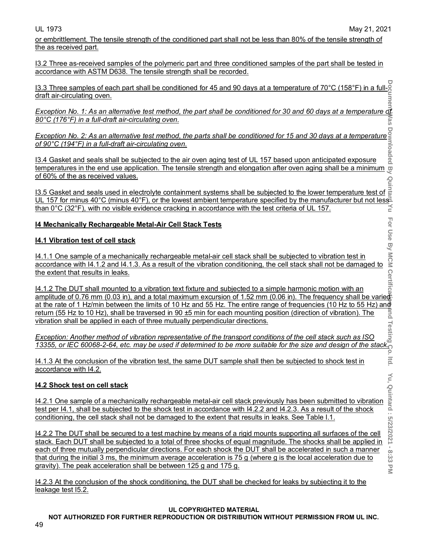or embrittlement. The tensile strength of the conditioned part shall not be less than 80% of the tensile strength of the as received part.

I3.2 Three as-received samples of the polymeric part and three conditioned samples of the part shall be tested in accordance with ASTM D638. The tensile strength shall be recorded.

I3.3 Three samples of each part shall be conditioned for 45 and 90 days at a temperature of 70°C (158°F) in a fulldraft air-circulating oven. limell

*Exception No. 1: As an alternative test method, the part shall be conditioned for 30 and 60 days at a temperature of 80°C (176°F) in a full-draft air-circulating oven.* Vas

*Exception No. 2: As an alternative test method, the parts shall be conditioned for 15 and 30 days at a temperature of 90°C (194°F) in a full-draft air-circulating oven.*

I3.4 Gasket and seals shall be subjected to the air oven aging test of UL 157 based upon anticipated exposure temperatures in the end use application. The tensile strength and elongation after oven aging shall be a minimum  $\omega$ of 60% of the as received values.

I3.5 Gasket and seals used in electrolyte containment systems shall be subjected to the lower temperature test of UL 157 for minus 40°C (minus 40°F), or the lowest ambient temperature specified by the manufacturer but not less<sup>1</sup><br> $\le$  than 0°C (32°F), with no visible evidence cracking in accordance with the test criteria of UL 157. than 0°C (32°F), with no visible evidence cracking in accordance with the test criteria of UL 157.

# **I4 Mechanically Rechargeable Metal-Air Cell Stack Tests**

# **I4.1 Vibration test of cell stack**

I4.1.1 One sample of a mechanically rechargeable metal-air cell stack shall be subjected to vibration test in accordance with I4.1.2 and I4.1.3. As a result of the vibration conditioning, the cell stack shall not be damaged to the extent that results in leaks.

I4.1.2 The DUT shall mounted to a vibration text fixture and subjected to a simple harmonic motion with an amplitude of 0.76 mm (0.03 in), and a total maximum excursion of 1.52 mm (0.06 in). The frequency shall be varied <u>at the rate of 1 Hz/min between the limits of 10 Hz and 55 Hz. The entire range of frequencies (10 Hz to 55 Hz) and</u> return (55 Hz to 10 Hz), shall be traversed in 90 ±5 min for each mounting position (direction of vibration). The vibration shall be applied in each of three mutually perpendicular directions.

*Exception: Another method of vibration representative of the transport conditions of the cell stack such as ISO 13355, or IEC 60068-2-64, etc. may be used if determined to be more suitable for the size and design of the stack.* 

I4.1.3 At the conclusion of the vibration test, the same DUT sample shall then be subjected to shock test in accordance with I4.2.

# **I4.2 Shock test on cell stack**

I4.2.1 One sample of a mechanically rechargeable metal-air cell stack previously has been submitted to vibration test per I4.1, shall be subjected to the shock test in accordance with I4.2.2 and I4.2.3. As a result of the shock conditioning, the cell stack shall not be damaged to the extent that results in leaks. See Table I.1.

I4.2.2 The DUT shall be secured to a test machine by means of a rigid mounts supporting all surfaces of the cell stack. Each DUT shall be subjected to a total of three shocks of equal magnitude. The shocks shall be applied in each of three mutually perpendicular directions. For each shock the DUT shall be accelerated in such a manner that during the initial 3 ms, the minimum average acceleration is 75 g (where g is the local acceleration due to gravity). The peak acceleration shall be between 125 g and 175 g.

I4.2.3 At the conclusion of the shock conditioning, the DUT shall be checked for leaks by subjecting it to the leakage test I5.2.

### **UL COPYRIGHTED MATERIAL**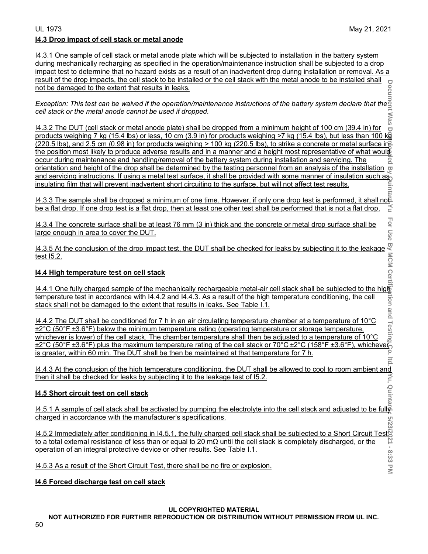For Use

 $\overline{\leq}$ 

# UL 1973 May 21, 2021 **I4.3 Drop impact of cell stack or metal anode**

I4.3.1 One sample of cell stack or metal anode plate which will be subjected to installation in the battery system during mechanically recharging as specified in the operation/maintenance instruction shall be subjected to a drop impact test to determine that no hazard exists as a result of an inadvertent drop during installation or removal. As a result of the drop impacts, the cell stack to be installed or the cell stack with the metal anode to be installed shall not be damaged to the extent that results in leaks.

*Exception: This test can be waived if the operation/maintenance instructions of the battery system declare that the cell stack or the metal anode cannot be used if dropped.* 

**Document Was Downloaded By Quintard Yu For Use By MCM Certification and Testing Co. ltd. Yu, Quintard : 5/23/2021 - 8:33 PM** : Was I4.3.2 The DUT (cell stack or metal anode plate) shall be dropped from a minimum height of 100 cm (39.4 in) for products weighing 7 kg (15.4 lbs) or less, 10 cm (3.9 in) for products weighing >7 kg (15.4 lbs), but less than 100 kg  $(220.5 \text{ lbs})$ , and 2.5 cm  $(0.98 \text{ in})$  for products weighing > 100 kg  $(220.5 \text{ lbs})$ , to strike a concrete or metal surface in  $\equiv$ the position most likely to produce adverse results and in a manner and a height most representative of what would occur during maintenance and handling/removal of the battery system during installation and servicing. The orientation and height of the drop shall be determined by the testing personnel from an analysis of the installation  $\varpi$ and servicing instructions. If using a metal test surface, it shall be provided with some manner of insulation such as insulating film that will prevent inadvertent short circuiting to the surface, but will not affect test results. linta

<u>I4.3.3 The sample shall be dropped a minimum of one time. However, if only one drop test is performed, it shall note</u><br>be a flat drop. If one drop test is a flat drop, then at least one other test shall be performed that be a flat drop. If one drop test is a flat drop, then at least one other test shall be performed that is not a flat drop.

I4.3.4 The concrete surface shall be at least 76 mm (3 in) thick and the concrete or metal drop surface shall be large enough in area to cover the DUT.

I4.3.5 At the conclusion of the drop impact test, the DUT shall be checked for leaks by subjecting it to the leakage <u>test l5.2.</u>

# **I4.4 High temperature test on cell stack**

I4.4.1 One fully charged sample of the mechanically rechargeable metal-air cell stack shall be subjected to the high temperature test in accordance with I4.4.2 and I4.4.3. As a result of the high temperature conditioning, the cell stack shall not be damaged to the extent that results in leaks. See Table I.1.

I4.4.2 The DUT shall be conditioned for 7 h in an air circulating temperature chamber at a temperature of 10°C ±2°C (50°F ±3.6°F) below the minimum temperature rating (operating temperature or storage temperature, whichever is lower) of the cell stack. The chamber temperature shall then be adjusted to a temperature of 10°C ±2°C (50°F ±3.6°F) plus the maximum temperature rating of the cell stack or 70°C ±2°C (158°F ±3.6°F), whichever is greater, within 60 min. The DUT shall be then be maintained at that temperature for 7 h.  $\overline{15}$ 

I4.4.3 At the conclusion of the high temperature conditioning, the DUT shall be allowed to cool to room ambient and then it shall be checked for leaks by subjecting it to the leakage test of I5.2.

# **I4.5 Short circuit test on cell stack**

I4.5.1 A sample of cell stack shall be activated by pumping the electrolyte into the cell stack and adjusted to be fully charged in accordance with the manufacturer's specifications. 2/23/

I4.5.2 Immediately after conditioning in I4.5.1, the fully charged cell stack shall be subjected to a Short Circuit Test to a total external resistance of less than or equal to 20 mΩ until the cell stack is completely discharged, or the operation of an integral protective device or other results. See Table I.1.

I4.5.3 As a result of the Short Circuit Test, there shall be no fire or explosion.

# **I4.6 Forced discharge test on cell stack**

# **UL COPYRIGHTED MATERIAL**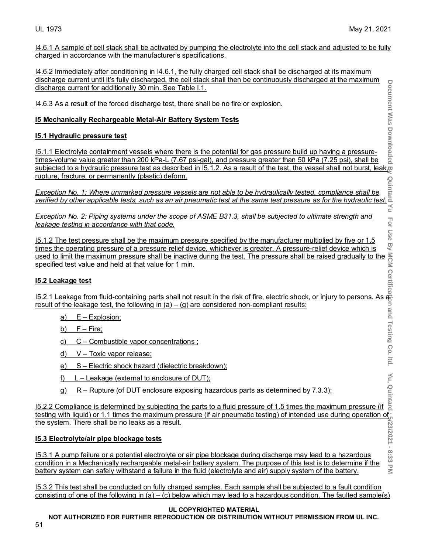$\leq$ 

I4.6.1 A sample of cell stack shall be activated by pumping the electrolyte into the cell stack and adjusted to be fully charged in accordance with the manufacturer's specifications.

I4.6.2 Immediately after conditioning in I4.6.1, the fully charged cell stack shall be discharged at its maximum discharge current until it's fully discharged, the cell stack shall then be continuously discharged at the maximum discharge current for additionally 30 min. See Table I.1.

I4.6.3 As a result of the forced discharge test, there shall be no fire or explosion.

# **I5 Mechanically Rechargeable Metal-Air Battery System Tests**

# **I5.1 Hydraulic pressure test**

**Document Was Downloaded By Quintard Yu For Use By MCM Certification and Testing Co. ltd. Yu, Quintard : 5/23/2021 - 8:33 PM** I5.1.1 Electrolyte containment vessels where there is the potential for gas pressure build up having a pressuretimes-volume value greater than 200 kPa-L (7.67 psi-gal), and pressure greater than 50 kPa (7.25 psi), shall be subjected to a hydraulic pressure test as described in IS.1.2. As a result of the forced discharge test, there shall be no fire or explosion.<br>
IS Mechanically Rechargeable Metal-Air Battery System Tests<br>
IS.1.1 Electrolyte rupture, fracture, or permanently (plastic) deform.

*Exception No. 1: Where unmarked pressure vessels are not able to be hydraulically tested, compliance shall be verified by other applicable tests, such as an air pneumatic test at the same test pressure as for the hydraulic test.*  $\leq$ 

*Exception No. 2: Piping systems under the scope of ASME B31.3, shall be subjected to ultimate strength and leakage testing in accordance with that code.*

I5.1.2 The test pressure shall be the maximum pressure specified by the manufacturer multiplied by five or 1.5 times the operating pressure of a pressure relief device, whichever is greater. A pressure-relief device which is used to limit the maximum pressure shall be inactive during the test. The pressure shall be raised gradually to the specified test value and held at that value for 1 min.

# **I5.2 Leakage test**

I5.2.1 Leakage from fluid-containing parts shall not result in the risk of fire, electric shock, or injury to persons. As a result of the leakage test, the following in (a) – (g) are considered non-compliant results:

- a) E Explosion;
- b) F Fire;
- c) C Combustible vapor concentrations ;
- d) V Toxic vapor release;
- e) S Electric shock hazard (dielectric breakdown);
- f)  $L -$  Leakage (external to enclosure of DUT);
- g) R Rupture (of DUT enclosure exposing hazardous parts as determined by 7.3.3);

<u>F) L – Leakage (external to enclosure of DUT):</u><br>In the parts of the parts as determined by 7.3.3);<br>In the parts to a fluid pressure of 1.5 times the maximum pressure (if a<br>In the parts to a fluid pressure of 1.5 times th testing with liquid) or 1.1 times the maximum pressure (if air pneumatic testing) of intended use during operation of the system. There shall be no leaks as a result.

# **I5.3 Electrolyte/air pipe blockage tests**

I5.3.1 A pump failure or a potential electrolyte or air pipe blockage during discharge may lead to a hazardous condition in a Mechanically rechargeable metal-air battery system. The purpose of this test is to determine if the battery system can safely withstand a failure in the fluid (electrolyte and air) supply system of the battery.

I5.3.2 This test shall be conducted on fully charged samples. Each sample shall be subjected to a fault condition consisting of one of the following in (a) – (c) below which may lead to a hazardous condition. The faulted sample(s)

### **UL COPYRIGHTED MATERIAL**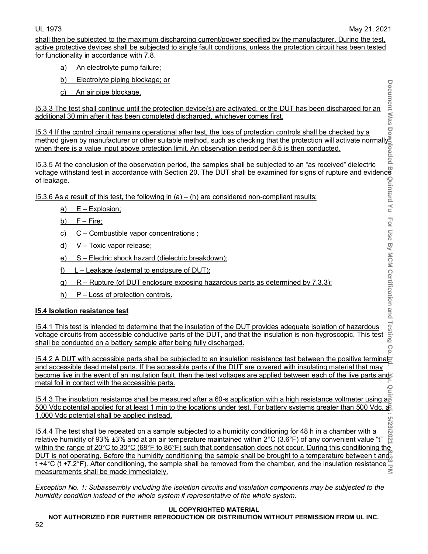Document Was

shall then be subjected to the maximum discharging current/power specified by the manufacturer. During the test, active protective devices shall be subjected to single fault conditions, unless the protection circuit has been tested for functionality in accordance with 7.8.

- a) An electrolyte pump failure;
- b) Electrolyte piping blockage; or
- c) An air pipe blockage.

I5.3.3 The test shall continue until the protection device(s) are activated, or the DUT has been discharged for an additional 30 min after it has been completed discharged, whichever comes first.

I5.3.4 If the control circuit remains operational after test, the loss of protection controls shall be checked by a method given by manufacturer or other suitable method, such as checking that the protection will activate normally when there is a value input above protection limit. An observation period per 8.5 is then conducted.

I5.3.5 At the conclusion of the observation period, the samples shall be subjected to an "as received" dielectric <u>voltage withstand test in accordance with Section 20. The DUT shall be examined for signs of rupture and evidence</u> of leakage.

15.3.6 As a result of this test, the following in  $(a) - (h)$  are considered non-compliant results:

- a) E Explosion;
- b)  $F Fire;$
- c) C Combustible vapor concentrations ;
- d) V Toxic vapor release;
- e) S Electric shock hazard (dielectric breakdown);
- f) L Leakage (external to enclosure of DUT);
- g) R Rupture (of DUT enclosure exposing hazardous parts as determined by 7.3.3);
- h) P Loss of protection controls.

# **I5.4 Isolation resistance test**

For Use By MCM Certification and Testing I5.4.1 This test is intended to determine that the insulation of the DUT provides adequate isolation of hazardous voltage circuits from accessible conductive parts of the DUT, and that the insulation is non-hygroscopic. This test shall be conducted on a battery sample after being fully discharged. Co

15.4.2 A DUT with accessible parts shall be subjected to an insulation resistance test between the positive terminal and accessible dead metal parts. If the accessible parts of the DUT are covered with insulating material that may become live in the event of an insulation fault, then the test voltages are applied between each of the live parts and metal foil in contact with the accessible parts.

I5.4.3 The insulation resistance shall be measured after a 60-s application with a high resistance voltmeter using a 500 Vdc potential applied for at least 1 min to the locations under test. For battery systems greater than 500 Vdc,  $\frac{1}{2}$ 1,000 Vdc potential shall be applied instead.

**Document Was Downloaded By Quintard Yu For Use By MCM Certification and Testing Co. ltd. Yu, Quintard : 5/23/2021 - 8:33 PM** : 5/23/ I5.4.4 The test shall be repeated on a sample subjected to a humidity conditioning for 48 h in a chamber with a  $202'$ relative humidity of 93% ±3% and at an air temperature maintained within 2°C (3.6°F) of any convenient value "t" within the range of 20°C to 30°C (68°F to 86°F) such that condensation does not occur. During this conditioning the DUT is not operating. Before the humidity conditioning the sample shall be brought to a temperature between t and  $\tilde{S}$  $t + 4^{\circ}$ C (t +7.2°F). After conditioning, the sample shall be removed from the chamber, and the insulation resistance  $\frac{\omega}{2}$ measurements shall be made immediately.

*Exception No. 1: Subassembly including the isolation circuits and insulation components may be subjected to the humidity condition instead of the whole system if representative of the whole system.*

### **UL COPYRIGHTED MATERIAL**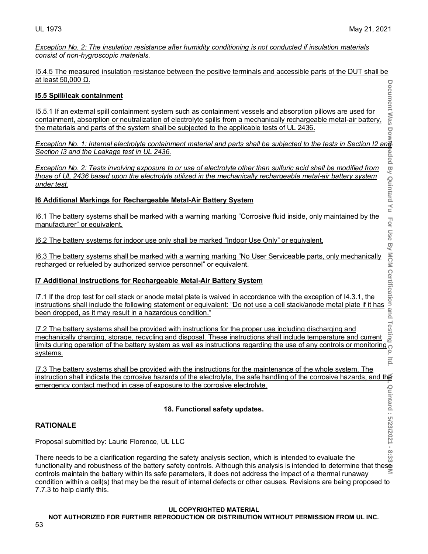*Exception No. 2: The insulation resistance after humidity conditioning is not conducted if insulation materials consist of non-hygroscopic materials.*

I5.4.5 The measured insulation resistance between the positive terminals and accessible parts of the DUT shall be at least 50,000 Ω. Document Was

# **I5.5 Spill/leak containment**

I5.5.1 If an external spill containment system such as containment vessels and absorption pillows are used for containment, absorption or neutralization of electrolyte spills from a mechanically rechargeable metal-air battery, the materials and parts of the system shall be subjected to the applicable tests of UL 2436.

*Exception No. 1: Internal electrolyte containment material and parts shall be subjected to the tests in Section I2 and Section I3 and the Leakage test in UL 2436.*

*Exception No. 2: Tests involving exposure to or use of electrolyte other than sulfuric acid shall be modified from those of UL 2436 based upon the electrolyte utilized in the mechanically rechargeable metal-air battery system under test.*

# **I6 Additional Markings for Rechargeable Metal-Air Battery System**

I6.1 The battery systems shall be marked with a warning marking "Corrosive fluid inside, only maintained by the manufacturer" or equivalent.

I6.2 The battery systems for indoor use only shall be marked "Indoor Use Only" or equivalent.

I6.3 The battery systems shall be marked with a warning marking "No User Serviceable parts, only mechanically recharged or refueled by authorized service personnel" or equivalent.

# **I7 Additional Instructions for Rechargeable Metal-Air Battery System**

I7.1 If the drop test for cell stack or anode metal plate is waived in accordance with the exception of I4.3.1, the Section 13 and the Leakage test in UL 2436.<br>
Exception No. 2: Tests involving exposure to or use of electrolyte other than sulfuric acid shall be modified from<br>
those of UL 2436 based upon the electrolyte utilized in the been dropped, as it may result in a hazardous condition."

I7.2 The battery systems shall be provided with instructions for the proper use including discharging and mechanically charging, storage, recycling and disposal. These instructions shall include temperature and current limits during operation of the battery system as well as instructions regarding the use of any controls or monitoring systems.  $|tq|$ 

I7.3 The battery systems shall be provided with the instructions for the maintenance of the whole system. The instruction shall indicate the corrosive hazards of the electrolyte, the safe handling of the corrosive hazards, and the emergency contact method in case of exposure to the corrosive electrolyte.

# **18. Functional safety updates.**

# **RATIONALE**

Proposal submitted by: Laurie Florence, UL LLC

**Document Was Downloaded By Marizon Systems Incomputer Agent Corporation and Testing Co. ltd. (Agent Was Unitard is 2021-01-2021 - 8:33 PM** Quintard: 5/23/2021 - 8:33 There needs to be a clarification regarding the safety analysis section, which is intended to evaluate the functionality and robustness of the battery safety controls. Although this analysis is intended to determine that these controls maintain the battery within its safe parameters, it does not address the impact of a thermal runaway condition within a cell(s) that may be the result of internal defects or other causes. Revisions are being proposed to 7.7.3 to help clarify this.

### **UL COPYRIGHTED MATERIAL**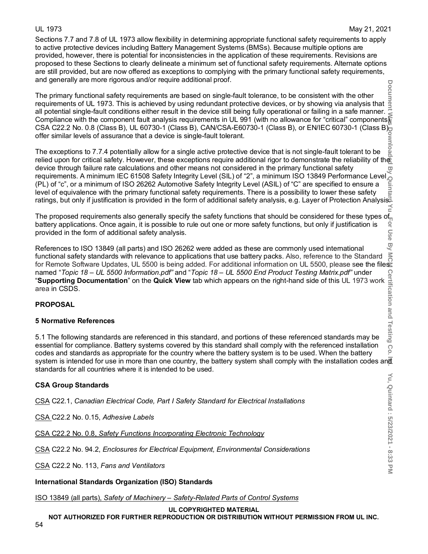Sections 7.7 and 7.8 of UL 1973 allow flexibility in determining appropriate functional safety requirements to apply to active protective devices including Battery Management Systems (BMSs). Because multiple options are provided, however, there is potential for inconsistencies in the application of these requirements. Revisions are proposed to these Sections to clearly delineate a minimum set of functional safety requirements. Alternate options are still provided, but are now offered as exceptions to complying with the primary functional safety requirements, and generally are more rigorous and/or require additional proof.

The primary functional safety requirements are based on single-fault tolerance, to be consistent with the other requirements of UL 1973. This is achieved by using redundant protective devices, or by showing via analysis that all potential single-fault conditions either result in the device still being fully operational or failing in a safe manner. Compliance with the component fault analysis requirements in UL 991 (with no allowance for "critical" components) CSA C22.2 No. 0.8 (Class B), UL 60730-1 (Class B), CAN/CSA-E60730-1 (Class B), or EN/IEC 60730-1 (Class B) offer similar levels of assurance that a device is single-fault tolerant.

wnloa<sub>i</sub> The exceptions to 7.7.4 potentially allow for a single active protective device that is not single-fault tolerant to be relied upon for critical safety. However, these exceptions require additional rigor to demonstrate the reliability of the device through failure rate calculations and other means not considered in the primary functional safety  $\overline{\omega}$ requirements. A minimum IEC 61508 Safety Integrity Level (SIL) of "2", a minimum ISO 13849 Performance Level (PL) of "c", or a minimum of ISO 26262 Automotive Safety Integrity Level (ASIL) of "C" are specified to ensure a (PL) of "c", or a minimum of ISO 26262 Automotive Safety Integrity Level (ASIL) of "C" are specified to ensure a level of equivalence with the primary functional safety requirements. There is a possibility to lower these safety ratings, but only if justification is provided in the form of additional safety analysis, e.g. Layer of Protection Analysis.

The proposed requirements also generally specify the safety functions that should be considered for these types of battery applications. Once again, it is possible to rule out one or more safety functions, but only if justification is provided in the form of additional safety analysis.

References to ISO 13849 (all parts) and ISO 26262 were added as these are commonly used international functional safety standards with relevance to applications that use battery packs. Also, reference to the Standard for Remote Software Updates, UL 5500 is being added. For additional information on UL 5500, please see the files named "*Topic 18 – UL 5500 Information.pdf"* and "*Topic 18 – UL 5500 End Product Testing Matrix.pdf"* under "**Supporting Documentation**" on the **Quick View** tab which appears on the right-hand side of this UL 1973 work area in CSDS.

# **PROPOSAL**

# **5 Normative References**

5.1 The following standards are referenced in this standard, and portions of these referenced standards may be essential for compliance. Battery systems covered by this standard shall comply with the referenced installation codes and standards as appropriate for the country where the battery system is to be used. When the battery system is intended for use in more than one country, the battery system shall comply with the installation codes and standards for all countries where it is intended to be used.

# **CSA Group Standards**

CSA C22.1, *Canadian Electrical Code, Part I Safety Standard for Electrical Installations*

CSA C22.2 No. 0.15, *Adhesive Labels*

CSA C22.2 No. 0.8, *Safety Functions Incorporating Electronic Technology*

CSA C22.2 No. 94.2, *Enclosures for Electrical Equipment, Environmental Considerations*

CSA C22.2 No. 113, *Fans and Ventilators*

**International Standards Organization (ISO) Standards**

ISO 13849 (all parts), *Safety of Machinery – Safety-Related Parts of Control Systems* 

# **UL COPYRIGHTED MATERIAL**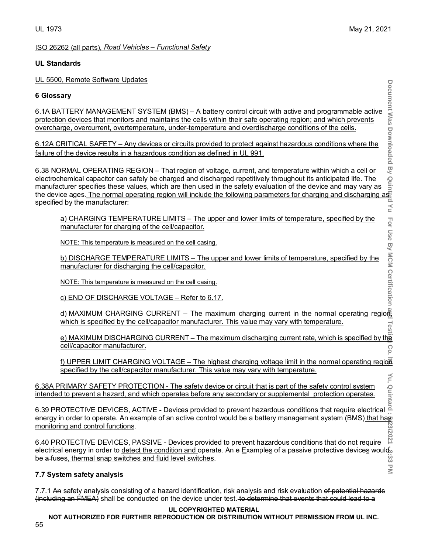# UL 1973 May 21, 2021

 $\leq$ 

For Use By MCM Certification

 $\overline{\leq}$ 

# ISO 26262 (all parts), *Road Vehicles – Functional Safety*

# **UL Standards**

UL 5500, Remote Software Updates

# **6 Glossary**

6.1A BATTERY MANAGEMENT SYSTEM (BMS) – A battery control circuit with active and programmable active protection devices that monitors and maintains the cells within their safe operating region; and which prevents overcharge, overcurrent, overtemperature, under-temperature and overdischarge conditions of the cells.

6.12A CRITICAL SAFETY – Any devices or circuits provided to protect against hazardous conditions where the failure of the device results in a hazardous condition as defined in UL 991.

6.38 NORMAL OPERATING REGION – That region of voltage, current, and temperature within which a cell or electrochemical capacitor can safely be charged and discharged repetitively throughout its anticipated life. The manufacturer specifies these values, which are then used in the safety evaluation of the device and may vary as the device ages. <u>The normal operating region will include the following parameters for charging and discharging as</u> specified by the manufacturer:

a) CHARGING TEMPERATURE LIMITS – The upper and lower limits of temperature, specified by the manufacturer for charging of the cell/capacitor.

NOTE: This temperature is measured on the cell casing.

b) DISCHARGE TEMPERATURE LIMITS – The upper and lower limits of temperature, specified by the manufacturer for discharging the cell/capacitor.

NOTE: This temperature is measured on the cell casing.

c) END OF DISCHARGE VOLTAGE – Refer to 6.17.

d) MAXIMUM CHARGING CURRENT – The maximum charging current in the normal operating region which is specified by the cell/capacitor manufacturer. This value may vary with temperature. Test

e) MAXIMUM DISCHARGING CURRENT – The maximum discharging current rate, which is specified by the cell/capacitor manufacturer. Co

f) UPPER LIMIT CHARGING VOLTAGE – The highest charging voltage limit in the normal operating region specified by the cell/capacitor manufacturer. This value may vary with temperature. Χu,

6.38A PRIMARY SAFETY PROTECTION - The safety device or circuit that is part of the safety control system intended to prevent a hazard, and which operates before any secondary or supplemental protection operates.

**Document Was Downloaded By Quintard Yu For Use By MCM Certification and Testing Co. ltd. Yu, Quintard : 5/23/2021 - 8:33 PM** 6.39 PROTECTIVE DEVICES, ACTIVE - Devices provided to prevent hazardous conditions that require electrical energy in order to operate. An example of an active control would be a battery management system (BMS) that has monitoring and control functions. 23/2021

6.40 PROTECTIVE DEVICES, PASSIVE - Devices provided to prevent hazardous conditions that do not require electrical energy in order to detect the condition and operate. An e Examples of a passive protective devices would be a fuses, thermal snap switches and fluid level switches. نج<br>دن

# **7.7 System safety analysis**

7.7.1 An safety analysis consisting of a hazard identification, risk analysis and risk evaluation of potential hazards (including an FMEA) shall be conducted on the device under test. to determine that events that could lead to a

# **UL COPYRIGHTED MATERIAL**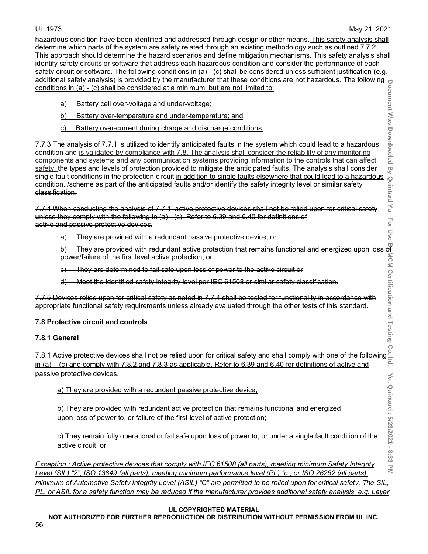For Use

**Document Was Downloaded By Quintard Yu For Use By MCM Certification and Testing Co. ltd. Yu, Quintard : 5/23/2021 - 8:33 PM** hazardous condition have been identified and addressed through design or other means. This safety analysis shall determine which parts of the system are safety related through an existing methodology such as outlined 7.7.2. This approach should determine the hazard scenarios and define mitigation mechanisms. This safety analysis shall identify safety circuits or software that address each hazardous condition and consider the performance of each safety circuit or software. The following conditions in (a) - (c) shall be considered unless sufficient justification (e.g. additional safety analysis) is provided by the manufacturer that these conditions are not hazardous. The following conditions in (a) - (c) shall be considered at a minimum, but are not limited to:

- a) Battery cell over-voltage and under-voltage;
- b) Battery over-temperature and under-temperature; and
- c) Battery over-current during charge and discharge conditions.

7.7.3 The analysis of 7.7.1 is utilized to identify anticipated faults in the system which could lead to a hazardous condition and is validated by compliance with 7.8. The analysis shall consider the reliability of any monitoring components and systems and any communication systems providing information to the controls that can affect <u>safety. the types and levels of protection provided to mitigate the anticipated faults.</u> The analysis shall consider single fault conditions in the protection circuit <u>in addition to single faults elsewhere that could lead to a hazardous</u> condition. /scheme as part of the anticipated faults and/or identify the safety integrity level or similar safety classification.

7.7.4 When conducting the analysis of 7.7.1, active protective devices shall not be relied upon for critical safety unless they comply with the following in (a) - (c). Refer to 6.39 and 6.40 for definitions of active and passive protective devices.

a) They are provided with a redundant passive protective device; or

power/failure of the first level active protection; or

- c) They are determined to fail safe upon loss of power to the active circuit or
- d) Meet the identified safety integrity level per IEC 61508 or similar safety classification.

b) They are provided with redundant active protection that remains functional and energized upon loss of<br>power/failure of the first level active protection; or<br>e) They are determined to fail safe upon loss of power to the 7.7.5 Devices relied upon for critical safety as noted in 7.7.4 shall be tested for functionality in accordance with appropriate functional safety requirements unless already evaluated through the other tests of this standard.

# **7.8 Protective circuit and controls**

# **7.8.1 General**

7.8.1 Active protective devices shall not be relied upon for critical safety and shall comply with one of the following in (a) – (c) and comply with 7.8.2 and 7.8.3 as applicable. Refer to 6.39 and 6.40 for definitions of active and passive protective devices.

a) They are provided with a redundant passive protective device;

b) They are provided with redundant active protection that remains functional and energized upon loss of power to, or failure of the first level of active protection;

c) They remain fully operational or fail safe upon loss of power to, or under a single fault condition of the active circuit; or

Yu, Quintard : 5/23/2021 - 8:33 PM *Exception : Active protective devices that comply with IEC 61508 (all parts), meeting minimum Safety Integrity Level (SIL) "2", ISO 13849 (all parts), meeting minimum performance level (PL) "c", or ISO 26262 (all parts), minimum of Automotive Safety Integrity Level (ASIL) "C" are permitted to be relied upon for critical safety. The SIL, PL, or ASIL for a safety function may be reduced if the manufacturer provides additional safety analysis, e.g. Layer* 

# **UL COPYRIGHTED MATERIAL**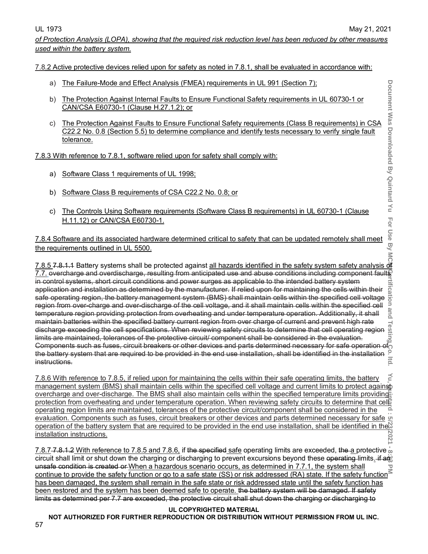*of Protection Analysis (LOPA), showing that the required risk reduction level has been reduced by other measures used within the battery system.*

7.8.2 Active protective devices relied upon for safety as noted in 7.8.1, shall be evaluated in accordance with:

- a) The Failure-Mode and Effect Analysis (FMEA) requirements in UL 991 (Section 7);
- b) The Protection Against Internal Faults to Ensure Functional Safety requirements in UL 60730-1 or CAN/CSA E60730-1 (Clause H.27.1.2); or
- c) The Protection Against Faults to Ensure Functional Safety requirements (Class B requirements) in CSA C22.2 No. 0.8 (Section 5.5) to determine compliance and identify tests necessary to verify single fault tolerance. 7.8.3 With reference to 7.8.1, software elect Analysis (FMEA) requirements in UL 991 (Section 7):<br>
CAN/CSA E60730-1 Clause H.27.1.2): or<br>
C. The Protection Against Internal Faults to Ensure Functional Safety requirements

7.8.3 With reference to 7.8.1, software relied upon for safety shall comply with:

- a) Software Class 1 requirements of UL 1998;
- b) Software Class B requirements of CSA C22.2 No. 0.8; or
- c) The Controls Using Software requirements (Software Class B requirements) in UL 60730-1 (Clause H.11.12) or CAN/CSA E60730-1.

7.8.4 Software and its associated hardware determined critical to safety that can be updated remotely shall meet the requirements outlined in UL 5500.

Document Was Document Dy Guintard is Hot Use By MCM Certification and Iesting Co. Ltd. Yu, <del>Shippi</del>a : 5:32,2021 - 8:39 PM 7.7. overcharge and overdischarge, resulting from anticipated use and abuse conditions including component fault $\$\$ in control systems, short circuit conditions and power surges as applicable to the intended battery system rtification and application and installation as determined by the manufacturer. If relied upon for maintaining the cells within their safe operating region, the battery management system (BMS) shall maintain cells within the specified cell voltage region from over-charge and over-discharge of the cell voltage, and it shall maintain cells within the specified cell temperature region providing protection from overheating and under temperature operation. Additionally, it shall maintain batteries within the specified battery current region from over charge of current and prevent high rate discharge exceeding the cell specifications. When reviewing safety circuits to determine that cell operating region limits are maintained, tolerances of the protective circuit/ component shall be considered in the evaluation. Components such as fuses, circuit breakers or other devices and parts determined necessary for safe operation of the battery system that are required to be provided in the end use installation, shall be identified in the installation  $\overline{15}$ instructions.

7.8.6 With reference to 7.8.5, if relied upon for maintaining the cells within their safe operating limits, the battery management system (BMS) shall maintain cells within the specified cell voltage and current limits to protect against overcharge and over-discharge. The BMS shall also maintain cells within the specified temperature limits providing protection from overheating and under temperature operation. When reviewing safety circuits to determine that cell operating region limits are maintained, tolerances of the protective circuit/component shall be considered in the evaluation. Components such as fuses, circuit breakers or other devices and parts determined necessary for safe operation of the battery system that are required to be provided in the end use installation, shall be identified in the installation instructions.

7.8.7 7.8.1.2 With reference to 7.8.5 and 7.8.6, if the specified safe operating limits are exceeded, the a protective  $\frac{1}{20}$ circuit shall limit or shut down the charging or discharging to prevent excursions beyond these operating limits. if any unsafe condition is created or When a hazardous scenario occurs, as determined in 7.7.1, the system shall continue to provide the safety function or go to a safe state (SS) or risk addressed (RA) state. If the safety function<sup>3</sup> has been damaged, the system shall remain in the safe state or risk addressed state until the safety function has been restored and the system has been deemed safe to operate. the battery system will be damaged. If safety limits as determined per 7.7 are exceeded, the protective circuit shall shut down the charging or discharging to

# **UL COPYRIGHTED MATERIAL**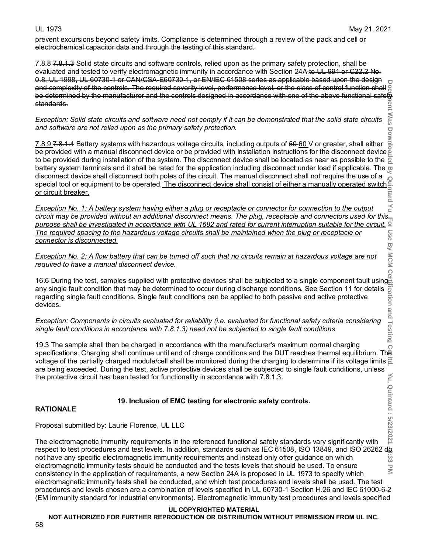**Mas**  $\overline{C}$ 

prevent excursions beyond safety limits. Compliance is determined through a review of the pack and cell or electrochemical capacitor data and through the testing of this standard.

7.8.8 7.8.1.3 Solid state circuits and software controls, relied upon as the primary safety protection, shall be evaluated and tested to verify electromagnetic immunity in accordance with Section 24A.to UL 991 or C22.2 No. 0.8, UL 1998, UL 60730-1 or CAN/CSA-E60730-1, or EN/IEC 61508 series as applicable based upon the design and complexity of the controls. The required severity level, performance level, or the class of control function shall g<br>and complexity of the controls. The required severity level, performance level, or the class of contr be determined by the manufacturer and the controls designed in accordance with one of the above functional safety<br>standards. standards.

*Exception: Solid state circuits and software need not comply if it can be demonstrated that the solid state circuits and software are not relied upon as the primary safety protection.*

<u>7.8.9</u> 7.8.1.4 Battery systems with hazardous voltage circuits, including outputs of 50<u>-60 </u>V or greater, shall either be provided with a manual disconnect device or be provided with installation instructions for the disconnect device to be provided during installation of the system. The disconnect device shall be located as near as possible to the battery system terminals and it shall be rated for the application including disconnect under load if applicable. The  $\varpi$ disconnect device shall disconnect both poles of the circuit. The manual disconnect shall not require the use of a special tool or equipment to be operated.<u> The disconnect device shall consist of either a manually operated switch</u>! <u>or circuit breaker.</u>

 $\leq$ *Exception No. 1: A battery system having either a plug or receptacle or connector for connection to the output circuit may be provided without an additional disconnect means. The plug, receptacle and connectors used for this purpose shall be investigated in accordance with UL 1682 and rated for current interruption suitable for the circuit.*<br>The required spacing to the hazardous voltage circuits shall be maintained when the plug or receptacle *The required spacing to the hazardous voltage circuits shall be maintained when the plug or receptacle or connector is disconnected.* By MCM

*Exception No. 2: A flow battery that can be turned off such that no circuits remain at hazardous voltage are not required to have a manual disconnect device.*

16.6 During the test, samples supplied with protective devices shall be subjected to a single component fault using<br>any single fault condition that may be determined to occur during discharge conditions. See Section 11 for any single fault condition that may be determined to occur during discharge conditions. See Section 11 for details regarding single fault conditions. Single fault conditions can be applied to both passive and active protective devices.

*Exception: Components in circuits evaluated for reliability (i.e. evaluated for functional safety criteria considering single fault conditions in accordance with 7.8.1.3) need not be subjected to single fault conditions*

Testing 19.3 The sample shall then be charged in accordance with the manufacturer's maximum normal charging  $\Omega$ specifications. Charging shall continue until end of charge conditions and the DUT reaches thermal equilibrium. The voltage of the partially charged module/cell shall be monitored during the charging to determine if its voltage limits  $\frac{1}{6}$ are being exceeded. During the test, active protective devices shall be subjected to single fault conditions, unless<br>the protective circuit has been tested for functionality in accordance with 7.8.1.3.<br>**RATIONALE**<br>**RATIONA** the protective circuit has been tested for functionality in accordance with 7.8.1.3.

# **19. Inclusion of EMC testing for electronic safety controls.**

# **RATIONALE**

Proposal submitted by: Laurie Florence, UL LLC

**Document Was Downloaded By Quintard Yu For Use By MCM Certification and Testing Co. ltd. Yu, Quintard : 5/23/2021 - 8:33 PM** The electromagnetic immunity requirements in the referenced functional safety standards vary significantly with respect to test procedures and test levels. In addition, standards such as IEC 61508, ISO 13849, and ISO 26262 do not have any specific electromagnetic immunity requirements and instead only offer guidance on which نج<br>دی electromagnetic immunity tests should be conducted and the tests levels that should be used. To ensure  $\overline{\leq}$ consistency in the application of requirements, a new Section 24A is proposed in UL 1973 to specify which electromagnetic immunity tests shall be conducted, and which test procedures and levels shall be used. The test procedures and levels chosen are a combination of levels specified in UL 60730-1 Section H.26 and IEC 61000-6-2 (EM immunity standard for industrial environments). Electromagnetic immunity test procedures and levels specified

### **UL COPYRIGHTED MATERIAL**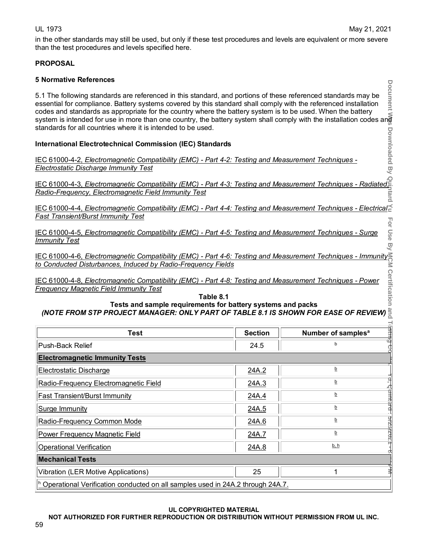in the other standards may still be used, but only if these test procedures and levels are equivalent or more severe than the test procedures and levels specified here.

# **PROPOSAL**

# **5 Normative References**

# **International Electrotechnical Commission (IEC) Standards**

| 5.1 The following standards are referenced in this standard, and portions of these referenced standards may be<br>essential for compliance. Battery systems covered by this standard shall comply with the referenced installation<br>codes and standards as appropriate for the country where the battery system is to be used. When the battery<br>system is intended for use in more than one country, the battery system shall comply with the installation codes and<br>standards for all countries where it is intended to be used. |                |                                |  |  |  |
|-------------------------------------------------------------------------------------------------------------------------------------------------------------------------------------------------------------------------------------------------------------------------------------------------------------------------------------------------------------------------------------------------------------------------------------------------------------------------------------------------------------------------------------------|----------------|--------------------------------|--|--|--|
| <b>International Electrotechnical Commission (IEC) Standards</b>                                                                                                                                                                                                                                                                                                                                                                                                                                                                          |                | <b>Downloaded</b>              |  |  |  |
| IEC 61000-4-2, Electromagnetic Compatibility (EMC) - Part 4-2: Testing and Measurement Techniques -                                                                                                                                                                                                                                                                                                                                                                                                                                       |                |                                |  |  |  |
| <b>Electrostatic Discharge Immunity Test</b>                                                                                                                                                                                                                                                                                                                                                                                                                                                                                              |                | D<br>V                         |  |  |  |
| <u>IEC 61000-4-3, Electromagnetic Compatibility (EMC) - Part 4-3: Testing and Measurement Techniques - Radiated F</u><br>Radio-Frequency, Electromagnetic Field Immunity Test                                                                                                                                                                                                                                                                                                                                                             |                |                                |  |  |  |
| <u>IEC 61000-4-4, Electromagnetic Compatibility (EMC) - Part 4-4: Testing and Measurement Techniques - Electrical</u>                                                                                                                                                                                                                                                                                                                                                                                                                     |                |                                |  |  |  |
| Fast Transient/Burst Immunity Test                                                                                                                                                                                                                                                                                                                                                                                                                                                                                                        |                |                                |  |  |  |
| IEC 61000-4-5, Electromagnetic Compatibility (EMC) - Part 4-5: Testing and Measurement Techniques - Surge<br><b>Immunity Test</b>                                                                                                                                                                                                                                                                                                                                                                                                         |                | Use<br>贝<br>W                  |  |  |  |
| IEC 61000-4-6, Electromagnetic Compatibility (EMC) - Part 4-6: Testing and Measurement Techniques - Immunity<br>to Conducted Disturbances, Induced by Radio-Frequency Fields                                                                                                                                                                                                                                                                                                                                                              |                |                                |  |  |  |
| IEC 61000-4-8, Electromagnetic Compatibility (EMC) - Part 4-8: Testing and Measurement Techniques - Power<br><b>Frequency Magnetic Field Immunity Test</b>                                                                                                                                                                                                                                                                                                                                                                                |                |                                |  |  |  |
| Tests and sample requirements for battery systems and packs<br>(NOTE FROM STP PROJECT MANAGER: ONLY PART OF TABLE 8.1 IS SHOWN FOR EASE OF REVIEW) $\frac{3}{2}$                                                                                                                                                                                                                                                                                                                                                                          | Table 8.1      | ertification                   |  |  |  |
| <b>Test</b>                                                                                                                                                                                                                                                                                                                                                                                                                                                                                                                               | <b>Section</b> | Number of samples <sup>a</sup> |  |  |  |
| Push-Back Relief                                                                                                                                                                                                                                                                                                                                                                                                                                                                                                                          | 24.5           |                                |  |  |  |
| <b>Electromagnetic Immunity Tests</b>                                                                                                                                                                                                                                                                                                                                                                                                                                                                                                     |                |                                |  |  |  |
| Electrostatic Discharge                                                                                                                                                                                                                                                                                                                                                                                                                                                                                                                   | 24A.2          | b                              |  |  |  |
| Radio-Frequency Electromagnetic Field                                                                                                                                                                                                                                                                                                                                                                                                                                                                                                     | 24A.3          | b                              |  |  |  |
| 24A.4<br>b<br><b>Fast Transient/Burst Immunity</b>                                                                                                                                                                                                                                                                                                                                                                                                                                                                                        |                |                                |  |  |  |
| ntard :<br>b<br>Surge Immunity<br>24A.5                                                                                                                                                                                                                                                                                                                                                                                                                                                                                                   |                |                                |  |  |  |
| Radio-Frequency Common Mode                                                                                                                                                                                                                                                                                                                                                                                                                                                                                                               | 24A.6          | b                              |  |  |  |
| <b>Power Frequency Magnetic Field</b>                                                                                                                                                                                                                                                                                                                                                                                                                                                                                                     | 24A.7          | <b>DIZOZICITE</b><br><u>b</u>  |  |  |  |
| <b>Operational Verification</b>                                                                                                                                                                                                                                                                                                                                                                                                                                                                                                           | 24A.8          | <u>b, h</u>                    |  |  |  |
| <b>Mechanical Tests</b>                                                                                                                                                                                                                                                                                                                                                                                                                                                                                                                   |                |                                |  |  |  |
| <b>Vibration (LER Motive Applications)</b>                                                                                                                                                                                                                                                                                                                                                                                                                                                                                                | 25             | 1                              |  |  |  |
| h Operational Verification conducted on all samples used in 24A.2 through 24A.7.                                                                                                                                                                                                                                                                                                                                                                                                                                                          |                |                                |  |  |  |

**UL COPYRIGHTED MATERIAL**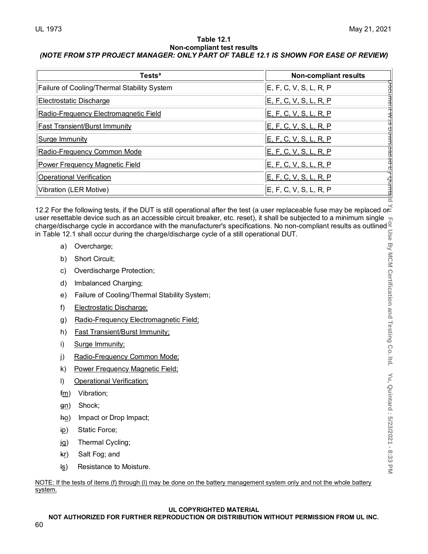### **Table 12.1 Non-compliant test results** *(NOTE FROM STP PROJECT MANAGER: ONLY PART OF TABLE 12.1 IS SHOWN FOR EASE OF REVIEW)*

| <b>Tests<sup>a</sup></b>                    | <b>Non-compliant results</b>  |
|---------------------------------------------|-------------------------------|
| Failure of Cooling/Thermal Stability System | E, F, C, V, S, L, R, P        |
| <b>Electrostatic Discharge</b>              | <u>E, F, C, V, S, L, R, P</u> |
| Radio-Frequency Electromagnetic Field       | E, F, C, V, S, L, R, P        |
| <b>Fast Transient/Burst Immunity</b>        | E, F, C, V, S, L, R, P        |
| <b>Surge Immunity</b>                       | <u>E, F, C, V, S, L, R, P</u> |
| Radio-Frequency Common Mode                 | E, F, C, V, S, L, R, P        |
| <b>Power Frequency Magnetic Field</b>       | E, F, C, V, S, L, R, P        |
| <b>Operational Verification</b>             | E, F, C, V, S, L, R, P        |
| Vibration (LER Motive)                      | E, F, C, V, S, L, R, P        |

12.2 For the following tests, if the DUT is still operational after the test (a user replaceable fuse may be replaced or  $\leq$  user resettable device such as an accessible circuit breaker, etc. reset), it shall be subject user resettable device such as an accessible circuit breaker, etc. reset), it shall be subjected to a minimum single charge/discharge cycle in accordance with the manufacturer's specifications. No non-compliant results as outlined in Table 12.1 shall occur during the charge/discharge cycle of a still operational DUT.

- a) Overcharge;
- b) Short Circuit;
- c) Overdischarge Protection;
- d) Imbalanced Charging;
- e) Failure of Cooling/Thermal Stability System;
- f) Electrostatic Discharge;
- g) Radio-Frequency Electromagnetic Field;
- h) Fast Transient/Burst Immunity;
- i) Surge Immunity;
- j) Radio-Frequency Common Mode;
- k) Power Frequency Magnetic Field;
- l) Operational Verification;
- fm) Vibration;
- gn) Shock;
- ho) Impact or Drop Impact;
- ip) Static Force;
- jg) Thermal Cycling;
- kr) Salt Fog; and
- ls) Resistance to Moisture.

NOTE: If the tests of items (f) through (l) may be done on the battery management system only and not the whole battery system.

# **UL COPYRIGHTED MATERIAL**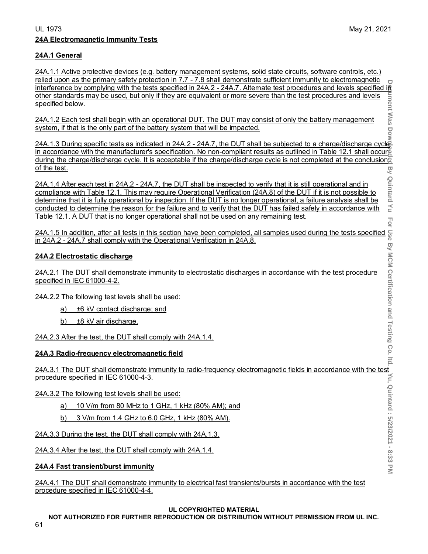### UL 1973 May 21, 2021 **24A Electromagnetic Immunity Tests**

For

# **24A.1 General**

24A.1.1 Active protective devices (e.g. battery management systems, solid state circuits, software controls, etc.) relied upon as the primary safety protection in 7.7 - 7.8 shall demonstrate sufficient immunity to electromagnetic interference by complying with the tests specified in 24A.2 - 24A.7. Alternate test procedures and levels specified in other standards may be used, but only if they are equivalent or more severe than the test procedures and levels ument Was specified below.

24A.1.2 Each test shall begin with an operational DUT. The DUT may consist of only the battery management system, if that is the only part of the battery system that will be impacted. system, if that is the only part of the battery system that will be impacted.

**Document Was Downloaded By Quintard Yu For Use By MCM Certification and Testing Co. ltd. Yu, Quintard : 5/23/2021 - 8:33 PM** 24A.1.3 During specific tests as indicated in 24A.2 - 24A.7, the DUT shall be subjected to a charge/discharge cycle in accordance with the manufacturer's specification. No non-compliant results as outlined in Table 12.1 shall occur during the charge/discharge cycle. It is acceptable if the charge/discharge cycle is not completed at the conclusion of the test. By Quintard Yu

24A.1.4 After each test in 24A.2 - 24A.7, the DUT shall be inspected to verify that it is still operational and in compliance with Table 12.1. This may require Operational Verification (24A.8) of the DUT if it is not possible to determine that it is fully operational by inspection. If the DUT is no longer operational, a failure analysis shall be conducted to determine the reason for the failure and to verify that the DUT has failed safely in accordance with Table 12.1. A DUT that is no longer operational shall not be used on any remaining test.

24A.1.5 In addition, after all tests in this section have been completed, all samples used during the tests specified in  $24A.2 - 24A.7$  shall comply with the Operational Verification in 24A.8.<br>
24A.2 Electrostatic dischar in 24A.2 - 24A.7 shall comply with the Operational Verification in 24A.8.

# **24A.2 Electrostatic discharge**

24A.2.1 The DUT shall demonstrate immunity to electrostatic discharges in accordance with the test procedure specified in IEC 61000-4-2.

24A.2.2 The following test levels shall be used:

- a) ±6 kV contact discharge; and
- b)  $\pm$ 8 kV air discharge.
- 24A.2.3 After the test, the DUT shall comply with 24A.1.4.

### **24A.3 Radio-frequency electromagnetic field**

24A.3.1 The DUT shall demonstrate immunity to radio-frequency electromagnetic fields in accordance with the test<br>  $\frac{24A.3.1 \text{ The following test levels shall be used:}}{\frac{64A.3.2 \text{ The following test levels shall be used:}}$ <br>  $\frac{24A.3.2 \text{ The following test levels shall be used:}}{\frac{64A.3.3 \text{ D} \cdot \text{ from 10 M Hz to 1 GHz, 1 kHz (8$ procedure specified in IEC 61000-4-3.

24A.3.2 The following test levels shall be used:

- a) 10 V/m from 80 MHz to 1 GHz, 1 kHz (80% AM); and
- b) 3 V/m from 1.4 GHz to 6.0 GHz, 1 kHz (80% AM).

24A.3.3 During the test, the DUT shall comply with 24A.1.3.

24A.3.4 After the test, the DUT shall comply with 24A.1.4.

# **24A.4 Fast transient/burst immunity**

24A.4.1 The DUT shall demonstrate immunity to electrical fast transients/bursts in accordance with the test procedure specified in IEC 61000-4-4.

### **UL COPYRIGHTED MATERIAL**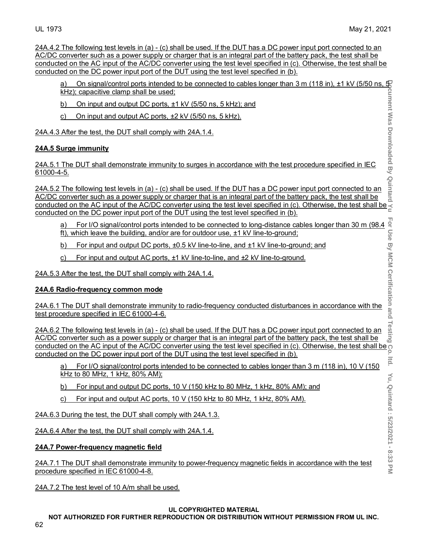24A.4.2 The following test levels in (a) - (c) shall be used. If the DUT has a DC power input port connected to an AC/DC converter such as a power supply or charger that is an integral part of the battery pack, the test shall be conducted on the AC input of the AC/DC converter using the test level specified in (c). Otherwise, the test shall be conducted on the DC power input port of the DUT using the test level specified in (b).

| On signal/control ports intended to be connected to cables longer than 3 m (118 in), $\pm 1$ kV (5/50 ns, $\pm$<br>a)<br>kHz); capacitive clamp shall be used; |       |
|----------------------------------------------------------------------------------------------------------------------------------------------------------------|-------|
| On input and output DC ports, ±1 kV (5/50 ns, 5 kHz); and<br>b)                                                                                                | Θ     |
| On input and output AC ports, ±2 kV (5/50 ns, 5 kHz).<br>C)                                                                                                    | as    |
| 24A.4.3 After the test, the DUT shall comply with 24A.1.4.                                                                                                     | Down  |
| 24A.5 Surge immunity                                                                                                                                           | paded |
| 24A.5.1 The DUT shall demonstrate immunity to surges in accordance with the test procedure specified in IEC<br>61000-4-5.                                      | ළ     |

24A.5.2 The following test levels in (a) - (c) shall be used. If the DUT has a DC power input port connected to an AC/DC converter such as a power supply or charger that is an integral part of the battery pack, the test shall be conducted on the AC input of the AC/DC converter such as a power supply or charger that is an integral part of the battery pack, the test shall be  $\overline{AC/DC}$  converter such as a power supply or charger that is an integral conducted on the DC power input port of the DUT using the test level specified in (b).

- ft), which leave the building, and/or are for outdoor use, ±1 kV line-to-ground;
- b) For input and output DC ports, ±0.5 kV line-to-line, and ±1 kV line-to-ground; and
- c) For input and output AC ports, ±1 kV line-to-line, and ±2 kV line-to-ground.

24A.5.3 After the test, the DUT shall comply with 24A.1.4.

# **24A.6 Radio-frequency common mode**

24A.6.1 The DUT shall demonstrate immunity to radio-frequency conducted disturbances in accordance with the test procedure specified in IEC 61000-4-6.

For I/O signal/control ports intended to be connected to long-distance cables longer than 30 m (98.4 example)<br>
For input and output DC ports, ±0.5 kV line-to-line, and ±1 kV line-to-ground;<br>
For input and output AC ports, 24A.6.2 The following test levels in (a) - (c) shall be used. If the DUT has a DC power input port connected to an AC/DC converter such as a power supply or charger that is an integral part of the battery pack, the test shall be AC/DC converter such as a power supply of original matrix of the test level specified in (c). Otherwise, the test shall be  $\frac{1}{2}$ conducted on the DC power input port of the DUT using the test level specified in (b).

a) For I/O signal/control ports intended to be connected to cables longer than 3 m (118 in), 10 V (150 kHz to 80 MHz, 1 kHz, 80% AM);

b) For input and output DC ports, 10 V (150 kHz to 80 MHz, 1 kHz, 80% AM); and

c) For input and output AC ports, 10 V (150 kHz to 80 MHz, 1 kHz, 80% AM).

24A.6.3 During the test, the DUT shall comply with 24A.1.3.

24A.6.4 After the test, the DUT shall comply with 24A.1.4.

# **24A.7 Power-frequency magnetic field**

24A.7.1 The DUT shall demonstrate immunity to power-frequency magnetic fields in accordance with the test procedure specified in IEC 61000-4-8.

24A.7.2 The test level of 10 A/m shall be used.

# **UL COPYRIGHTED MATERIAL**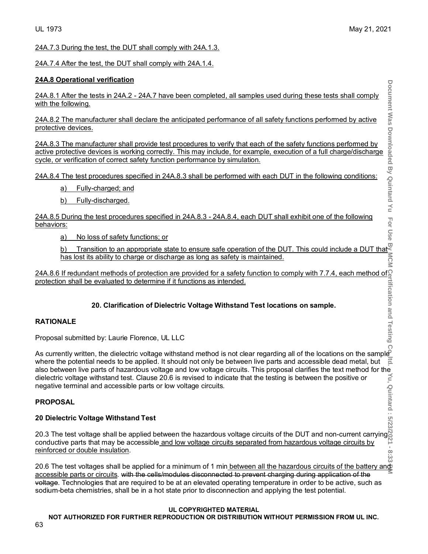24A.7.3 During the test, the DUT shall comply with 24A.1.3.

24A.7.4 After the test, the DUT shall comply with 24A.1.4.

# **24A.8 Operational verification**

24A.8.1 After the tests in 24A.2 - 24A.7 have been completed, all samples used during these tests shall comply with the following.

24A.8.2 The manufacturer shall declare the anticipated performance of all safety functions performed by active protective devices.

24A.8.3 The manufacturer shall provide test procedures to verify that each of the safety functions performed by active protective devices is working correctly. This may include, for example, execution of a full charge/discharge cycle, or verification of correct safety function performance by simulation. beriation to an appropriate state to ensure safe operation of the Burl include a DUT that fields that the manufacturer shall declare the anticipated performance of all safety functions performed by active<br>the manufacturer

24A.8.4 The test procedures specified in 24A.8.3 shall be performed with each DUT in the following conditions:

- a) Fully-charged; and
- b) Fully-discharged.

24A.8.5 During the test procedures specified in 24A.8.3 - 24A.8.4, each DUT shall exhibit one of the following behaviors:

a) No loss of safety functions; or

has lost its ability to charge or discharge as long as safety is maintained.

24A.8.6 If redundant methods of protection are provided for a safety function to comply with 7.7.4, each method of protection shall be evaluated to determine if it functions as intended.<br>
20. Clarification of Dielectric Vo protection shall be evaluated to determine if it functions as intended.

# **20. Clarification of Dielectric Voltage Withstand Test locations on sample.**

# **RATIONALE**

Proposal submitted by: Laurie Florence, UL LLC

**Document Was Downloaded By Quintard Yu For Use By MCM Certification and Testing Co. ltd. Yu, Quintard : 5/23/2021 - 8:33 PM**  $\overline{O}$ As currently written, the dielectric voltage withstand method is not clear regarding all of the locations on the sample<br>where the potential needs to be applied. It should not only be between live parts and accessible dead where the potential needs to be applied. It should not only be between live parts and accessible dead metal, but also between live parts of hazardous voltage and low voltage circuits. This proposal clarifies the text method for the dielectric voltage withstand test. Clause 20.6 is revised to indicate that the testing is between the positive or negative terminal and accessible parts or low voltage circuits.

# **PROPOSAL**

# **20 Dielectric Voltage Withstand Test**

20.3 The test voltage shall be applied between the hazardous voltage circuits of the DUT and non-current carrying conductive parts that may be accessible<u> and low voltage circuits separated from hazardous voltage circuits by</u> reinforced or double insulation.  $\infty$ ښت<br>د

20.6 The test voltages shall be applied for a minimum of 1 min between all the hazardous circuits of the battery and accessible parts or circuits. with the cells/modules disconnected to prevent charging during application of the voltage. Technologies that are required to be at an elevated operating temperature in order to be active, such as sodium-beta chemistries, shall be in a hot state prior to disconnection and applying the test potential.

# **UL COPYRIGHTED MATERIAL**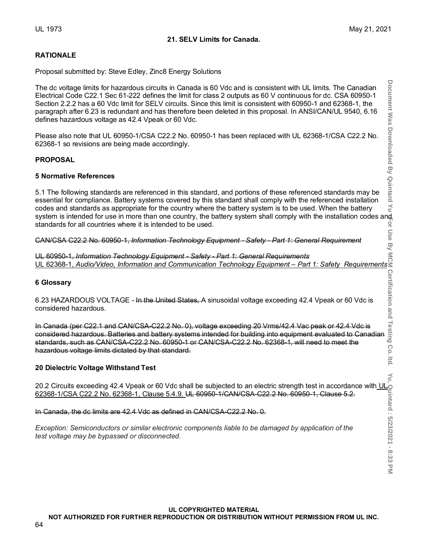# **21. SELV Limits for Canada.**

# **RATIONALE**

Proposal submitted by: Steve Edley, Zinc8 Energy Solutions

The dc voltage limits for hazardous circuits in Canada is 60 Vdc and is consistent with UL limits. The Canadian Electrical Code C22.1 Sec 61-222 defines the limit for class 2 outputs as 60 V continuous for dc. CSA 60950-1 Section 2.2.2 has a 60 Vdc limit for SELV circuits. Since this limit is consistent with 60950-1 and 62368-1, the paragraph after 6.23 is redundant and has therefore been deleted in this proposal. In ANSI/CAN/UL 9540, 6.16 defines hazardous voltage as 42.4 Vpeak or 60 Vdc.

Please also note that UL 60950-1/CSA C22.2 No. 60950-1 has been replaced with UL 62368-1/CSA C22.2 No. 62368-1 so revisions are being made accordingly.

# **PROPOSAL**

### **5 Normative References**

5.1 The following standards are referenced in this standard, and portions of these referenced standards may be essential for compliance. Battery systems covered by this standard shall comply with the referenced installation codes and standards as appropriate for the country where the battery system is to be used. When the battery system is intended for use in more than one country, the battery system shall comply with the installation codes and<br>standards for all countries where it is intended to be used. standards for all countries where it is intended to be used.

CAN/CSA C22.2 No. 60950-1, *Information Technology Equipment - Safety - Part 1: General Requirement*

UL 60950-1, *Information Technology Equipment - Safety - Part 1: General Requirements* UL 62368-1, *Audio/Video, Information and Communication Technology Equipment – Part 1: Safety Requirements*

### **6 Glossary**

6.23 HAZARDOUS VOLTAGE - In the United States, A sinusoidal voltage exceeding 42.4 Vpeak or 60 Vdc is considered hazardous.

In Canada (per C22.1 and CAN/CSA-C22.2 No. 0), voltage exceeding 20 Vrms/42.4 Vac peak or 42.4 Vdc is 6 Glossary<br>
6.23 HAZARDOUS VOLTAGE - In the United States, A sinusoidal voltage exceeding 42.4 Vpeak or 60 Vdc is<br>
considered hazardous.<br>
In Canada (per C22.1 and CAN/CSA-C22.2 No. 0), voltage exceeding 20 Vrms/42.4 Vac pe standards, such as CAN/CSA-C22.2 No. 60950-1 or CAN/CSA-C22.2 No. 62368-1, will need to meet the hazardous voltage limits dictated by that standard.

# **20 Dielectric Voltage Withstand Test**

20.2 Circuits exceeding 42.4 Vpeak or 60 Vdc shall be subjected to an electric strength test in accordance with  $\sf{UL}_f$ 62368-1/CSA C22.2 No. 62368-1, Clause 5.4.9. UL 60950-1/CAN/CSA-C22.2 No. 60950-1, Clause 5.2.

In Canada, the dc limits are 42.4 Vdc as defined in CAN/CSA-C22.2 No. 0.

*Exception: Semiconductors or similar electronic components liable to be damaged by application of the test voltage may be bypassed or disconnected.*

### **UL COPYRIGHTED MATERIAL**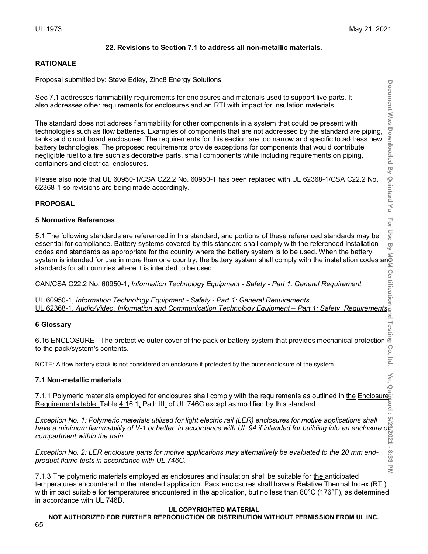Document Was

Downloaded By Quintard Yu

 $\overline{p}$ 

 $8:33$ 

# **22. Revisions to Section 7.1 to address all non-metallic materials.**

# **RATIONALE**

Proposal submitted by: Steve Edley, Zinc8 Energy Solutions

Sec 7.1 addresses flammability requirements for enclosures and materials used to support live parts. It also addresses other requirements for enclosures and an RTI with impact for insulation materials.

The standard does not address flammability for other components in a system that could be present with technologies such as flow batteries. Examples of components that are not addressed by the standard are piping, tanks and circuit board enclosures. The requirements for this section are too narrow and specific to address new battery technologies. The proposed requirements provide exceptions for components that would contribute negligible fuel to a fire such as decorative parts, small components while including requirements on piping, containers and electrical enclosures.

Please also note that UL 60950-1/CSA C22.2 No. 60950-1 has been replaced with UL 62368-1/CSA C22.2 No. 62368-1 so revisions are being made accordingly.

# **PROPOSAL**

# **5 Normative References**

For Use 5.1 The following standards are referenced in this standard, and portions of these referenced standards may be essential for compliance. Battery systems covered by this standard shall comply with the referenced installation  $\overline{9}$ codes and standards as appropriate for the country where the battery system is to be used. When the battery system is intended for use in more than one country where the battery system is to be used. When the battery<br>system is intended for use in more than one country, the battery system shall comply with the installation codes standards for all countries where it is intended to be used.

CAN/CSA C22.2 No. 60950-1, *Information Technology Equipment - Safety - Part 1: General Requirement*

UL 60950-1, *Information Technology Equipment - Safety - Part 1: General Requirements* UL 62368-1, *Audio/Video, Information and Communication Technology Equipment – Part 1: Safety Requirements*

# **6 Glossary**

6.16 ENCLOSURE - The protective outer cover of the pack or battery system that provides mechanical protection  $\vec{\omega}$ Co to the pack/system's contents.

NOTE: A flow battery stack is not considered an enclosure if protected by the outer enclosure of the system.

# **7.1 Non-metallic materials**

7.1.1 Polymeric materials employed for enclosures shall comply with the requirements as outlined in <u>the Enclosure</u> Requirements table, Table 4.16.1, Path III, of UL 746C except as modified by this standard.

**Document Was Downloaded By Quintard Yu For Use By MCM Certification and Testing Co. ltd. Yu, Quintard : 5/23/2021 - 8:33 PM** *Exception No. 1: Polymeric materials utilized for light electric rail (LER) enclosures for motive applications shall have a minimum flammability of V-1 or better, in accordance with UL 94 if intended for building into an enclosure or compartment within the train.*

*Exception No. 2: LER enclosure parts for motive applications may alternatively be evaluated to the 20 mm endproduct flame tests in accordance with UL 746C.*

 $\leq$ 7.1.3 The polymeric materials employed as enclosures and insulation shall be suitable for the anticipated temperatures encountered in the intended application. Pack enclosures shall have a Relative Thermal Index (RTI) with impact suitable for temperatures encountered in the application, but no less than 80°C (176°F), as determined in accordance with UL 746B.

# **UL COPYRIGHTED MATERIAL**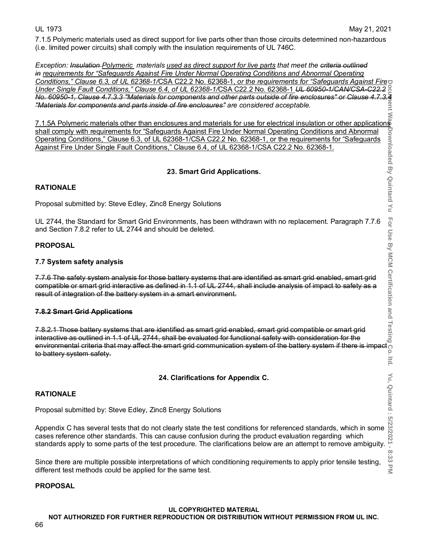For

ltd.

8:33 PM

7.1.5 Polymeric materials used as direct support for live parts other than those circuits determined non-hazardous (i.e. limited power circuits) shall comply with the insulation requirements of UL 746C.

*Exception: Insulation Polymeric materials used as direct support for live parts that meet the criteria outlined in requirements for "Safeguards Against Fire Under Normal Operating Conditions and Abnormal Operating Conditions," Clause 6.3, of UL 62368-1/*CSA C22.2 No. 62368-1, *or the requirements for "Safeguards Against Fire*  **Document Was Downloaded By Quintard Yu For Use By MCM Certification and Testing Co. ltd. Yu, Quintard : 5/23/2021 - 8:33 PM** *Under Single Fault Conditions," Clause 6.4, of UL 62368-1/*CSA C22.2 No. 62368-1 *UL 60950-1/CAN/CSA-C22.2 No. 60950-1, Clause 4.7.3.3 "Materials for components and other parts outside of fire enclosures" or Clause 4.7.3.4 "Materials for components and parts inside of fire enclosures" are considered acceptable.* eur

7.1.5A Polymeric materials other than enclosures and materials for use for electrical insulation or other applications<br>
shall comply with requirements for "Safeguards Against Fire Under Normal Operating Conditions and Ab shall comply with requirements for "Safeguards Against Fire Under Normal Operating Conditions and Abnormal Operating Conditions," Clause 6.3, of UL 62368-1/CSA C22.2 No. 62368-1, or the requirements for "Safeguards Against Fire Under Single Fault Conditions," Clause 6.4, of UL 62368-1/CSA C22.2 No. 62368-1.

# **23. Smart Grid Applications.**

# **RATIONALE**

Proposal submitted by: Steve Edley, Zinc8 Energy Solutions

UL 2744, the Standard for Smart Grid Environments, has been withdrawn with no replacement. Paragraph 7.7.6 and Section 7.8.2 refer to UL 2744 and should be deleted.

# **PROPOSAL**

# **7.7 System safety analysis**

7.7.6 The safety system analysis for those battery systems that are identified as smart grid enabled, smart grid compatible or smart grid interactive as defined in 1.1 of UL 2744, shall include analysis of impact to safety as a result of integration of the battery system in a smart environment.

# **7.8.2 Smart Grid Applications**

7.8.2.1 Those battery systems that are identified as smart grid enabled, smart grid compatible or smart grid interactive as outlined in 1.1 of UL 2744, shall be evaluated for functional safety with consideration for the environmental criteria that may affect the smart grid communication system of the battery system safety and yestem analysis for those battery systems that are identified as smart grid enabled, smart grid compatible or smar to battery system safety.

# **24. Clarifications for Appendix C.**

# **RATIONALE**

Proposal submitted by: Steve Edley, Zinc8 Energy Solutions

**PRATIONALE**<br> **ARTIONALE**<br>
Proposal submitted by: Steve Edley, Zinc8 Energy Solutions<br>
Appendix C has several tests that do not clearly state the test conditions for referenced standards, which in some  $\frac{100000000000000$ cases reference other standards. This can cause confusion during the product evaluation regarding which standards apply to some parts of the test procedure. The clarifications below are an attempt to remove ambiguity.

Since there are multiple possible interpretations of which conditioning requirements to apply prior tensile testing, different test methods could be applied for the same test.

# **PROPOSAL**

# **UL COPYRIGHTED MATERIAL**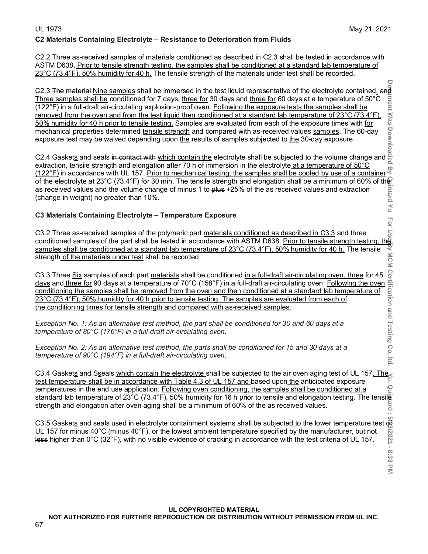# **C2 Materials Containing Electrolyte – Resistance to Deterioration from Fluids**

C2.2 Three as-received samples of materials conditioned as described in C2.3 shall be tested in accordance with ASTM D638. Prior to tensile strength testing, the samples shall be conditioned at a standard lab temperature of 23°C (73.4°F), 50% humidity for 40 h. The tensile strength of the materials under test shall be recorded.

C2.3 The material <u>Nine samples</u> shall be immersed in the test liquid representative of the electrolyte contained<u>.</u> and Three samples shall be conditioned for 7 days, <u>three for</u> 30 days and <u>three for</u> 60 days at a temp Three samples shall be conditioned for 7 days, three for 30 days and three for 60 days at a temperature of 50°C (122°F) in a full-draft air-circulating explosion-proof oven. Following the exposure tests the samples shall be removed from the oven and from the test liquid then conditioned at a standard lab temperature of 23°C (73.4°F), <u>50% humidity for 40 h prior to tensile testing.</u> Samples are evaluated from each of the exposure times <del>with</del> <u>for</u> mechanical properties determined <u>tensile strength</u> and compared with as-received <del>values <u>samples</u>. The 60-da</del>y exposure test may be waived depending upon <u>the</u> results of samples subjected to <u>the</u> 30-day exposure.

**Document Was Downloaded By Quintard Yu For Use By MCM Certification and Testing Co. ltd. Yu, Quintard : 5/23/2021 - 8:33 PM** C2.4 Gasket<u>s</u> and seals <del>in contact with <u>which contain the</u> electrolyte shall be subjected to the volume change and</del> extraction, tensile strength and elongation after 70 h of immersion in the electrolyte<u> at a temperature of 50°C</u> <u>(122°F)</u> in accordance with UL 157. <u>Prior to mechanical testing, the samples shall be cooled by use of a container</u>' <u>of the electrolyte at 23°C (73.4°F) for 30 min.</u> The tensile strength and elongation shall be a minimum of 60% of <u>the</u> as received values and the volume change of minus 1 to <del>plus</del> +25% of the as received values and extraction (change in weight) no greater than 10%.

# **C3 Materials Containing Electrolyte – Temperature Exposure**

C3.2 Three as-received samples of <del>the polymeric part</del> <u>materials conditioned as described in C3.3</u> a<del>nd three</del> conditioned samples of the part shall be tested in accordance with ASTM D638. <u>Prior to tensile strength testing, the</u> samples shall be conditioned at a standard lab temperature of 23°C (73.4°F), 50% humidity for 40 h. The tensile strength<u> of the materials under test</u> shall be recorded.

C3.3 Three Six samples of each part materials shall be conditioned in a full-draft air-circulating oven, three for 45 C3.3 Three Six samples of each part materials shall be conditioned in a full-draft air-circulating oven, three for 45 days and three for 90 days at a temperature of 70°C (158°F) in a full-draft air-circulating oven. Follo conditioning the samples shall be removed from the oven and then conditioned at a standard lab temperature of 23°C (73.4°F), 50% humidity for 40 h prior to tensile testing. The samples are evaluated from each of the conditioning times for tensile strength and compared with as-received samples.

*Exception No. 1: As an alternative test method, the part shall be conditioned for 30 and 60 days at a temperature of 80°C (176°F) in a full-draft air-circulating oven.*

*Exception No. 2: As an alternative test method, the parts shall be conditioned for 15 and 30 days at a temperature of 90°C (194°F) in a full-draft air-circulating oven.*

C3.4 Gaskets and Sseals which contain the electrolyte shall be subjected to the air oven aging test of UL 157. The test temperature shall be in accordance with Table 4.3 of UL 157 and based upon the anticipated exposure temperatures in the end use application. Following oven conditioning, the samples shall be conditioned at a standard lab temperature of 23°C (73.4°F), 50% humidity for 16 h prior to tensile and elongation testing. The tensile strength and elongation after oven aging shall be a minimum of 60% of the as received values.

C3.5 Gasket<u>s</u> and seals used in electrolyte containment systems shall be subjected to the lower temperature test of UL 157 for minus 40°C (minus 40°F), or the lowest ambient temperature specified by the manufacturer<u>,</u> but not less <u>higher t</u>han 0°C (32°F), with no visible evidence <u>of</u> cracking in accordance with the test criteria of UL 157.

 $\frac{1}{2}$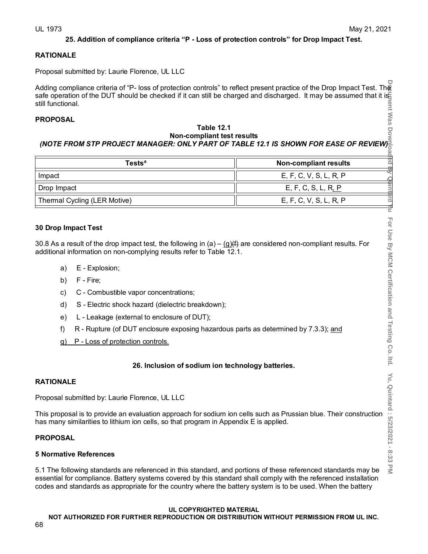# **25. Addition of compliance criteria "P - Loss of protection controls" for Drop Impact Test.**

# **RATIONALE**

Proposal submitted by: Laurie Florence, UL LLC

Adding compliance criteria of "P- loss of protection controls" to reflect present practice of the Drop Impact Test. The safe operation of the DUT should be checked if it can still be charged and discharged. It may be assumed that it is still functional.

# **PROPOSAL**

### **Table 12.1 Non-compliant test results** *(NOTE FROM STP PROJECT MANAGER: ONLY PART OF TABLE 12.1 IS SHOWN FOR EASE OF REVIEW)*

| <b>Tests</b> <sup>a</sup>    | <b>Non-compliant results</b> |  |  |
|------------------------------|------------------------------|--|--|
| Impact                       | E, F, C, V, S, L, R, P       |  |  |
| Drop Impact                  | E, F, C, S, L, R, P          |  |  |
| Thermal Cycling (LER Motive) | E, F, C, V, S, L, R, P       |  |  |

# **30 Drop Impact Test**

30.8 As a result of the drop impact test, the following in  $(a) - (q)$  are considered non-compliant results. For additional information on non-complying results refer to Table 12.1.

- a) E Explosion;
- b) F Fire;
- c) C Combustible vapor concentrations;
- d) S Electric shock hazard (dielectric breakdown);
- e) L Leakage (external to enclosure of DUT);
- f) R Rupture (of DUT enclosure exposing hazardous parts as determined by 7.3.3); and
- g) P Loss of protection controls.

# **26. Inclusion of sodium ion technology batteries.**

# **RATIONALE**

Proposal submitted by: Laurie Florence, UL LLC

This proposal is to provide an evaluation approach for sodium ion cells such as Prussian blue. Their construction has many similarities to lithium ion cells, so that program in Appendix E is applied.

# **PROPOSAL**

# **5 Normative References**

5.1 The following standards are referenced in this standard, and portions of these referenced standards may be essential for compliance. Battery systems covered by this standard shall comply with the referenced installation codes and standards as appropriate for the country where the battery system is to be used. When the battery

### **UL COPYRIGHTED MATERIAL**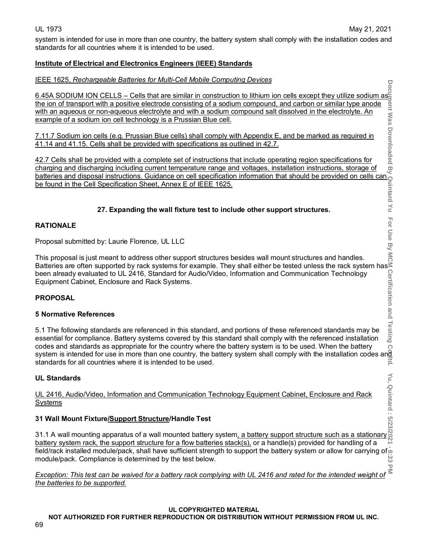$\overline{O}$ 

 $\leq$ 

system is intended for use in more than one country, the battery system shall comply with the installation codes and standards for all countries where it is intended to be used.

# **Institute of Electrical and Electronics Engineers (IEEE) Standards**

# IEEE 1625, *Rechargeable Batteries for Multi-Cell Mobile Computing Devices*

6.45A SODIUM ION CELLS – Cells that are similar in construction to lithium ion cells except they utilize sodium as the ion of transport with a positive electrode consisting of a sodium compound, and carbon or similar type anode with an aqueous or non-aqueous electrolyte and with a sodium compound salt dissolved in the electrolyte. An example of a sodium ion cell technology is a Prussian Blue cell.

7.11.7 Sodium ion cells (e.g. Prussian Blue cells) shall comply with Appendix E, and be marked as required in 41.14 and 41.15. Cells shall be provided with specifications as outlined in 42.7.

42.7 Cells shall be provided with a complete set of instructions that include operating region specifications for charging and discharging including current temperature range and voltages, installation instructions, storage of batteries and disposal instructions. Guidance on cell specification information that should be provided on cells can be found in the Cell Specification Sheet, Annex E of IEEE 1625.

# **27. Expanding the wall fixture test to include other support structures.**

# **RATIONALE**

Proposal submitted by: Laurie Florence, UL LLC

This proposal is just meant to address other support structures besides wall mount structures and handles. Batteries are often supported by rack systems for example. They shall either be tested unless the rack system has been already evaluated to UL 2416, Standard for Audio/Video, Information and Communication Technology Equipment Cabinet, Enclosure and Rack Systems.

# **PROPOSAL**

# **5 Normative References**

5.1 The following standards are referenced in this standard, and portions of these referenced standards may be essential for compliance. Battery systems covered by this standard shall comply with the referenced installation codes and standards as appropriate for the country where the battery system is to be used. When the battery system is intended for use in more than one country, the battery system shall comply with the installation codes and<br>standards for all countries where it is intended to be used. standards for all countries where it is intended to be used.

# **UL Standards**

UL 2416, Audio/Video, Information and Communication Technology Equipment Cabinet, Enclosure and Rack <u>Systems</u>

# **31 Wall Mount Fixture/Support Structure/Handle Test**

**Document Was Downloaded By Quintard Yu For Use By MCM Certification and Testing Co. ltd. Yu, Quintard : 5/23/2021 - 8:33 PM** 31.1 A wall mounting apparatus of a wall mounted battery system<u>, a battery support structure such as a stationary</u>¦ <u>battery system rack, the support structure for a flow batteries stack(s),</u> or a handle(s) provided for handling of a field/rack installed module/pack, shall have sufficient strength to support the battery system or allow for carrying of  $\frac{1}{22}$  module/pack. Compliance is determined by the test below. module/pack. Compliance is determined by the test below.

*Exception: This test can be waived for a battery rack complying with UL 2416 and rated for the intended weight of the batteries to be supported.*

### **UL COPYRIGHTED MATERIAL**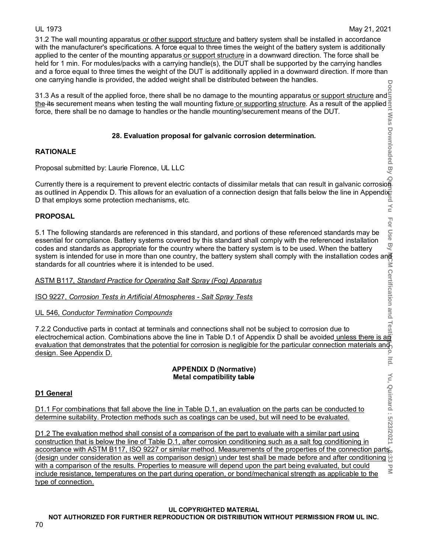31.2 The wall mounting apparatus or other support structure and battery system shall be installed in accordance with the manufacturer's specifications. A force equal to three times the weight of the battery system is additionally applied to the center of the mounting apparatus or support structure in a downward direction. The force shall be held for 1 min. For modules/packs with a carrying handle(s), the DUT shall be supported by the carrying handles and a force equal to three times the weight of the DUT is additionally applied in a downward direction. If more than one carrying handle is provided, the added weight shall be distributed between the handles.

31.3 As a result of the applied force, there shall be no damage to the mounting apparatus<u> or support structure</u> and! <u>the</u> its securement means when testing the wall mounting fixture<u> or supporting structure</u>. As a result of the applied force, there shall be no damage to handles or the handle mounting/securement means of the DUT.

# **28. Evaluation proposal for galvanic corrosion determination.**

# **RATIONALE**

Proposal submitted by: Laurie Florence, UL LLC

Force, there shall be no dallage to handles of the handle modifiting/securement means of the DOT.<br>
28. Evaluation proposal for galvanic corrosion determination.<br>
RATIONALE<br>
Proposal submitted by: Laurie Florence, UL LLC<br>
C as outlined in Appendix D. This allows for an evaluation of a connection design that falls below the line in Appendixide<br>D that employs some protection mechanisms, etc. D that employs some protection mechanisms, etc.  $\leq$ 

# **PROPOSAL**

For - Use 5.1 The following standards are referenced in this standard, and portions of these referenced standards may be essential for compliance. Battery systems covered by this standard shall comply with the referenced installation B) codes and standards as appropriate for the country where the battery system is to be used. When the battery system is intended for use in more than one country, the battery system shall comply with the installation codes an<del>g</del> standards for all countries where it is intended to be used.

ASTM B117, *Standard Practice for Operating Salt Spray (Fog) Apparatus*

ISO 9227, *[Corrosion Tests in Artificial Atmospheres -](https://ewb.ihs.com/#/document/JJHHYFAAAAAAAAAA?qid=637329452154735470&sr=re-1-10&kbid=4%7C20027&docid=943291144) Salt Spray Tests* 

UL 546, *Conductor Termination Compounds*

7.2.2 Conductive parts in contact at terminals and connections shall not be subject to corrosion due to electrochemical action. Combinations above the line in Table D.1 of Appendix D shall be avoided <u>unless there is an</u> evaluation that demonstrates that the potential for corrosion is negligible for the particular connection materials and design. See Appendix D.  $\circ$ **Itid** 

### **APPENDIX D (Normative) Metal compatibility table**

# **D1 General**

D1.1 For combinations that fall above the line in Table D.1, an evaluation on the parts can be conducted to determine suitability. Protection methods such as coatings can be used, but will need to be evaluated.

**Document Was Downloaded By Quintard Yu For Use By MCM Certification and Testing Co. ltd. Yu, Quintard : 5/23/2021 - 8:33 PM** Yu, Quintard: 5/23/2021 D1.2 The evaluation method shall consist of a comparison of the part to evaluate with a similar part using construction that is below the line of Table D.1, after corrosion conditioning such as a salt fog conditioning in accordance with ASTM B117, ISO 9227 or similar method. Measurements of the properties of the connection parts' design under consideration as well as comparison design) under test shall be made before and after conditioning  $\ddot{\omega}$ with a comparison of the results. Properties to measure will depend upon the part being evaluated, but could  $\overline{\leq}$ include resistance, temperatures on the part during operation, or bond/mechanical strength as applicable to the type of connection.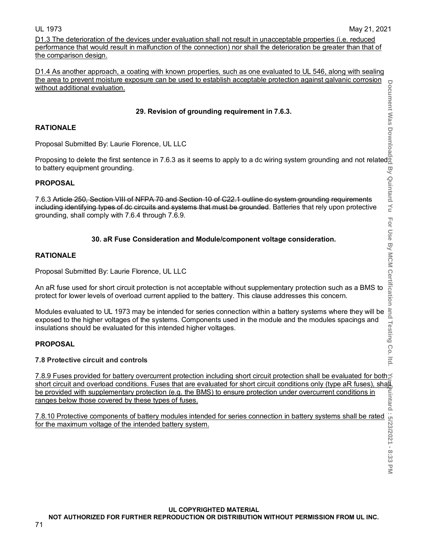D1.3 The deterioration of the devices under evaluation shall not result in unacceptable properties (i.e. reduced performance that would result in malfunction of the connection) nor shall the deterioration be greater than that of the comparison design.

D1.4 As another approach, a coating with known properties, such as one evaluated to UL 546, along with sealing the area to prevent moisture exposure can be used to establish acceptable protection against galvanic corrosion without additional evaluation.

# **29. Revision of grounding requirement in 7.6.3.**

# **RATIONALE**

Proposal Submitted By: Laurie Florence, UL LLC

Proposing to delete the first sentence in 7.6.3 as it seems to apply to a dc wiring system grounding and not related to battery equipment grounding.

### **PROPOSAL**

7.6.3 Article 250, Section VIII of NFPA 70 and Section 10 of C22.1 outline dc system grounding requirements including identifying types of dc circuits and systems that must be grounded. Batteries that rely upon protective grounding, shall comply with 7.6.4 through 7.6.9.

# **30. aR Fuse Consideration and Module/component voltage consideration.**

# **RATIONALE**

Proposal Submitted By: Laurie Florence, UL LLC

An aR fuse used for short circuit protection is not acceptable without supplementary protection such as a BMS to protect for lower levels of overload current applied to the battery. This clause addresses this concern.

Modules evaluated to UL 1973 may be intended for series connection within a battery systems where they will be and<br>exposed to the higher voltages of the systems. Components used in the module and the modules spacings and<br>i exposed to the higher voltages of the systems. Components used in the module and the modules spacings and insulations should be evaluated for this intended higher voltages.

# **PROPOSAL**

**7.8 Protective circuit and controls**

7.8.9 Fuses provided for battery overcurrent protection including short circuit protection shall be evaluated for both short circuit and overload conditions. Fuses that are evaluated for short circuit conditions only (type aR fuses), shall be provided with supplementary protection (e.g. the BMS) to ensure protection under overcurrent conditions in ranges below those covered by these types of fuses.

7.8.10 Protective components of battery modules intended for series connection in battery systems shall be rated for the maximum voltage of the intended battery system.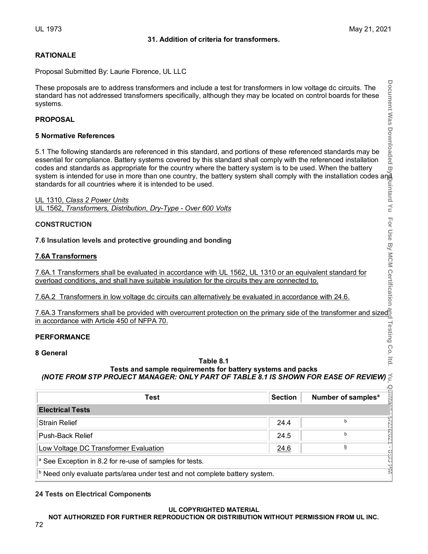# **RATIONALE**

Proposal Submitted By: Laurie Florence, UL LLC

# **PROPOSAL**

# **5 Normative References**

# **CONSTRUCTION**

# **7.6A Transformers**

# **PERFORMANCE**

# **8 General**

# **Table 8.1**

# **Tests and sample requirements for battery systems and packs** *(NOTE FROM STP PROJECT MANAGER: ONLY PART OF TABLE 8.1 IS SHOWN FOR EASE OF REVIEW)*

| These proposals are to address transformers and include a test for transformers in low voltage dc circuits. The<br>standard has not addressed transformers specifically, although they may be located on control boards for these<br>systems.                                                                                                                                                                                                                                                                                                                                                                                                                                                                                                           |                | Document Was Downloaded             |  |
|---------------------------------------------------------------------------------------------------------------------------------------------------------------------------------------------------------------------------------------------------------------------------------------------------------------------------------------------------------------------------------------------------------------------------------------------------------------------------------------------------------------------------------------------------------------------------------------------------------------------------------------------------------------------------------------------------------------------------------------------------------|----------------|-------------------------------------|--|
| <b>PROPOSAL</b>                                                                                                                                                                                                                                                                                                                                                                                                                                                                                                                                                                                                                                                                                                                                         |                |                                     |  |
| <b>5 Normative References</b>                                                                                                                                                                                                                                                                                                                                                                                                                                                                                                                                                                                                                                                                                                                           |                |                                     |  |
| 5.1 The following standards are referenced in this standard, and portions of these referenced standards may be<br>essential for compliance. Battery systems covered by this standard shall comply with the referenced installation<br>codes and standards as appropriate for the country where the battery system is to be used. When the battery<br>codes and standards as appropriate for the country where the battery system is to be used. When the battery هج<br>system is intended for use in more than one country, the battery system shall comply with the installation cod<br>standards for all countries where it is intended to be used.<br>UL 1310, Class 2 Power Units<br>UL 1562, Transformers, Distribution, Dry-Type - Over 600 Volts |                | uintard Yu                          |  |
| <b>CONSTRUCTION</b>                                                                                                                                                                                                                                                                                                                                                                                                                                                                                                                                                                                                                                                                                                                                     |                |                                     |  |
| 7.6 Insulation levels and protective grounding and bonding                                                                                                                                                                                                                                                                                                                                                                                                                                                                                                                                                                                                                                                                                              |                |                                     |  |
| <b>7.6A Transformers</b>                                                                                                                                                                                                                                                                                                                                                                                                                                                                                                                                                                                                                                                                                                                                |                |                                     |  |
| For Use By MCM Certification<br>7.6A.1 Transformers shall be evaluated in accordance with UL 1562, UL 1310 or an equivalent standard for<br>overload conditions, and shall have suitable insulation for the circuits they are connected to.                                                                                                                                                                                                                                                                                                                                                                                                                                                                                                             |                |                                     |  |
| 7.6A.2 Transformers in low voltage dc circuits can alternatively be evaluated in accordance with 24.6.                                                                                                                                                                                                                                                                                                                                                                                                                                                                                                                                                                                                                                                  |                |                                     |  |
| 7.6A.3 Transformers shall be provided with overcurrent protection on the primary side of the transformer and sized<br>in accordance with Article 450 of NFPA 70.                                                                                                                                                                                                                                                                                                                                                                                                                                                                                                                                                                                        |                |                                     |  |
| <b>PERFORMANCE</b>                                                                                                                                                                                                                                                                                                                                                                                                                                                                                                                                                                                                                                                                                                                                      |                |                                     |  |
| <b>Testing Co. Itd</b><br>8 General<br>Table 8.1<br>Tests and sample requirements for battery systems and packs<br>(NOTE FROM STP PROJECT MANAGER: ONLY PART OF TABLE 8.1 IS SHOWN FOR EASE OF REVIEW)                                                                                                                                                                                                                                                                                                                                                                                                                                                                                                                                                  |                |                                     |  |
|                                                                                                                                                                                                                                                                                                                                                                                                                                                                                                                                                                                                                                                                                                                                                         |                |                                     |  |
| Test                                                                                                                                                                                                                                                                                                                                                                                                                                                                                                                                                                                                                                                                                                                                                    | <b>Section</b> | Number of samples <sup>a</sup><br>럷 |  |
| <b>Electrical Tests</b>                                                                                                                                                                                                                                                                                                                                                                                                                                                                                                                                                                                                                                                                                                                                 |                |                                     |  |
| <b>Strain Relief</b>                                                                                                                                                                                                                                                                                                                                                                                                                                                                                                                                                                                                                                                                                                                                    | 24.4           | 202/22/9<br>b                       |  |
| Push-Back Relief                                                                                                                                                                                                                                                                                                                                                                                                                                                                                                                                                                                                                                                                                                                                        | 24.5           | b                                   |  |
| Low Voltage DC Transformer Evaluation                                                                                                                                                                                                                                                                                                                                                                                                                                                                                                                                                                                                                                                                                                                   | 24.6           | b                                   |  |
| <sup>a</sup> See Exception in 8.2 for re-use of samples for tests.                                                                                                                                                                                                                                                                                                                                                                                                                                                                                                                                                                                                                                                                                      |                | <b>BISS PM</b>                      |  |
| <b>b</b> Need only evaluate parts/area under test and not complete battery system.                                                                                                                                                                                                                                                                                                                                                                                                                                                                                                                                                                                                                                                                      |                |                                     |  |

# **24 Tests on Electrical Components**

### **UL COPYRIGHTED MATERIAL**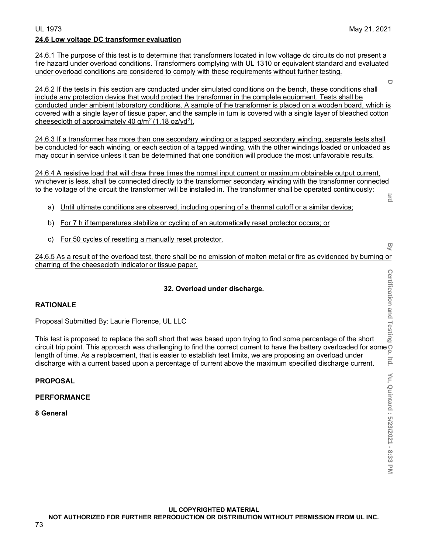24.6.1 The purpose of this test is to determine that transformers located in low voltage dc circuits do not present a fire hazard under overload conditions. Transformers complying with UL 1310 or equivalent standard and evaluated under overload conditions are considered to comply with these requirements without further testing.

24.6.2 If the tests in this section are conducted under simulated conditions on the bench, these conditions shall include any protection device that would protect the transformer in the complete equipment. Tests shall be conducted under ambient laboratory conditions. A sample of the transformer is placed on a wooden board, which is covered with a single layer of tissue paper, and the sample in turn is covered with a single layer of bleached cotton cheesecloth of approximately 40  $g/m^2$  (1.18 oz/yd<sup>2</sup>).

24.6.3 If a transformer has more than one secondary winding or a tapped secondary winding, separate tests shall be conducted for each winding, or each section of a tapped winding, with the other windings loaded or unloaded as may occur in service unless it can be determined that one condition will produce the most unfavorable results.

24.6.4 A resistive load that will draw three times the normal input current or maximum obtainable output current, whichever is less, shall be connected directly to the transformer secondary winding with the transformer connected to the voltage of the circuit the transformer will be installed in. The transformer shall be operated continuously: ard

- a) Until ultimate conditions are observed, including opening of a thermal cutoff or a similar device;
- b) For 7 h if temperatures stabilize or cycling of an automatically reset protector occurs; or
- c) For 50 cycles of resetting a manually reset protector.

24.6.5 As a result of the overload test, there shall be no emission of molten metal or fire as evidenced by burning or charring of the cheesecloth indicator or tissue paper.

## **32. Overload under discharge.**

## **RATIONALE**

Proposal Submitted By: Laurie Florence, UL LLC

This test is proposed to replace the soft short that was based upon trying to find some percentage of the short circuit trip point. This approach was challenging to find the correct current to have the battery overloaded for some  $\overline{S}$ length of time. As a replacement, that is easier to establish test limits, we are proposing an overload under discharge with a current based upon a percentage of current above the maximum specified discharge current.

### **PROPOSAL**

### **PERFORMANCE**

**8 General**

 $\Box$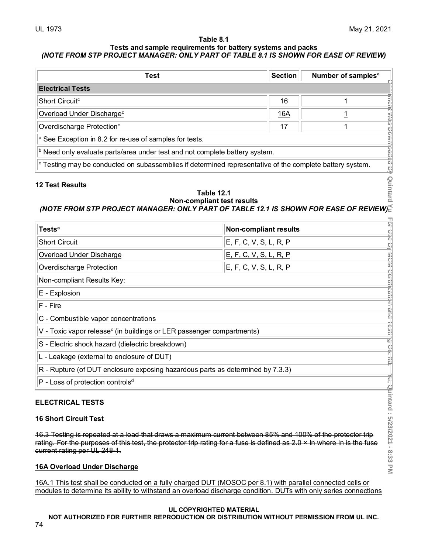### **Table 8.1 Tests and sample requirements for battery systems and packs** *(NOTE FROM STP PROJECT MANAGER: ONLY PART OF TABLE 8.1 IS SHOWN FOR EASE OF REVIEW)*

| Test                                                                                                                                      | Section | Number of samples <sup>a</sup> |
|-------------------------------------------------------------------------------------------------------------------------------------------|---------|--------------------------------|
| <b>Electrical Tests</b>                                                                                                                   |         |                                |
| Short Circuit <sup>c</sup>                                                                                                                | 16      |                                |
| Overload Under Discharge <sup>c</sup>                                                                                                     | 16A     | F)<br>ź                        |
| Overdischarge Protection <sup>c</sup>                                                                                                     | 17      | $\frac{1}{2}$                  |
| $\vert$ <sup>a</sup> See Exception in 8.2 for re-use of samples for tests.                                                                |         |                                |
| $\vert$ <sup>b</sup> Need only evaluate parts/area under test and not complete battery system.                                            |         |                                |
| agea<br>$\vert$ <sup>c</sup> Testing may be conducted on subassemblies if determined representative of the complete battery system.<br>Πĵ |         |                                |

# **12 Test Results**

# Quintard **Table 12.1 Non-compliant test results** *(NOTE FROM STP PROJECT MANAGER: ONLY PART OF TABLE 12.1 IS SHOWN FOR EASE OF REVIEW)*

| <b>Electrical Tests</b>                                                                                                                                                                                                                                               |                               |            |                                    |  |
|-----------------------------------------------------------------------------------------------------------------------------------------------------------------------------------------------------------------------------------------------------------------------|-------------------------------|------------|------------------------------------|--|
| Short Circuit <sup>c</sup>                                                                                                                                                                                                                                            |                               | 16         | $\mathbf 1$                        |  |
| Overload Under Discharge <sup>c</sup>                                                                                                                                                                                                                                 |                               | <u>16A</u> | 1                                  |  |
| Overdischarge Protection <sup>c</sup>                                                                                                                                                                                                                                 |                               | 17         | 1                                  |  |
| <sup>a</sup> See Exception in 8.2 for re-use of samples for tests.                                                                                                                                                                                                    |                               |            |                                    |  |
| <b>b</b> Need only evaluate parts/area under test and not complete battery system.                                                                                                                                                                                    |                               |            |                                    |  |
| <sup>c</sup> Testing may be conducted on subassemblies if determined representative of the complete battery system.                                                                                                                                                   |                               |            | iment was Downloaded Bly           |  |
| Quintard<br><b>12 Test Results</b><br><b>Table 12.1</b><br><b>Non-compliant test results</b><br>(NOTE FROM STP PROJECT MANAGER: ONLY PART OF TABLE 12.1 IS SHOWN FOR EASE OF REVIEW)                                                                                  |                               |            |                                    |  |
| <b>Tests<sup>a</sup></b>                                                                                                                                                                                                                                              | <b>Non-compliant results</b>  |            | 01 U36                             |  |
| <b>Short Circuit</b>                                                                                                                                                                                                                                                  | E, F, C, V, S, L, R, P        |            | 뱾                                  |  |
| <b>Overload Under Discharge</b>                                                                                                                                                                                                                                       | <u>E, F, C, V, S, L, R, P</u> |            |                                    |  |
| Overdischarge Protection                                                                                                                                                                                                                                              | E, F, C, V, S, L, R, P        |            |                                    |  |
| Non-compliant Results Key:                                                                                                                                                                                                                                            |                               |            |                                    |  |
| E - Explosion                                                                                                                                                                                                                                                         |                               |            | mum Certillcation and              |  |
| F - Fire                                                                                                                                                                                                                                                              |                               |            |                                    |  |
| C - Combustible vapor concentrations                                                                                                                                                                                                                                  |                               |            |                                    |  |
| V - Toxic vapor release <sup>c</sup> (in buildings or LER passenger compartments)                                                                                                                                                                                     |                               |            | - Bullia                           |  |
| S - Electric shock hazard (dielectric breakdown)                                                                                                                                                                                                                      |                               |            |                                    |  |
| L - Leakage (external to enclosure of DUT)                                                                                                                                                                                                                            |                               |            | <u>ှ</u><br>랋                      |  |
| R - Rupture (of DUT enclosure exposing hazardous parts as determined by 7.3.3)                                                                                                                                                                                        |                               |            |                                    |  |
| P - Loss of protection controls <sup>d</sup>                                                                                                                                                                                                                          |                               |            |                                    |  |
| <b>ELECTRICAL TESTS</b><br><b>16 Short Circuit Test</b>                                                                                                                                                                                                               |                               |            | Yü, Quintard : 5/23/2021 - 8:33 PM |  |
| 16.3 Testing is repeated at a load that draws a maximum current between 85% and 100% of the protector trip<br>rating. For the purposes of this test, the protector trip rating for a fuse is defined as 2.0 × In where In is the fuse<br>current rating per UL 248-1. |                               |            |                                    |  |
| <b>16A Overload Under Discharge</b>                                                                                                                                                                                                                                   |                               |            |                                    |  |

## **ELECTRICAL TESTS**

## **16 Short Circuit Test**

## **16A Overload Under Discharge**

16A.1 This test shall be conducted on a fully charged DUT (MOSOC per 8.1) with parallel connected cells or modules to determine its ability to withstand an overload discharge condition. DUTs with only series connections

## **UL COPYRIGHTED MATERIAL**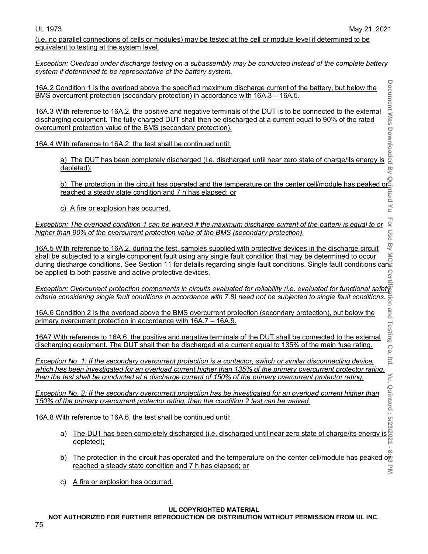and Testing

Co  $|tq|$ 

 $\infty$ 

(i.e. no parallel connections of cells or modules) may be tested at the cell or module level if determined to be equivalent to testing at the system level.

*Exception: Overload under discharge testing on a subassembly may be conducted instead of the complete battery system if determined to be representative of the battery system.* 

16A.2 Condition 1 is the overload above the specified maximum discharge current of the battery, but below the BMS overcurrent protection (secondary protection) in accordance with 16A.3 – 16A.5.

16A.3 With reference to 16A.2, the positive and negative terminals of the DUT is to be connected to the external discharging equipment. The fully charged DUT shall then be discharged at a current equal to 90% of the rated overcurrent protection value of the BMS (secondary protection). Condition 1 is the overload above the specified maximum discharge current of the battery, but below the<br>
ercurrent protection (secondary protection) in accordance with 16A.3 – 16A.5.<br>
Vith reference to 16A.2, the positive

16A.4 With reference to 16A.2, the test shall be continued until:

depleted);

epleted);<br>b) The protection in the circuit has operated and the temperature on the center cell/module has peaked or<br>Freached a steady state condition and 7 h has elapsed; or<br>c) A fire or explosion has occurred. reached a steady state condition and 7 h has elapsed; or

c) A fire or explosion has occurred.

For Use *Exception: The overload condition 1 can be waived if the maximum discharge current of the battery is equal to or higher than 90% of the overcurrent protection value of the BMS (secondary protection).*

16A.5 With reference to 16A.2, during the test, samples supplied with protective devices in the discharge circuit shall be subjected to a single component fault using any single fault condition that may be determined to occur during discharge circuit single component fault using any single fault condition that may be determined to occurring discharge conditions. See Section 11 for details regarding single fault conditions. Single fault conditio be applied to both passive and active protective devices.

*Exception: Overcurrent protection components in circuits evaluated for reliability (i.e. evaluated for functional safety criteria considering single fault conditions in accordance with 7.8) need not be subjected to single fault conditions.*

16A.6 Condition 2 is the overload above the BMS overcurrent protection (secondary protection), but below the primary overcurrent protection in accordance with 16A.7 – 16A.9.

16A7 With reference to 16A.6, the positive and negative terminals of the DUT shall be connected to the external discharging equipment. The DUT shall then be discharged at a current equal to 135% of the main fuse rating.

*Exception No. 1: If the secondary overcurrent protection is a contactor, switch or similar disconnecting device, which has been investigated for an overload current higher than 135% of the primary overcurrent protector rating, then the test shall be conducted at a discharge current of 150% of the primary overcurrent protector rating.* 

*Exception No. 2: If the secondary overcurrent protection has be investigated for an overload current higher than 150% of the primary overcurrent protector rating, then the condition 2 test can be waived.*

16A.8 With reference to 16A.6, the test shall be continued until:

- a) The DUT has been completely discharged (i.e. discharged until near zero state of charge/its energy is <u>depleted);</u> í,
- **Document Was Downloaded By Quintard Yu For Use By MCM Certification and Testing Co. ltd. Yu, Quintard : 5/23/2021 8:33 PM** b) The protection in the circuit has operated and the temperature on the center cell/module has peaked or reached a steady state condition and 7 h has elapsed; or  $\overline{\leq}$
- c) A fire or explosion has occurred.

## **UL COPYRIGHTED MATERIAL**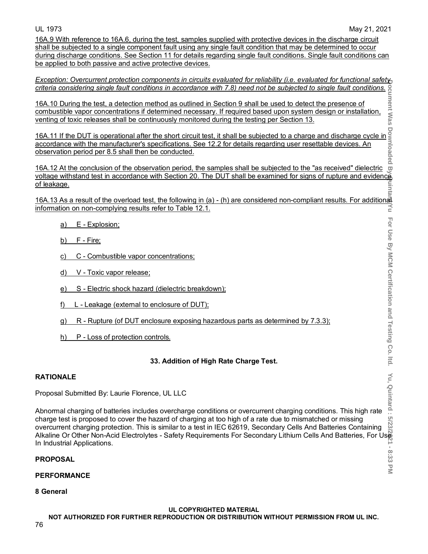For Use By MCM Certification and Testing Co. Itd.

8:33  $\overline{\leq}$ 

16A.9 With reference to 16A.6, during the test, samples supplied with protective devices in the discharge circuit shall be subjected to a single component fault using any single fault condition that may be determined to occur during discharge conditions. See Section 11 for details regarding single fault conditions. Single fault conditions can be applied to both passive and active protective devices.

*Exception: Overcurrent protection components in circuits evaluated for reliability (i.e. evaluated for functional safety criteria considering single fault conditions in accordance with 7.8) need not be subjected to single fault conditions.*

16A.10 During the test, a detection method as outlined in Section 9 shall be used to detect the presence of combustible vapor concentrations if determined necessary. If required based upon system design or installation, venting of toxic releases shall be continuously monitored during the testing per Section 13.

16A.11 If the DUT is operational after the short circuit test, it shall be subjected to a charge and discharge cycle in accordance with the manufacturer's specifications. See 12.2 for details regarding user resettable devices. An observation period per 8.5 shall then be conducted.

ு 16A.12 At the conclusion of the observation period, the samples shall be subjected to the "as received" dielectric voltage withstand test in accordance with Section 20. The DUT shall be examined for signs of rupture and evidence of leakage. uinta

16A.13 As a result of the overload test, the following in (a) - (h) are considered non-compliant results. For additional<br>=> information on non-complying results refer to Table 12.1. information on non-complying results refer to Table 12.1.

- a) E Explosion;
- b) F Fire;
- c) C Combustible vapor concentrations;
- d) V Toxic vapor release;
- e) S Electric shock hazard (dielectric breakdown);
- f) L Leakage (external to enclosure of DUT);
- g) R Rupture (of DUT enclosure exposing hazardous parts as determined by 7.3.3);
- h) P Loss of protection controls.

## **33. Addition of High Rate Charge Test.**

## **RATIONALE**

Proposal Submitted By: Laurie Florence, UL LLC

**Document Was Downloaded By Quintard Yu For Use By MCM Certification and Testing Co. ltd. Yu, Quintard : 5/23/2021 - 8:33 PM** Abnormal charging of batteries includes overcharge conditions or overcurrent charging conditions. This high rate charge test is proposed to cover the hazard of charging at too high of a rate due to mismatched or missing overcurrent charging protection. This is similar to a test in IEC 62619, Secondary Cells And Batteries Containing Alkaline Or Other Non-Acid Electrolytes - Safety Requirements For Secondary Lithium Cells And Batteries, For Use In Industrial Applications.

## **PROPOSAL**

## **PERFORMANCE**

**8 General**

**UL COPYRIGHTED MATERIAL NOT AUTHORIZED FOR FURTHER REPRODUCTION OR DISTRIBUTION WITHOUT PERMISSION FROM UL INC.**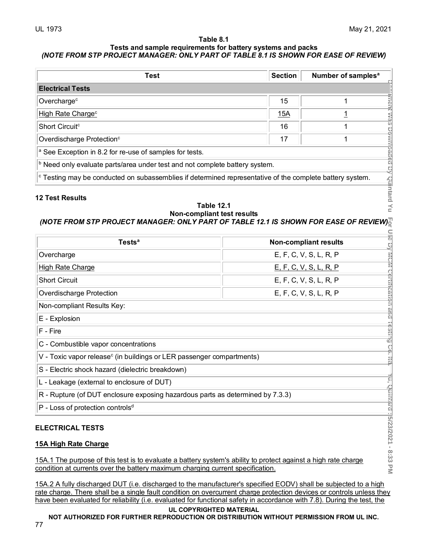### **Table 8.1 Tests and sample requirements for battery systems and packs** *(NOTE FROM STP PROJECT MANAGER: ONLY PART OF TABLE 8.1 IS SHOWN FOR EASE OF REVIEW)*

| Test                                                                                                                        | Section | Number of samples <sup>a</sup> |
|-----------------------------------------------------------------------------------------------------------------------------|---------|--------------------------------|
| <b>Electrical Tests</b>                                                                                                     |         |                                |
| Overcharge <sup>c</sup>                                                                                                     | 15      |                                |
| High Rate Charge <sup>c</sup>                                                                                               | 15A     | ÷                              |
| Short Circuit <sup>c</sup>                                                                                                  | 16      | α                              |
| Overdischarge Protection <sup>c</sup>                                                                                       | 17      |                                |
| $\vert$ <sup>a</sup> See Exception in 8.2 for re-use of samples for tests.                                                  |         |                                |
| $\vert$ <sup>b</sup> Need only evaluate parts/area under test and not complete battery system.                              |         |                                |
| $\vert$ <sup>c</sup> Testing may be conducted on subassemblies if determined representative of the complete battery system. |         |                                |

# **12 Test Results**

# **Table 12.1 Non-compliant test results**

# *(NOTE FROM STP PROJECT MANAGER: ONLY PART OF TABLE 12.1 IS SHOWN FOR EASE OF REVIEW)*

| <b>Electrical Tests</b>                                                                                                                                                                          |                        |                               |                               |
|--------------------------------------------------------------------------------------------------------------------------------------------------------------------------------------------------|------------------------|-------------------------------|-------------------------------|
| Overcharge <sup>c</sup>                                                                                                                                                                          |                        | 15                            | 1                             |
| High Rate Charge <sup>c</sup>                                                                                                                                                                    |                        | <u>15A</u>                    | $\mathbf 1$                   |
| Short Circuit <sup>c</sup>                                                                                                                                                                       |                        | 16                            | 1                             |
| Overdischarge Protection <sup>c</sup>                                                                                                                                                            |                        | 17                            | 1                             |
| <sup>a</sup> See Exception in 8.2 for re-use of samples for tests.                                                                                                                               |                        |                               | iment was Downloaded By       |
| <b>b</b> Need only evaluate parts/area under test and not complete battery system.                                                                                                               |                        |                               |                               |
| <sup>c</sup> Testing may be conducted on subassemblies if determined representative of the complete battery system.                                                                              |                        |                               |                               |
| <b>12 Test Results</b><br><b>Table 12.1</b><br><b>Non-compliant test results</b><br>(NOTE FROM STP PROJECT MANAGER: ONLY PART OF TABLE 12.1 IS SHOWN FOR EASE OF REVIEW)                         |                        |                               | callutard<br>$\frac{1}{9}$    |
| Tests <sup>a</sup>                                                                                                                                                                               |                        | <b>Non-compliant results</b>  |                               |
| Overcharge                                                                                                                                                                                       |                        | E, F, C, V, S, L, R, P        |                               |
| <b>High Rate Charge</b>                                                                                                                                                                          |                        | <u>E, F, C, V, S, L, R, P</u> |                               |
| <b>Short Circuit</b>                                                                                                                                                                             | E, F, C, V, S, L, R, P |                               |                               |
| Overdischarge Protection                                                                                                                                                                         | E, F, C, V, S, L, R, P |                               |                               |
| Non-compliant Results Key:                                                                                                                                                                       |                        |                               | mom Gertrijcation and         |
| E - Explosion                                                                                                                                                                                    |                        |                               |                               |
| F - Fire                                                                                                                                                                                         |                        |                               | -iesting                      |
| C - Combustible vapor concentrations                                                                                                                                                             |                        |                               |                               |
| V - Toxic vapor release <sup>c</sup> (in buildings or LER passenger compartments)                                                                                                                |                        |                               | <u>ှ</u><br>-<br>3            |
| S - Electric shock hazard (dielectric breakdown)                                                                                                                                                 |                        |                               |                               |
| L - Leakage (external to enclosure of DUT)                                                                                                                                                       |                        |                               | Ļq,                           |
| R - Rupture (of DUT enclosure exposing hazardous parts as determined by 7.3.3)                                                                                                                   |                        |                               |                               |
| P - Loss of protection controls <sup>d</sup>                                                                                                                                                     |                        |                               |                               |
| <b>ELECTRICAL TESTS</b><br>15A High Rate Charge                                                                                                                                                  |                        |                               | Guimara : 5/23/2021 - 8:33 PM |
| 15A.1 The purpose of this test is to evaluate a battery system's ability to protect against a high rate charge<br>condition at currents over the battery maximum charging current specification. |                        |                               |                               |

# **15A High Rate Charge**

15A.2 A fully discharged DUT (i.e. discharged to the manufacturer's specified EODV) shall be subjected to a high rate charge. There shall be a single fault condition on overcurrent charge protection devices or controls unless they have been evaluated for reliability (i.e. evaluated for functional safety in accordance with 7.8). During the test, the

### **UL COPYRIGHTED MATERIAL**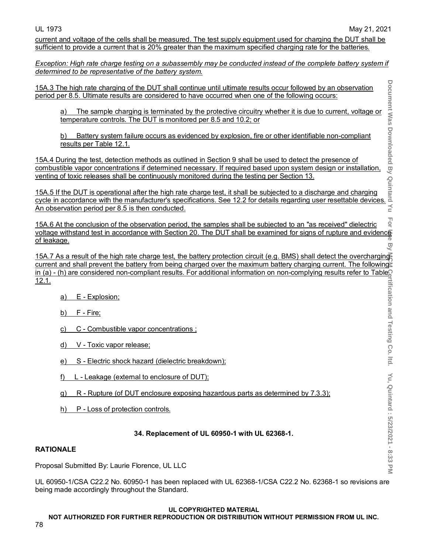Yu, Quintard : 5/23/2021 - 8:33 PM

current and voltage of the cells shall be measured. The test supply equipment used for charging the DUT shall be sufficient to provide a current that is 20% greater than the maximum specified charging rate for the batteries.

*Exception: High rate charge testing on a subassembly may be conducted instead of the complete battery system if determined to be representative of the battery system.*

15A.3 The high rate charging of the DUT shall continue until ultimate results occur followed by an observation period per 8.5. Ultimate results are considered to have occurred when one of the following occurs:

a) The sample charging is terminated by the protective circuitry whether it is due to current, voltage or temperature controls. The DUT is monitored per 8.5 and 10.2; or

b) Battery system failure occurs as evidenced by explosion, fire or other identifiable non-compliant <u>results per Table 12.1.</u>

15A.4 During the test, detection methods as outlined in Section 9 shall be used to detect the presence of combustible vapor concentrations if determined necessary. If required based upon system design or installation, venting of toxic releases shall be continuously monitored during the testing per Section 13.

15A.5 If the DUT is operational after the high rate charge test, it shall be subjected to a discharge and charging cycle in accordance with the manufacturer's specifications. See 12.2 for details regarding user resettable devices. An observation period per 8.5 is then conducted.

**Hol** 15A.6 At the conclusion of the observation period, the samples shall be subjected to an "as received" dielectric voltage withstand test in accordance with Section 20. The DUT shall be examined for signs of rupture and evidence of leakage. లై

**Document Was Downloaded By Quintard : At "And Information and Testing Co. ltd. Yu, Chinish Chinish Co. ltd. Vu, 2021 - 8:33 PM** 15A.7 As a result of the high rate charge test, the battery protection circuit (e.g. BMS) shall detect the overcharging current and shall prevent the battery from being charged over the maximum battery charging current. The following in (a) - (h) are considered non-compliant results. For additional information on non-complying results refer to Table 12.1. rtification and Testing Co. Itd.

- a) E Explosion;
- b) F Fire;
- c) C Combustible vapor concentrations ;
- d) V Toxic vapor release;
- e) S Electric shock hazard (dielectric breakdown);
- f) L Leakage (external to enclosure of DUT);
- g) R Rupture (of DUT enclosure exposing hazardous parts as determined by 7.3.3);
- h) P Loss of protection controls.

## **34. Replacement of UL 60950-1 with UL 62368-1.**

## **RATIONALE**

Proposal Submitted By: Laurie Florence, UL LLC

UL 60950-1/CSA C22.2 No. 60950-1 has been replaced with UL 62368-1/CSA C22.2 No. 62368-1 so revisions are being made accordingly throughout the Standard.

### **UL COPYRIGHTED MATERIAL**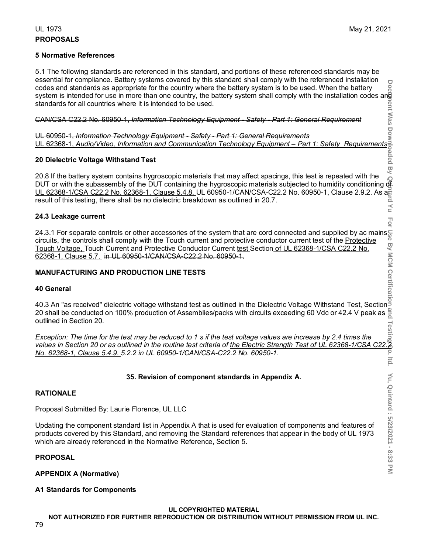# UL 1973 May 21, 2021 **PROPOSALS**

### **5 Normative References**

5.1 The following standards are referenced in this standard, and portions of these referenced standards may be essential for compliance. Battery systems covered by this standard shall comply with the referenced installation codes and standards as appropriate for the country where the battery system is to be used. When the battery system is intended for use in more than one country, the battery system shall comply with the installation codes and standards for all countries where it is intended to be used.

CAN/CSA C22.2 No. 60950-1, *Information Technology Equipment - Safety - Part 1: General Requirement*

UL 60950-1, *Information Technology Equipment - Safety - Part 1: General Requirements* UL 62368-1, *Audio/Video, Information and Communication Technology Equipment – Part 1: Safety Requirements*

## **20 Dielectric Voltage Withstand Test**

**Document Was Downloaded By Quintard Yu For Use By MCM Certification and Testing Co. ltd. Yu, Quintard : 5/23/2021 - 8:33 PM** 20.8 If the battery system contains hygroscopic materials that may affect spacings, this test is repeated with the DUT or with the subassembly of the DUT containing the hygroscopic materials subjected to humidity conditioning of UL 62368-1/CSA C22.2 No. 62368-1, Clause 5.4.8. UL 60950-1/CAN/CSA-C22.2 No. 60950-1, Clause 2.9.2. As and<br>result of this testing, there shall be no dielectric breakdown as outlined in 20.7. result of this testing, there shall be no dielectric breakdown as outlined in 20.7.  $\preceq$ 

### **24.3 Leakage current**

24.3.1 For separate controls or other accessories of the system that are cord connected and supplied by ac mains  $\frac{c}{b}$  circuits, the controls shall comply with the Touch current and protective conductor current test o circuits, the controls shall comply with the <del>Touch current and protective conductor current test of the <u>Protective</u></del> <u>Touch Voltage, </u>Touch Current and Protective Conductor Current <u>test Section of UL 62368-1/CSA C22.2 No.</u> 62368-1, Clause 5.7. in UL 60950-1/CAN/CSA-C22.2 No. 60950-1.

## **MANUFACTURING AND PRODUCTION LINE TESTS**

### **40 General**

40.3 An "as received" dielectric voltage withstand test as outlined in the Dielectric Voltage Withstand Test, Section 20 shall be conducted on 100% production of Assemblies/packs with circuits exceeding 60 Vdc or 42.4 V peak as outlined in Section 20.

*values in Section 20.*<br>Exception: The time for the test may be reduced to 1 s if the test voltage values are increase by 2.4 times the<br>1. values in Section 20 or as outlined in the routine test criteria of <u>the Electric </u> *Exception: The time for the test may be reduced to 1 s if the test voltage values are increase by 2.4 times the No. 62368-1, Clause 5.4.9. 5.2.2 in UL 60950-1/CAN/CSA-C22.2 No. 60950-1.* ltd.

## **35. Revision of component standards in Appendix A.**

### **RATIONALE**

Proposal Submitted By: Laurie Florence, UL LLC

Updating the component standard list in Appendix A that is used for evaluation of components and features of products covered by this Standard, and removing the Standard references that appear in the body of UL 1973 which are already referenced in the Normative Reference, Section 5.

### **PROPOSAL**

**APPENDIX A (Normative)**

### **A1 Standards for Components**

**UL COPYRIGHTED MATERIAL NOT AUTHORIZED FOR FURTHER REPRODUCTION OR DISTRIBUTION WITHOUT PERMISSION FROM UL INC.** For

Yu, Quintard: 5/23/2021 - 8:33

 $\overline{\leq}$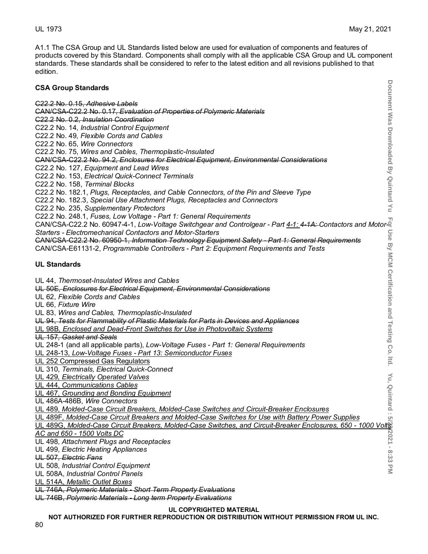A1.1 The CSA Group and UL Standards listed below are used for evaluation of components and features of products covered by this Standard. Components shall comply with all the applicable CSA Group and UL component standards. These standards shall be considered to refer to the latest edition and all revisions published to that edition.

| <b>CSA Group Standards</b>                                                                                                                                                                                                                                                              | Document Was Downloaded By Quintard Yu        |
|-----------------------------------------------------------------------------------------------------------------------------------------------------------------------------------------------------------------------------------------------------------------------------------------|-----------------------------------------------|
| C22.2 No. 0.15, Adhesive Labels                                                                                                                                                                                                                                                         |                                               |
| CAN/CSA-C22.2 No. 0.17, Evaluation of Properties of Polymeric Materials                                                                                                                                                                                                                 |                                               |
| C22.2 No. 0.2, Insulation Coordination                                                                                                                                                                                                                                                  |                                               |
| C22.2 No. 14, Industrial Control Equipment                                                                                                                                                                                                                                              |                                               |
| C22.2 No. 49, Flexible Cords and Cables                                                                                                                                                                                                                                                 |                                               |
| C22.2 No. 65, Wire Connectors                                                                                                                                                                                                                                                           |                                               |
| C22.2 No. 75, Wires and Cables, Thermoplastic-Insulated                                                                                                                                                                                                                                 |                                               |
| CAN/CSA-C22.2 No. 94.2, Enclosures for Electrical Equipment, Environmental Considerations                                                                                                                                                                                               |                                               |
| C22.2 No. 127, Equipment and Lead Wires                                                                                                                                                                                                                                                 |                                               |
| C22.2 No. 153, Electrical Quick-Connect Terminals                                                                                                                                                                                                                                       |                                               |
| C22.2 No. 158, Terminal Blocks                                                                                                                                                                                                                                                          |                                               |
| C22.2 No. 182.1, Plugs, Receptacles, and Cable Connectors, of the Pin and Sleeve Type                                                                                                                                                                                                   |                                               |
| C22.2 No. 182.3, Special Use Attachment Plugs, Receptacles and Connectors                                                                                                                                                                                                               |                                               |
| C22.2 No. 235, Supplementary Protectors                                                                                                                                                                                                                                                 |                                               |
| C22.2 No. 248.1, Fuses, Low Voltage - Part 1: General Requirements<br>ה כובע ב-21.2 היה ב-22.2 No. 240.1, <i>ruses, Low voltage - Part 1. General Requirements</i><br>©AN/CSA-C22.2 No. 60947-4-1, Low-Voltage Switchgear and Controlgear - Part <u>4-1: 4-1A:</u> Contactors and Motor |                                               |
|                                                                                                                                                                                                                                                                                         |                                               |
| <b>Starters - Electromechanical Contactors and Motor-Starters</b>                                                                                                                                                                                                                       |                                               |
| CAN/CSA-C22.2 No. 60950-1, Information Technology Equipment Safety - Part 1: General Requirements                                                                                                                                                                                       |                                               |
| CAN/CSA-E61131-2, Programmable Controllers - Part 2: Equipment Requirements and Tests                                                                                                                                                                                                   |                                               |
| <b>UL Standards</b>                                                                                                                                                                                                                                                                     | Use By MCM Certification and Testing Co. Itd. |
|                                                                                                                                                                                                                                                                                         |                                               |
| UL 44, Thermoset-Insulated Wires and Cables                                                                                                                                                                                                                                             |                                               |
| UL 50E, Enclosures for Electrical Equipment, Environmental Considerations                                                                                                                                                                                                               |                                               |
| UL 62, Flexible Cords and Cables                                                                                                                                                                                                                                                        |                                               |
| UL 66, Fixture Wire                                                                                                                                                                                                                                                                     |                                               |
| UL 83, Wires and Cables, Thermoplastic-Insulated                                                                                                                                                                                                                                        |                                               |
| UL 94, Tests for Flammability of Plastic Materials for Parts in Devices and Appliances                                                                                                                                                                                                  |                                               |
| UL 98B, Enclosed and Dead-Front Switches for Use in Photovoltaic Systems                                                                                                                                                                                                                |                                               |
| UL 157, Gasket and Seals                                                                                                                                                                                                                                                                |                                               |
| UL 248-1 (and all applicable parts), Low-Voltage Fuses - Part 1: General Requirements                                                                                                                                                                                                   |                                               |
| UL 248-13, Low-Voltage Fuses - Part 13: Semiconductor Fuses                                                                                                                                                                                                                             |                                               |
| UL 252 Compressed Gas Regulators                                                                                                                                                                                                                                                        |                                               |
| UL 310, Terminals, Electrical Quick-Connect                                                                                                                                                                                                                                             |                                               |
| UL 429, Electrically Operated Valves                                                                                                                                                                                                                                                    | Υu,                                           |
| UL 444, Communications Cables                                                                                                                                                                                                                                                           |                                               |
| UL 467, Grounding and Bonding Equipment                                                                                                                                                                                                                                                 |                                               |
| UL 486A-486B, Wire Connectors                                                                                                                                                                                                                                                           | Quintard                                      |
| UL 489, Molded-Case Circuit Breakers, Molded-Case Switches and Circuit-Breaker Enclosures<br>UL 489F, Molded-Case Circuit Breakers and Molded-Case Switches for Use with Battery Power Supplies                                                                                         |                                               |
| UL 489G, Molded-Case Circuit Breakers, Molded-Case Switches, and Circuit-Breaker Enclosures, 650 - 1000 Volts                                                                                                                                                                           | <u>୍</u>                                      |
| AC and 650 - 1500 Volts DC                                                                                                                                                                                                                                                              |                                               |
| UL 498, Attachment Plugs and Receptacles                                                                                                                                                                                                                                                | $-12021 -$                                    |
| UL 499, Electric Heating Appliances                                                                                                                                                                                                                                                     |                                               |
| UL 507, Electric Fans                                                                                                                                                                                                                                                                   | 8:33 PM                                       |
| UL 508, Industrial Control Equipment                                                                                                                                                                                                                                                    |                                               |
| UL 508A, Industrial Control Panels                                                                                                                                                                                                                                                      |                                               |
| UL 514A, Metallic Outlet Boxes                                                                                                                                                                                                                                                          |                                               |
| UL 746A, Polymeric Materials - Short Term Property Evaluations                                                                                                                                                                                                                          |                                               |
| UL 746B, Polymeric Materials - Long term Property Evaluations                                                                                                                                                                                                                           |                                               |

### **UL COPYRIGHTED MATERIAL**